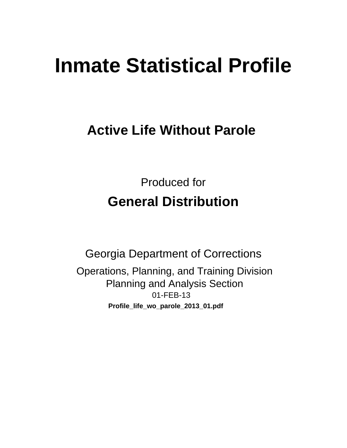# **Inmate Statistical Profile**

## **Active Life Without Parole**

**Produced for General Distribution** 

**Georgia Department of Corrections** Operations, Planning, and Training Division **Planning and Analysis Section** 01-FEB-13 Profile\_life\_wo\_parole\_2013\_01.pdf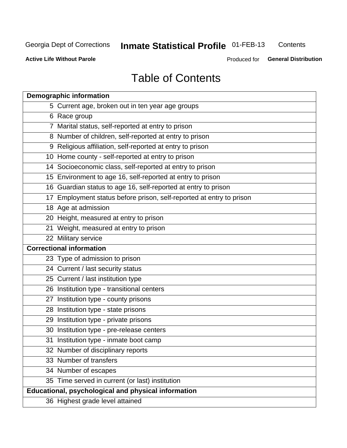## **Inmate Statistical Profile 01-FEB-13**

Contents

**Active Life Without Parole** 

Produced for General Distribution

## **Table of Contents**

| <b>Demographic information</b>                                       |
|----------------------------------------------------------------------|
| 5 Current age, broken out in ten year age groups                     |
| 6 Race group                                                         |
| 7 Marital status, self-reported at entry to prison                   |
| 8 Number of children, self-reported at entry to prison               |
| 9 Religious affiliation, self-reported at entry to prison            |
| 10 Home county - self-reported at entry to prison                    |
| 14 Socioeconomic class, self-reported at entry to prison             |
| 15 Environment to age 16, self-reported at entry to prison           |
| 16 Guardian status to age 16, self-reported at entry to prison       |
| 17 Employment status before prison, self-reported at entry to prison |
| 18 Age at admission                                                  |
| 20 Height, measured at entry to prison                               |
| 21 Weight, measured at entry to prison                               |
| 22 Military service                                                  |
| <b>Correctional information</b>                                      |
| 23 Type of admission to prison                                       |
| 24 Current / last security status                                    |
| 25 Current / last institution type                                   |
| 26 Institution type - transitional centers                           |
| 27 Institution type - county prisons                                 |
| 28 Institution type - state prisons                                  |
| 29 Institution type - private prisons                                |
| 30 Institution type - pre-release centers                            |
| 31 Institution type - inmate boot camp                               |
| 32 Number of disciplinary reports                                    |
| 33 Number of transfers                                               |
| 34 Number of escapes                                                 |
| 35 Time served in current (or last) institution                      |
| <b>Educational, psychological and physical information</b>           |
| 36 Highest grade level attained                                      |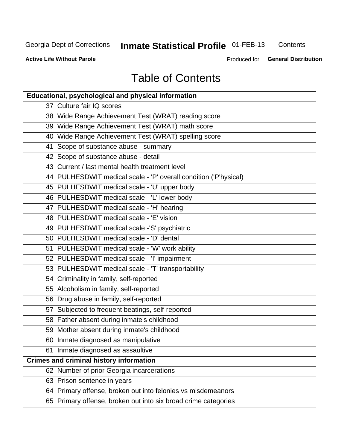## Inmate Statistical Profile 01-FEB-13

Contents

**Active Life Without Parole** 

Produced for General Distribution

## **Table of Contents**

| <b>Educational, psychological and physical information</b>       |
|------------------------------------------------------------------|
| 37 Culture fair IQ scores                                        |
| 38 Wide Range Achievement Test (WRAT) reading score              |
| 39 Wide Range Achievement Test (WRAT) math score                 |
| 40 Wide Range Achievement Test (WRAT) spelling score             |
| 41 Scope of substance abuse - summary                            |
| 42 Scope of substance abuse - detail                             |
| 43 Current / last mental health treatment level                  |
| 44 PULHESDWIT medical scale - 'P' overall condition ('P'hysical) |
| 45 PULHESDWIT medical scale - 'U' upper body                     |
| 46 PULHESDWIT medical scale - 'L' lower body                     |
| 47 PULHESDWIT medical scale - 'H' hearing                        |
| 48 PULHESDWIT medical scale - 'E' vision                         |
| 49 PULHESDWIT medical scale -'S' psychiatric                     |
| 50 PULHESDWIT medical scale - 'D' dental                         |
| 51 PULHESDWIT medical scale - 'W' work ability                   |
| 52 PULHESDWIT medical scale - 'I' impairment                     |
| 53 PULHESDWIT medical scale - 'T' transportability               |
| 54 Criminality in family, self-reported                          |
| 55 Alcoholism in family, self-reported                           |
| 56 Drug abuse in family, self-reported                           |
| 57 Subjected to frequent beatings, self-reported                 |
| 58 Father absent during inmate's childhood                       |
| 59 Mother absent during inmate's childhood                       |
| 60 Inmate diagnosed as manipulative                              |
| 61 Inmate diagnosed as assaultive                                |
| <b>Crimes and criminal history information</b>                   |
| 62 Number of prior Georgia incarcerations                        |
| 63 Prison sentence in years                                      |
| 64 Primary offense, broken out into felonies vs misdemeanors     |
| 65 Primary offense, broken out into six broad crime categories   |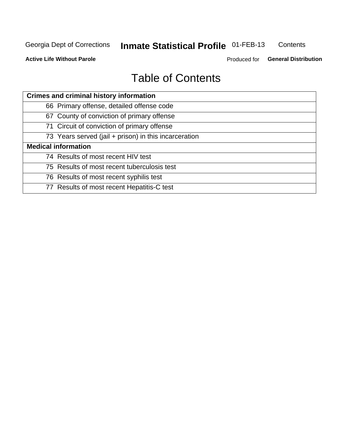#### **Inmate Statistical Profile 01-FEB-13** Contents

**Active Life Without Parole** 

Produced for General Distribution

## **Table of Contents**

| <b>Crimes and criminal history information</b>        |
|-------------------------------------------------------|
| 66 Primary offense, detailed offense code             |
| 67 County of conviction of primary offense            |
| 71 Circuit of conviction of primary offense           |
| 73 Years served (jail + prison) in this incarceration |
| <b>Medical information</b>                            |
| 74 Results of most recent HIV test                    |
| 75 Results of most recent tuberculosis test           |
| 76 Results of most recent syphilis test               |
| 77 Results of most recent Hepatitis-C test            |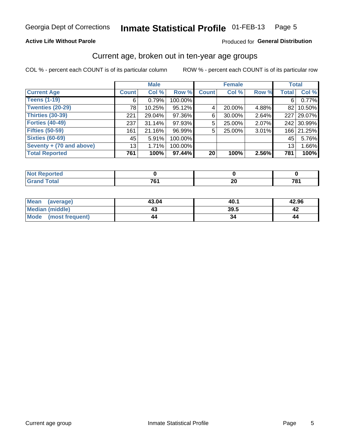#### Inmate Statistical Profile 01-FEB-13 Page 5

#### **Active Life Without Parole**

#### Produced for General Distribution

### Current age, broken out in ten-year age groups

COL % - percent each COUNT is of its particular column

|                          |                 | <b>Male</b> |         |              | <b>Female</b> |          | <b>Total</b>     |            |
|--------------------------|-----------------|-------------|---------|--------------|---------------|----------|------------------|------------|
| <b>Current Age</b>       | <b>Count</b>    | Col %       | Row %   | <b>Count</b> | Col %         | Row %    | <b>Total</b>     | Col %      |
| <b>Teens (1-19)</b>      | 6               | 0.79%       | 100.00% |              |               |          | 6                | 0.77%      |
| <b>Twenties (20-29)</b>  | 78              | 10.25%      | 95.12%  | 4            | 20.00%        | 4.88%    |                  | 82 10.50%  |
| <b>Thirties (30-39)</b>  | 221             | 29.04%      | 97.36%  | 6            | 30.00%        | 2.64%    | 227 <sup>1</sup> | 29.07%     |
| <b>Forties (40-49)</b>   | 237             | $31.14\%$   | 97.93%  | 5            | 25.00%        | $2.07\%$ |                  | 242 30.99% |
| <b>Fifties (50-59)</b>   | 161             | 21.16%      | 96.99%  | 5            | 25.00%        | 3.01%    |                  | 166 21.25% |
| <b>Sixties (60-69)</b>   | 45              | 5.91%       | 100.00% |              |               |          | 45               | 5.76%      |
| Seventy + (70 and above) | 13 <sub>1</sub> | 1.71%       | 100.00% |              |               |          | 13               | 1.66%      |
| <b>Total Reported</b>    | 761             | 100%        | 97.44%  | 20           | 100%          | 2.56%    | 781              | 100%       |

| بمستعادات<br>. tea<br>$\sim$ |    |                           |     |
|------------------------------|----|---------------------------|-----|
| デー・エー                        | 7c | $\overline{ }$<br>∼<br>__ | 704 |

| <b>Mean</b><br>(average) | 43.04 | 40∴  | 42.96 |
|--------------------------|-------|------|-------|
| <b>Median (middle)</b>   | 43    | 39.5 |       |
| Mode (most frequent)     | 44    |      | 44    |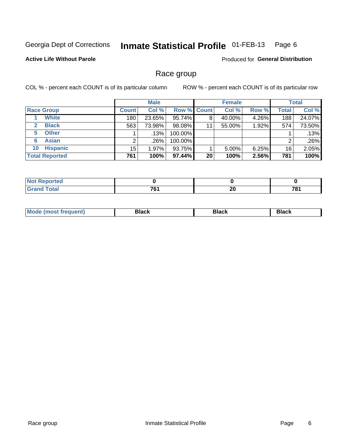#### Inmate Statistical Profile 01-FEB-13 Page 6

**Active Life Without Parole** 

**Produced for General Distribution** 

### Race group

COL % - percent each COUNT is of its particular column

|                              |              | <b>Male</b> |                    |    | <b>Female</b> |       |              | <b>Total</b> |
|------------------------------|--------------|-------------|--------------------|----|---------------|-------|--------------|--------------|
| <b>Race Group</b>            | <b>Count</b> | Col %       | <b>Row % Count</b> |    | Col %         | Row % | <b>Total</b> | Col %        |
| <b>White</b>                 | 180          | 23.65%      | 95.74%             | 8  | 40.00%        | 4.26% | 188          | 24.07%       |
| <b>Black</b><br>$\mathbf{2}$ | 563          | 73.98%      | 98.08%             | 11 | 55.00%        | 1.92% | 574          | 73.50%       |
| <b>Other</b><br>5.           |              | $.13\%$     | 100.00%            |    |               |       |              | .13%         |
| <b>Asian</b><br>6            |              | ا 26%.      | 100.00%            |    |               |       | 2            | .26%         |
| <b>Hispanic</b><br>10        | 15           | 1.97%       | 93.75%             |    | 5.00%         | 6.25% | 16           | 2.05%        |
| <b>Total Reported</b>        | 761          | 100%        | 97.44%             | 20 | 100%          | 2.56% | 781          | 100%         |

| <b>orted</b>     |                            |          |     |
|------------------|----------------------------|----------|-----|
| $F0+0$<br>______ | 704<br>'.<br>$\sim$ $\sim$ | nr<br>ΔU | 704 |

| M | - - - | Piavn |
|---|-------|-------|
|   |       |       |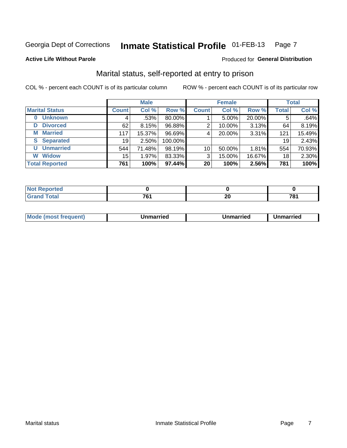#### Inmate Statistical Profile 01-FEB-13 Page 7

#### **Active Life Without Parole**

#### Produced for General Distribution

### Marital status, self-reported at entry to prison

COL % - percent each COUNT is of its particular column

|                       |              | <b>Male</b> |         |                 | <b>Female</b> |        |              | <b>Total</b> |
|-----------------------|--------------|-------------|---------|-----------------|---------------|--------|--------------|--------------|
| <b>Marital Status</b> | <b>Count</b> | Col %       | Row %   | <b>Count</b>    | Col %         | Row %  | <b>Total</b> | Col %        |
| <b>Unknown</b><br>0   | 4            | $.53\%$     | 80.00%  |                 | 5.00%         | 20.00% | 5            | .64%         |
| <b>Divorced</b><br>D  | 62           | 8.15%       | 96.88%  | 2               | 10.00%        | 3.13%  | 64           | 8.19%        |
| <b>Married</b><br>М   | 117          | 15.37%      | 96.69%  | 4               | 20.00%        | 3.31%  | 121          | 15.49%       |
| <b>Separated</b><br>S | 19           | $2.50\%$    | 100.00% |                 |               |        | 19           | 2.43%        |
| <b>Unmarried</b><br>U | 544          | 71.48%      | 98.19%  | 10 <sup>1</sup> | 50.00%        | 1.81%  | 554          | 70.93%       |
| <b>Widow</b><br>W     | 15           | 1.97%       | 83.33%  | 3               | 15.00%        | 16.67% | 18           | 2.30%        |
| <b>Total Reported</b> | 761          | 100%        | 97.44%  | 20              | 100%          | 2.56%  | 781          | 100%         |

| <b>Not Reported</b><br>$\sim$ . The set of $\sim$ |                 |          |     |
|---------------------------------------------------|-----------------|----------|-----|
| <b>Total</b>                                      | 70 <sub>1</sub> | n.<br>ZV | 70. |

|--|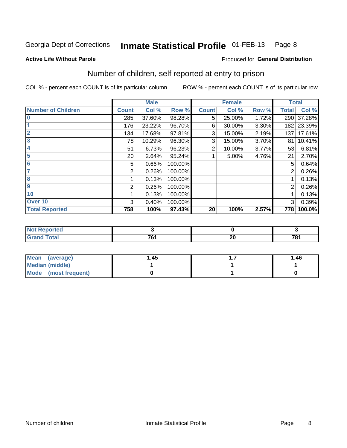#### Inmate Statistical Profile 01-FEB-13 Page 8

#### **Active Life Without Parole**

### **Produced for General Distribution**

### Number of children, self reported at entry to prison

COL % - percent each COUNT is of its particular column

|                           |              | <b>Male</b> |         |              | <b>Female</b> |       |                | <b>Total</b> |
|---------------------------|--------------|-------------|---------|--------------|---------------|-------|----------------|--------------|
| <b>Number of Children</b> | <b>Count</b> | Col %       | Row %   | <b>Count</b> | Col %         | Row % | <b>Total</b>   | Col %        |
| $\bf{0}$                  | 285          | 37.60%      | 98.28%  | 5            | 25.00%        | 1.72% | 290            | 37.28%       |
|                           | 176          | 23.22%      | 96.70%  | 6            | 30.00%        | 3.30% | 182            | 23.39%       |
| $\overline{2}$            | 134          | 17.68%      | 97.81%  | 3            | 15.00%        | 2.19% | 137            | 17.61%       |
| 3                         | 78           | 10.29%      | 96.30%  | 3            | 15.00%        | 3.70% | 81             | 10.41%       |
| 4                         | 51           | 6.73%       | 96.23%  | 2            | 10.00%        | 3.77% | 53             | 6.81%        |
| 5                         | 20           | 2.64%       | 95.24%  |              | 5.00%         | 4.76% | 21             | 2.70%        |
| 6                         | 5            | 0.66%       | 100.00% |              |               |       | 5              | 0.64%        |
|                           | 2            | 0.26%       | 100.00% |              |               |       | 2              | 0.26%        |
| 8                         |              | 0.13%       | 100.00% |              |               |       |                | 0.13%        |
| $\boldsymbol{9}$          | 2            | 0.26%       | 100.00% |              |               |       | $\overline{2}$ | 0.26%        |
| 10                        |              | 0.13%       | 100.00% |              |               |       |                | 0.13%        |
| Over 10                   | 3            | 0.40%       | 100.00% |              |               |       | 3              | 0.39%        |
| <b>Total Reported</b>     | 758          | 100%        | 97.43%  | 20           | 100%          | 2.57% | 778            | 100.0%       |

| itaoi  |                 |                       |         |
|--------|-----------------|-----------------------|---------|
| $\sim$ | <b>704</b><br>u | - -<br>m<br><u>__</u> | 704<br> |

| Mean (average)       | 1.45 | . | 1.46 |
|----------------------|------|---|------|
| Median (middle)      |      |   |      |
| Mode (most frequent) |      |   |      |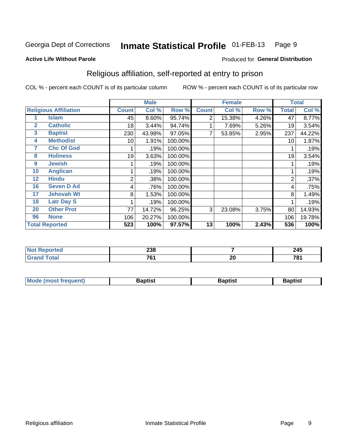#### Inmate Statistical Profile 01-FEB-13 Page 9

Produced for General Distribution

#### **Active Life Without Parole**

## Religious affiliation, self-reported at entry to prison

COL % - percent each COUNT is of its particular column

|              |                              |              | <b>Male</b> |         |              | <b>Female</b> |       |       | <b>Total</b> |
|--------------|------------------------------|--------------|-------------|---------|--------------|---------------|-------|-------|--------------|
|              | <b>Religious Affiliation</b> | <b>Count</b> | Col %       | Row %   | <b>Count</b> | Col %         | Row % | Total | Col %        |
|              | <b>Islam</b>                 | 45           | 8.60%       | 95.74%  | 2            | 15.38%        | 4.26% | 47    | 8.77%        |
| $\mathbf{2}$ | <b>Catholic</b>              | 18           | 3.44%       | 94.74%  |              | 7.69%         | 5.26% | 19    | 3.54%        |
| 3            | <b>Baptist</b>               | 230          | 43.98%      | 97.05%  |              | 53.85%        | 2.95% | 237   | 44.22%       |
| 4            | <b>Methodist</b>             | 10           | 1.91%       | 100.00% |              |               |       | 10    | 1.87%        |
| 7            | <b>Chc Of God</b>            |              | .19%        | 100.00% |              |               |       |       | .19%         |
| 8            | <b>Holiness</b>              | 19           | 3.63%       | 100.00% |              |               |       | 19    | 3.54%        |
| 9            | <b>Jewish</b>                |              | .19%        | 100.00% |              |               |       |       | .19%         |
| 10           | <b>Anglican</b>              |              | .19%        | 100.00% |              |               |       |       | .19%         |
| 12           | <b>Hindu</b>                 | 2            | .38%        | 100.00% |              |               |       | 2     | .37%         |
| 16           | <b>Seven D Ad</b>            | 4            | .76%        | 100.00% |              |               |       | 4     | .75%         |
| 17           | <b>Jehovah Wt</b>            | 8            | 1.53%       | 100.00% |              |               |       | 8     | 1.49%        |
| 18           | <b>Latr Day S</b>            |              | .19%        | 100.00% |              |               |       |       | .19%         |
| 20           | <b>Other Prot</b>            | 77           | 14.72%      | 96.25%  | 3            | 23.08%        | 3.75% | 80    | 14.93%       |
| 96           | <b>None</b>                  | 106          | 20.27%      | 100.00% |              |               |       | 106   | 19.78%       |
|              | <b>Total Reported</b>        | 523          | 100%        | 97.57%  | 13           | 100%          | 2.43% | 536   | 100%         |

| rtea<br>$\sim$ | $\mathbf{A} \mathbf{A} \mathbf{A}$<br>⊸ວ໐ |          | 245 |
|----------------|-------------------------------------------|----------|-----|
|                | 70 <sub>1</sub><br>$  -$                  | ^^<br>ΔU | 704 |

| <b>Mode (most frequent)</b><br>Baptist | Baptist | 3aptist |
|----------------------------------------|---------|---------|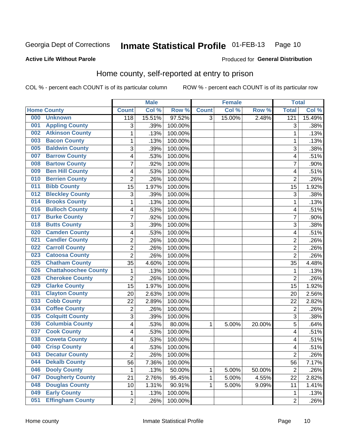#### Inmate Statistical Profile 01-FEB-13 Page 10

#### **Active Life Without Parole**

#### Produced for General Distribution

### Home county, self-reported at entry to prison

COL % - percent each COUNT is of its particular column

|     |                             |                | <b>Male</b> |         |              | <b>Female</b> |        | <b>Total</b>     |        |
|-----|-----------------------------|----------------|-------------|---------|--------------|---------------|--------|------------------|--------|
|     | <b>Home County</b>          | <b>Count</b>   | Col %       | Row %   | <b>Count</b> | Col %         | Row %  | <b>Total</b>     | Col %  |
| 000 | <b>Unknown</b>              | 118            | 15.51%      | 97.52%  | 3            | 15.00%        | 2.48%  | $\overline{121}$ | 15.49% |
| 001 | <b>Appling County</b>       | 3              | .39%        | 100.00% |              |               |        | 3                | .38%   |
| 002 | <b>Atkinson County</b>      | $\mathbf 1$    | .13%        | 100.00% |              |               |        | 1                | .13%   |
| 003 | <b>Bacon County</b>         | 1              | .13%        | 100.00% |              |               |        | 1                | .13%   |
| 005 | <b>Baldwin County</b>       | 3              | .39%        | 100.00% |              |               |        | 3                | .38%   |
| 007 | <b>Barrow County</b>        | 4              | .53%        | 100.00% |              |               |        | 4                | .51%   |
| 008 | <b>Bartow County</b>        | $\overline{7}$ | .92%        | 100.00% |              |               |        | 7                | .90%   |
| 009 | <b>Ben Hill County</b>      | 4              | .53%        | 100.00% |              |               |        | 4                | .51%   |
| 010 | <b>Berrien County</b>       | $\overline{2}$ | .26%        | 100.00% |              |               |        | $\overline{2}$   | .26%   |
| 011 | <b>Bibb County</b>          | 15             | 1.97%       | 100.00% |              |               |        | 15               | 1.92%  |
| 012 | <b>Bleckley County</b>      | 3              | .39%        | 100.00% |              |               |        | 3                | .38%   |
| 014 | <b>Brooks County</b>        | 1              | .13%        | 100.00% |              |               |        | 1                | .13%   |
| 016 | <b>Bulloch County</b>       | 4              | .53%        | 100.00% |              |               |        | 4                | .51%   |
| 017 | <b>Burke County</b>         | $\overline{7}$ | .92%        | 100.00% |              |               |        | 7                | .90%   |
| 018 | <b>Butts County</b>         | 3              | .39%        | 100.00% |              |               |        | 3                | .38%   |
| 020 | <b>Camden County</b>        | 4              | .53%        | 100.00% |              |               |        | 4                | .51%   |
| 021 | <b>Candler County</b>       | $\overline{2}$ | .26%        | 100.00% |              |               |        | $\overline{2}$   | .26%   |
| 022 | <b>Carroll County</b>       | $\overline{c}$ | .26%        | 100.00% |              |               |        | $\overline{2}$   | .26%   |
| 023 | <b>Catoosa County</b>       | $\overline{2}$ | .26%        | 100.00% |              |               |        | $\overline{2}$   | .26%   |
| 025 | <b>Chatham County</b>       | 35             | 4.60%       | 100.00% |              |               |        | 35               | 4.48%  |
| 026 | <b>Chattahoochee County</b> | 1              | .13%        | 100.00% |              |               |        | 1                | .13%   |
| 028 | <b>Cherokee County</b>      | $\overline{2}$ | .26%        | 100.00% |              |               |        | $\overline{2}$   | .26%   |
| 029 | <b>Clarke County</b>        | 15             | 1.97%       | 100.00% |              |               |        | 15               | 1.92%  |
| 031 | <b>Clayton County</b>       | 20             | 2.63%       | 100.00% |              |               |        | 20               | 2.56%  |
| 033 | <b>Cobb County</b>          | 22             | 2.89%       | 100.00% |              |               |        | 22               | 2.82%  |
| 034 | <b>Coffee County</b>        | 2              | .26%        | 100.00% |              |               |        | $\overline{2}$   | .26%   |
| 035 | <b>Colquitt County</b>      | 3              | .39%        | 100.00% |              |               |        | 3                | .38%   |
| 036 | <b>Columbia County</b>      | 4              | .53%        | 80.00%  | 1            | 5.00%         | 20.00% | 5                | .64%   |
| 037 | <b>Cook County</b>          | 4              | .53%        | 100.00% |              |               |        | 4                | .51%   |
| 038 | <b>Coweta County</b>        | 4              | .53%        | 100.00% |              |               |        | 4                | .51%   |
| 040 | <b>Crisp County</b>         | 4              | .53%        | 100.00% |              |               |        | 4                | .51%   |
| 043 | <b>Decatur County</b>       | $\overline{c}$ | .26%        | 100.00% |              |               |        | $\overline{c}$   | .26%   |
| 044 | <b>Dekalb County</b>        | 56             | 7.36%       | 100.00% |              |               |        | 56               | 7.17%  |
| 046 | <b>Dooly County</b>         | 1              | .13%        | 50.00%  | 1            | 5.00%         | 50.00% | $\overline{2}$   | .26%   |
| 047 | <b>Dougherty County</b>     | 21             | 2.76%       | 95.45%  | 1            | 5.00%         | 4.55%  | 22               | 2.82%  |
| 048 | <b>Douglas County</b>       | 10             | 1.31%       | 90.91%  | 1            | 5.00%         | 9.09%  | 11               | 1.41%  |
| 049 | <b>Early County</b>         | $\mathbf 1$    | .13%        | 100.00% |              |               |        | 1                | .13%   |
| 051 | <b>Effingham County</b>     | $\overline{c}$ | .26%        | 100.00% |              |               |        | $\overline{2}$   | .26%   |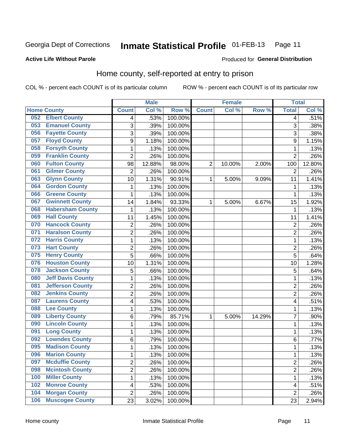#### **Inmate Statistical Profile 01-FEB-13** Page 11

Produced for General Distribution

#### **Active Life Without Parole**

### Home county, self-reported at entry to prison

COL % - percent each COUNT is of its particular column

|     |                          |                         | <b>Male</b> |         |                | <b>Female</b> |        | <b>Total</b>   |        |
|-----|--------------------------|-------------------------|-------------|---------|----------------|---------------|--------|----------------|--------|
|     | <b>Home County</b>       | <b>Count</b>            | Col %       | Row %   | <b>Count</b>   | Col %         | Row %  | <b>Total</b>   | Col %  |
| 052 | <b>Elbert County</b>     | 4                       | .53%        | 100.00% |                |               |        | 4              | .51%   |
| 053 | <b>Emanuel County</b>    | 3                       | .39%        | 100.00% |                |               |        | 3              | .38%   |
| 056 | <b>Fayette County</b>    | 3                       | .39%        | 100.00% |                |               |        | 3              | .38%   |
| 057 | <b>Floyd County</b>      | 9                       | 1.18%       | 100.00% |                |               |        | 9              | 1.15%  |
| 058 | <b>Forsyth County</b>    | $\mathbf{1}$            | .13%        | 100.00% |                |               |        | 1              | .13%   |
| 059 | <b>Franklin County</b>   | $\overline{2}$          | .26%        | 100.00% |                |               |        | $\overline{2}$ | .26%   |
| 060 | <b>Fulton County</b>     | 98                      | 12.88%      | 98.00%  | $\overline{2}$ | 10.00%        | 2.00%  | 100            | 12.80% |
| 061 | <b>Gilmer County</b>     | $\overline{2}$          | .26%        | 100.00% |                |               |        | 2              | .26%   |
| 063 | <b>Glynn County</b>      | 10                      | 1.31%       | 90.91%  | 1              | 5.00%         | 9.09%  | 11             | 1.41%  |
| 064 | <b>Gordon County</b>     | 1                       | .13%        | 100.00% |                |               |        | 1              | .13%   |
| 066 | <b>Greene County</b>     | $\mathbf{1}$            | .13%        | 100.00% |                |               |        | 1              | .13%   |
| 067 | <b>Gwinnett County</b>   | 14                      | 1.84%       | 93.33%  | 1              | 5.00%         | 6.67%  | 15             | 1.92%  |
| 068 | <b>Habersham County</b>  | $\mathbf{1}$            | .13%        | 100.00% |                |               |        | 1              | .13%   |
| 069 | <b>Hall County</b>       | 11                      | 1.45%       | 100.00% |                |               |        | 11             | 1.41%  |
| 070 | <b>Hancock County</b>    | $\overline{2}$          | .26%        | 100.00% |                |               |        | $\overline{2}$ | .26%   |
| 071 | <b>Haralson County</b>   | $\overline{2}$          | .26%        | 100.00% |                |               |        | 2              | .26%   |
| 072 | <b>Harris County</b>     | $\mathbf 1$             | .13%        | 100.00% |                |               |        | 1              | .13%   |
| 073 | <b>Hart County</b>       | $\overline{2}$          | .26%        | 100.00% |                |               |        | $\overline{c}$ | .26%   |
| 075 | <b>Henry County</b>      | $\overline{5}$          | .66%        | 100.00% |                |               |        | 5              | .64%   |
| 076 | <b>Houston County</b>    | 10                      | 1.31%       | 100.00% |                |               |        | 10             | 1.28%  |
| 078 | <b>Jackson County</b>    | 5                       | .66%        | 100.00% |                |               |        | 5              | .64%   |
| 080 | <b>Jeff Davis County</b> | $\mathbf{1}$            | .13%        | 100.00% |                |               |        | 1              | .13%   |
| 081 | <b>Jefferson County</b>  | $\overline{2}$          | .26%        | 100.00% |                |               |        | $\overline{2}$ | .26%   |
| 082 | <b>Jenkins County</b>    | $\overline{2}$          | .26%        | 100.00% |                |               |        | $\overline{2}$ | .26%   |
| 087 | <b>Laurens County</b>    | $\overline{\mathbf{4}}$ | .53%        | 100.00% |                |               |        | 4              | .51%   |
| 088 | <b>Lee County</b>        | $\mathbf{1}$            | .13%        | 100.00% |                |               |        | 1              | .13%   |
| 089 | <b>Liberty County</b>    | 6                       | .79%        | 85.71%  | 1              | 5.00%         | 14.29% | 7              | .90%   |
| 090 | <b>Lincoln County</b>    | 1                       | .13%        | 100.00% |                |               |        | 1              | .13%   |
| 091 | <b>Long County</b>       | $\mathbf{1}$            | .13%        | 100.00% |                |               |        | 1              | .13%   |
| 092 | <b>Lowndes County</b>    | 6                       | .79%        | 100.00% |                |               |        | 6              | .77%   |
| 095 | <b>Madison County</b>    | $\mathbf{1}$            | .13%        | 100.00% |                |               |        | 1              | .13%   |
| 096 | <b>Marion County</b>     | 1                       | .13%        | 100.00% |                |               |        | 1              | .13%   |
| 097 | <b>Mcduffie County</b>   | $\overline{2}$          | .26%        | 100.00% |                |               |        | 2              | .26%   |
| 098 | <b>Mcintosh County</b>   | $\overline{2}$          | .26%        | 100.00% |                |               |        | $\overline{2}$ | .26%   |
| 100 | <b>Miller County</b>     | $\mathbf{1}$            | .13%        | 100.00% |                |               |        | 1              | .13%   |
| 102 | <b>Monroe County</b>     | 4                       | .53%        | 100.00% |                |               |        | 4              | .51%   |
| 104 | <b>Morgan County</b>     | $\overline{2}$          | .26%        | 100.00% |                |               |        | $\overline{2}$ | .26%   |
| 106 | <b>Muscogee County</b>   | 23                      | 3.02%       | 100.00% |                |               |        | 23             | 2.94%  |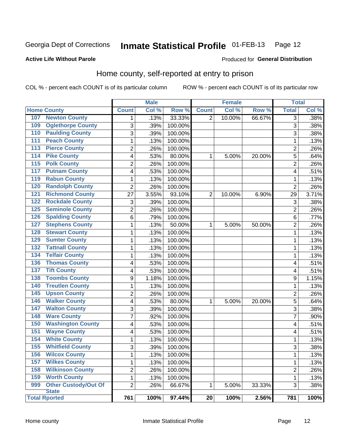#### Inmate Statistical Profile 01-FEB-13 Page 12

#### **Active Life Without Parole**

#### Produced for General Distribution

### Home county, self-reported at entry to prison

COL % - percent each COUNT is of its particular column

|                      |                          |                | <b>Male</b> |         |                 | <b>Female</b> |        | <b>Total</b>   |       |
|----------------------|--------------------------|----------------|-------------|---------|-----------------|---------------|--------|----------------|-------|
| <b>Home County</b>   |                          | <b>Count</b>   | Col %       | Row %   | <b>Count</b>    | Col %         | Row %  | <b>Total</b>   | Col % |
| 107                  | <b>Newton County</b>     | 1              | .13%        | 33.33%  | $\overline{2}$  | 10.00%        | 66.67% | 3              | .38%  |
| 109                  | <b>Oglethorpe County</b> | 3              | .39%        | 100.00% |                 |               |        | 3              | .38%  |
| 110                  | <b>Paulding County</b>   | 3              | .39%        | 100.00% |                 |               |        | 3              | .38%  |
| 111                  | <b>Peach County</b>      | 1              | .13%        | 100.00% |                 |               |        | 1              | .13%  |
| 113                  | <b>Pierce County</b>     | $\overline{2}$ | .26%        | 100.00% |                 |               |        | $\overline{2}$ | .26%  |
| 114                  | <b>Pike County</b>       | 4              | .53%        | 80.00%  | 1               | 5.00%         | 20.00% | 5              | .64%  |
| 115                  | <b>Polk County</b>       | $\overline{2}$ | .26%        | 100.00% |                 |               |        | $\overline{2}$ | .26%  |
| 117                  | <b>Putnam County</b>     | 4              | .53%        | 100.00% |                 |               |        | 4              | .51%  |
| 119                  | <b>Rabun County</b>      | 1              | .13%        | 100.00% |                 |               |        | 1              | .13%  |
| 120                  | <b>Randolph County</b>   | 2              | .26%        | 100.00% |                 |               |        | $\overline{2}$ | .26%  |
| 121                  | <b>Richmond County</b>   | 27             | 3.55%       | 93.10%  | $\overline{2}$  | 10.00%        | 6.90%  | 29             | 3.71% |
| 122                  | <b>Rockdale County</b>   | 3              | .39%        | 100.00% |                 |               |        | 3              | .38%  |
| 125                  | <b>Seminole County</b>   | 2              | .26%        | 100.00% |                 |               |        | $\overline{2}$ | .26%  |
| 126                  | <b>Spalding County</b>   | 6              | .79%        | 100.00% |                 |               |        | 6              | .77%  |
| 127                  | <b>Stephens County</b>   | 1              | .13%        | 50.00%  | 1               | 5.00%         | 50.00% | $\overline{2}$ | .26%  |
| 128                  | <b>Stewart County</b>    | 1              | .13%        | 100.00% |                 |               |        | 1              | .13%  |
| 129                  | <b>Sumter County</b>     | 1              | .13%        | 100.00% |                 |               |        | 1              | .13%  |
| 132                  | <b>Tattnall County</b>   | 1              | .13%        | 100.00% |                 |               |        | 1              | .13%  |
| 134                  | <b>Telfair County</b>    | $\mathbf{1}$   | .13%        | 100.00% |                 |               |        | 1              | .13%  |
| 136                  | <b>Thomas County</b>     | 4              | .53%        | 100.00% |                 |               |        | 4              | .51%  |
| 137                  | <b>Tift County</b>       | 4              | .53%        | 100.00% |                 |               |        | 4              | .51%  |
| 138                  | <b>Toombs County</b>     | 9              | 1.18%       | 100.00% |                 |               |        | 9              | 1.15% |
| 140                  | <b>Treutlen County</b>   | 1              | .13%        | 100.00% |                 |               |        | 1              | .13%  |
| 145                  | <b>Upson County</b>      | 2              | .26%        | 100.00% |                 |               |        | $\overline{2}$ | .26%  |
| 146                  | <b>Walker County</b>     | 4              | .53%        | 80.00%  | 1               | 5.00%         | 20.00% | 5              | .64%  |
| $\overline{147}$     | <b>Walton County</b>     | 3              | .39%        | 100.00% |                 |               |        | 3              | .38%  |
| 148                  | <b>Ware County</b>       | $\overline{7}$ | .92%        | 100.00% |                 |               |        | 7              | .90%  |
| 150                  | <b>Washington County</b> | 4              | .53%        | 100.00% |                 |               |        | 4              | .51%  |
| 151                  | <b>Wayne County</b>      | 4              | .53%        | 100.00% |                 |               |        | 4              | .51%  |
| 154                  | <b>White County</b>      | 1              | .13%        | 100.00% |                 |               |        | 1              | .13%  |
| 155                  | <b>Whitfield County</b>  | 3              | .39%        | 100.00% |                 |               |        | 3              | .38%  |
| 156                  | <b>Wilcox County</b>     | 1              | .13%        | 100.00% |                 |               |        | 1              | .13%  |
| 157                  | <b>Wilkes County</b>     | $\mathbf{1}$   | .13%        | 100.00% |                 |               |        | 1              | .13%  |
| 158                  | <b>Wilkinson County</b>  | $\overline{2}$ | .26%        | 100.00% |                 |               |        | $\overline{2}$ | .26%  |
| 159                  | <b>Worth County</b>      | $\mathbf 1$    | .13%        | 100.00% |                 |               |        | 1              | .13%  |
| 999                  | Other Custody/Out Of     | $\overline{2}$ | .26%        | 66.67%  | 1               | 5.00%         | 33.33% | 3              | .38%  |
|                      | <b>State</b>             |                |             |         |                 |               |        |                |       |
| <b>Total Rported</b> |                          | 761            | 100%        | 97.44%  | $\overline{20}$ | 100%          | 2.56%  | 781            | 100%  |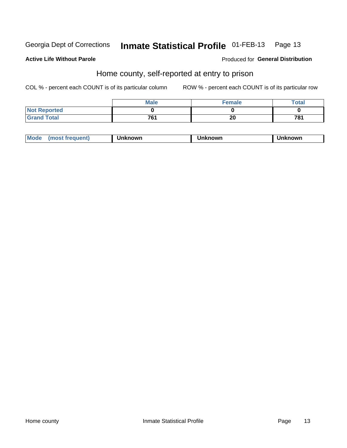#### Inmate Statistical Profile 01-FEB-13 Page 13

#### **Active Life Without Parole**

#### Produced for General Distribution

### Home county, self-reported at entry to prison

COL % - percent each COUNT is of its particular column

|                     | <b>Male</b> | <b>Female</b> | <b>Total</b> |
|---------------------|-------------|---------------|--------------|
| <b>Not Reported</b> |             |               |              |
| <b>Grand Total</b>  | 761         | 20            | 781          |

| <b>Moa</b><br>nown | owr | nowr |
|--------------------|-----|------|
|--------------------|-----|------|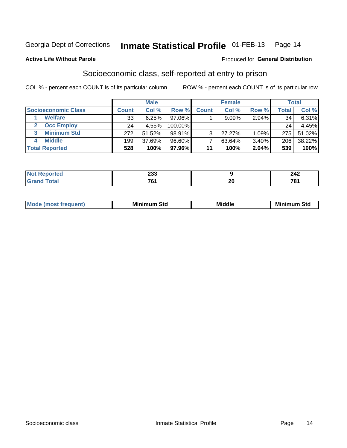#### Inmate Statistical Profile 01-FEB-13 Page 14

**Active Life Without Parole** 

#### **Produced for General Distribution**

### Socioeconomic class, self-reported at entry to prison

COL % - percent each COUNT is of its particular column

|                            |              | <b>Male</b> |            |              | <b>Female</b> |       |       | <b>Total</b> |
|----------------------------|--------------|-------------|------------|--------------|---------------|-------|-------|--------------|
| <b>Socioeconomic Class</b> | <b>Count</b> | Col %       | Row %      | <b>Count</b> | Col %         | Row % | Total | Col %        |
| <b>Welfare</b>             | 33           | 6.25%       | 97.06%     |              | $9.09\%$      | 2.94% | 34    | 6.31%        |
| <b>Occ Employ</b>          | 24           | 4.55%       | $100.00\%$ |              |               |       | 24    | 4.45%        |
| <b>Minimum Std</b>         | 272          | 51.52%      | 98.91%     | ર            | $27.27\%$     | 1.09% | 275   | 51.02%       |
| <b>Middle</b>              | 199          | 37.69%      | $96.60\%$  |              | 63.64%        | 3.40% | 206   | 38.22%       |
| <b>Total Reported</b>      | 528          | 100%        | 97.96%     | 11           | 100%          | 2.04% | 539   | 100%         |

|       | nne<br>∠ບປ<br>- -         |           | n 1 n<br>-74                |
|-------|---------------------------|-----------|-----------------------------|
| _____ | 704<br>u<br>$\sim$ $\sim$ | or.<br>ΔV | 70,<br>$\sim$ $\sim$ $\sim$ |

|  | M. | М.<br>.<br>ວເບ<br>___ | ---<br>Middle<br>____ | Mir<br>Std |
|--|----|-----------------------|-----------------------|------------|
|--|----|-----------------------|-----------------------|------------|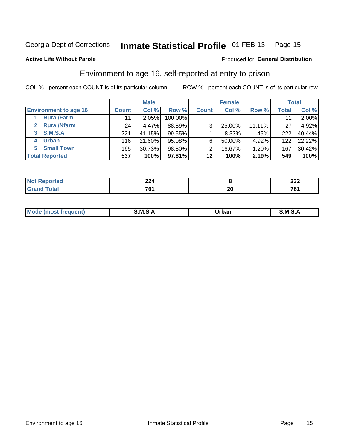#### Inmate Statistical Profile 01-FEB-13 Page 15

#### **Active Life Without Parole**

#### Produced for General Distribution

### Environment to age 16, self-reported at entry to prison

COL % - percent each COUNT is of its particular column

|                                    |              | <b>Male</b> |         |              | <b>Female</b> |        |              | <b>Total</b> |
|------------------------------------|--------------|-------------|---------|--------------|---------------|--------|--------------|--------------|
| <b>Environment to age 16</b>       | <b>Count</b> | Col %       | Row %   | <b>Count</b> | Col %         | Row %  | <b>Total</b> | Col %        |
| <b>Rural/Farm</b>                  | 11           | 2.05%       | 100.00% |              |               |        |              | 2.00%        |
| <b>Rural/Nfarm</b><br>$\mathbf{2}$ | 24           | 4.47%       | 88.89%  | 3            | 25.00%        | 11.11% | 27           | 4.92%        |
| 3 S.M.S.A                          | 221          | 41.15%      | 99.55%  |              | 8.33%         | .45%   | 222          | 40.44%       |
| <b>Urban</b><br>4                  | 116          | 21.60%      | 95.08%  | 6            | 50.00%        | 4.92%  | 122          | 22.22%       |
| 5 Small Town                       | 165          | 30.73%      | 98.80%  | ⌒            | 16.67%        | 1.20%  | 167          | 30.42%       |
| <b>Total Reported</b>              | 537          | 100%        | 97.81%  | 12           | 100%          | 2.19%  | 549          | 100%         |

| Reported     |     |                                | nne        |
|--------------|-----|--------------------------------|------------|
| $\sim$       | -44 |                                | ZJZ        |
| <b>Total</b> | 704 | $\overline{\phantom{a}}$<br>ZU | 704<br>, U |

| Mo | M | urhar . | M      |
|----|---|---------|--------|
|    |   | _____   | ______ |
|    |   |         |        |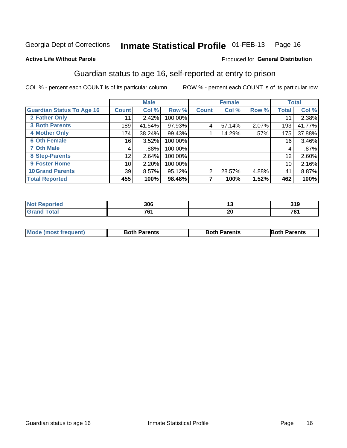#### Inmate Statistical Profile 01-FEB-13 Page 16

#### **Active Life Without Parole**

#### Produced for General Distribution

### Guardian status to age 16, self-reported at entry to prison

COL % - percent each COUNT is of its particular column

|                                  |                 | <b>Male</b> |         |              | <b>Female</b> |       |       | <b>Total</b> |
|----------------------------------|-----------------|-------------|---------|--------------|---------------|-------|-------|--------------|
| <b>Guardian Status To Age 16</b> | <b>Count</b>    | Col %       | Row %   | <b>Count</b> | Col %         | Row % | Total | Col %        |
| 2 Father Only                    | 11              | 2.42%       | 100.00% |              |               |       | 11    | 2.38%        |
| <b>3 Both Parents</b>            | 189             | 41.54%      | 97.93%  | 4            | 57.14%        | 2.07% | 193   | 41.77%       |
| <b>4 Mother Only</b>             | 174             | 38.24%      | 99.43%  |              | 14.29%        | .57%  | 175   | 37.88%       |
| <b>6 Oth Female</b>              | 16 <sub>1</sub> | 3.52%       | 100.00% |              |               |       | 16    | 3.46%        |
| <b>7 Oth Male</b>                | 4               | .88%        | 100.00% |              |               |       | 4     | .87%         |
| 8 Step-Parents                   | 12              | 2.64%       | 100.00% |              |               |       | 12    | 2.60%        |
| 9 Foster Home                    | 10 <sup>1</sup> | 2.20%       | 100.00% |              |               |       | 10    | 2.16%        |
| <b>10 Grand Parents</b>          | 39              | 8.57%       | 95.12%  | 2            | 28.57%        | 4.88% | 41    | 8.87%        |
| <b>Total Reported</b>            | 455             | 100%        | 98.48%  |              | 100%          | 1.52% | 462   | 100%         |

| ted         | 306         |                 | 210<br>J I J |
|-------------|-------------|-----------------|--------------|
| <b>otal</b> | 701<br>70 I | റ്റ<br>ZU<br>__ | 704          |

| <b>Mode (most frequent)</b> | <b>Both Parents</b> | <b>Both Parents</b> | <b>Both Parents</b> |
|-----------------------------|---------------------|---------------------|---------------------|
|                             |                     |                     |                     |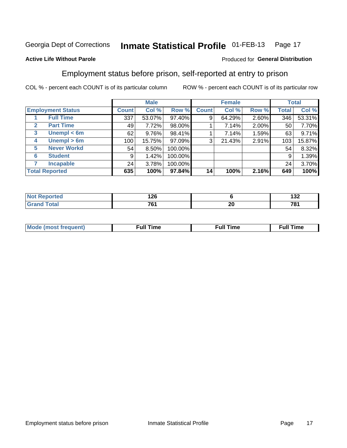#### Inmate Statistical Profile 01-FEB-13 Page 17

#### **Active Life Without Parole**

#### Produced for General Distribution

### Employment status before prison, self-reported at entry to prison

COL % - percent each COUNT is of its particular column

|                                  |         | <b>Male</b> |         |              | <b>Female</b> |       |       | <b>Total</b> |
|----------------------------------|---------|-------------|---------|--------------|---------------|-------|-------|--------------|
| <b>Employment Status</b>         | Count l | Col %       | Row %   | <b>Count</b> | Col %         | Row % | Total | Col %        |
| <b>Full Time</b>                 | 337     | 53.07%      | 97.40%  | 9            | 64.29%        | 2.60% | 346   | 53.31%       |
| <b>Part Time</b><br>$\mathbf{2}$ | 49      | 7.72%       | 98.00%  |              | 7.14%         | 2.00% | 50    | 7.70%        |
| Unempl $<$ 6m<br>3               | 62      | 9.76%       | 98.41%  |              | 7.14%         | 1.59% | 63    | 9.71%        |
| Unempl $> 6m$<br>4               | 100     | 15.75%      | 97.09%  | 3            | 21.43%        | 2.91% | 103   | 15.87%       |
| <b>Never Workd</b><br>5          | 54      | 8.50%       | 100.00% |              |               |       | 54    | 8.32%        |
| <b>Student</b><br>6              | 9       | 1.42%       | 100.00% |              |               |       | 9     | 1.39%        |
| <b>Incapable</b>                 | 24      | 3.78%       | 100.00% |              |               |       | 24    | 3.70%        |
| <b>Total Reported</b>            | 635     | 100%        | 97.84%  | 14           | 100%          | 2.16% | 649   | 100%         |

| ш | <u>מפו</u><br>14V        |    | 122<br>1JZ      |
|---|--------------------------|----|-----------------|
|   | $\overline{\phantom{a}}$ | ^' | 70 <sub>1</sub> |
|   | ו ש                      | 4  | . ه             |

| Mc | ∙u∥<br>----<br>ıme | ίuΙ<br>Πmε |
|----|--------------------|------------|
|    |                    |            |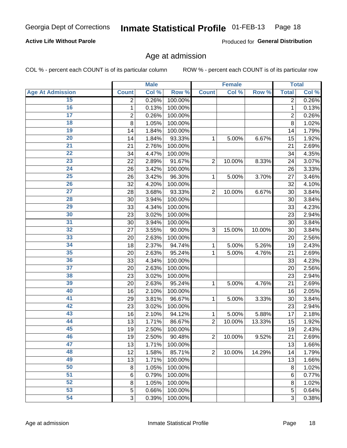#### Inmate Statistical Profile 01-FEB-13 Page 18

#### **Active Life Without Parole**

Produced for General Distribution

### Age at admission

COL % - percent each COUNT is of its particular column

|                         |                 | <b>Male</b> |         |                | <b>Female</b> |        |                | <b>Total</b> |
|-------------------------|-----------------|-------------|---------|----------------|---------------|--------|----------------|--------------|
| <b>Age At Admission</b> | <b>Count</b>    | Col %       | Row %   | <b>Count</b>   | Col %         | Row %  | <b>Total</b>   | Col %        |
| 15                      | 2               | 0.26%       | 100.00% |                |               |        | 2              | 0.26%        |
| 16                      | 1               | 0.13%       | 100.00% |                |               |        | $\mathbf{1}$   | 0.13%        |
| $\overline{17}$         | 2               | 0.26%       | 100.00% |                |               |        | $\overline{2}$ | 0.26%        |
| 18                      | 8               | 1.05%       | 100.00% |                |               |        | 8              | 1.02%        |
| 19                      | 14              | 1.84%       | 100.00% |                |               |        | 14             | 1.79%        |
| $\overline{20}$         | 14              | 1.84%       | 93.33%  | 1              | 5.00%         | 6.67%  | 15             | 1.92%        |
| 21                      | 21              | 2.76%       | 100.00% |                |               |        | 21             | 2.69%        |
| 22                      | 34              | 4.47%       | 100.00% |                |               |        | 34             | 4.35%        |
| 23                      | 22              | 2.89%       | 91.67%  | $\overline{2}$ | 10.00%        | 8.33%  | 24             | 3.07%        |
| 24                      | 26              | 3.42%       | 100.00% |                |               |        | 26             | 3.33%        |
| $\overline{25}$         | 26              | 3.42%       | 96.30%  | 1              | 5.00%         | 3.70%  | 27             | 3.46%        |
| 26                      | 32              | 4.20%       | 100.00% |                |               |        | 32             | 4.10%        |
| $\overline{27}$         | 28              | 3.68%       | 93.33%  | $\overline{2}$ | 10.00%        | 6.67%  | 30             | 3.84%        |
| 28                      | 30              | 3.94%       | 100.00% |                |               |        | 30             | 3.84%        |
| 29                      | 33              | 4.34%       | 100.00% |                |               |        | 33             | 4.23%        |
| 30                      | 23              | 3.02%       | 100.00% |                |               |        | 23             | 2.94%        |
| $\overline{31}$         | 30              | 3.94%       | 100.00% |                |               |        | 30             | 3.84%        |
| 32                      | 27              | 3.55%       | 90.00%  | 3              | 15.00%        | 10.00% | 30             | 3.84%        |
| 33                      | 20              | 2.63%       | 100.00% |                |               |        | 20             | 2.56%        |
| 34                      | 18              | 2.37%       | 94.74%  | 1              | 5.00%         | 5.26%  | 19             | 2.43%        |
| 35                      | 20              | 2.63%       | 95.24%  | 1              | 5.00%         | 4.76%  | 21             | 2.69%        |
| 36                      | 33              | 4.34%       | 100.00% |                |               |        | 33             | 4.23%        |
| $\overline{37}$         | 20              | 2.63%       | 100.00% |                |               |        | 20             | 2.56%        |
| 38                      | 23              | 3.02%       | 100.00% |                |               |        | 23             | 2.94%        |
| 39                      | 20              | 2.63%       | 95.24%  | 1              | 5.00%         | 4.76%  | 21             | 2.69%        |
| 40                      | 16              | 2.10%       | 100.00% |                |               |        | 16             | 2.05%        |
| 41                      | 29              | 3.81%       | 96.67%  | 1              | 5.00%         | 3.33%  | 30             | 3.84%        |
| 42                      | 23              | 3.02%       | 100.00% |                |               |        | 23             | 2.94%        |
| 43                      | 16              | 2.10%       | 94.12%  | 1              | 5.00%         | 5.88%  | 17             | 2.18%        |
| 44                      | 13              | 1.71%       | 86.67%  | $\overline{2}$ | 10.00%        | 13.33% | 15             | 1.92%        |
| 45                      | 19              | 2.50%       | 100.00% |                |               |        | 19             | 2.43%        |
| 46                      | 19              | 2.50%       | 90.48%  | $\overline{2}$ | 10.00%        | 9.52%  | 21             | 2.69%        |
| 47                      | 13              | 1.71%       | 100.00% |                |               |        | 13             | 1.66%        |
| 48                      | 12              | 1.58%       | 85.71%  | $\overline{2}$ | 10.00%        | 14.29% | 14             | 1.79%        |
| 49                      | 13              | 1.71%       | 100.00% |                |               |        | 13             | 1.66%        |
| 50                      | 8               | 1.05%       | 100.00% |                |               |        | 8              | 1.02%        |
| $\overline{51}$         | $6\phantom{1}6$ | 0.79%       | 100.00% |                |               |        | 6              | 0.77%        |
| 52                      | 8               | 1.05%       | 100.00% |                |               |        | 8              | 1.02%        |
| 53                      | 5               | 0.66%       | 100.00% |                |               |        | 5              | 0.64%        |
| 54                      | 3               | 0.39%       | 100.00% |                |               |        | 3              | 0.38%        |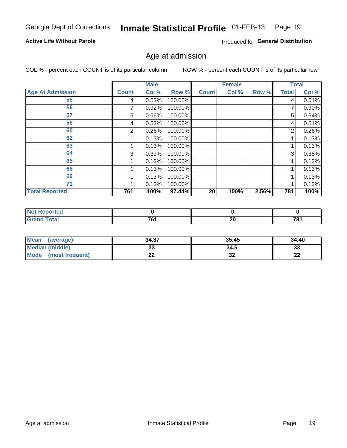#### Inmate Statistical Profile 01-FEB-13 Page 19

#### **Active Life Without Parole**

Produced for General Distribution

### Age at admission

COL % - percent each COUNT is of its particular column

|                         |              | <b>Male</b> |         |              | <b>Female</b> |       |              | <b>Total</b> |
|-------------------------|--------------|-------------|---------|--------------|---------------|-------|--------------|--------------|
| <b>Age At Admission</b> | <b>Count</b> | Col %       | Row %   | <b>Count</b> | Col %         | Row % | <b>Total</b> | Col %        |
| 55                      | 4            | 0.53%       | 100.00% |              |               |       | 4            | 0.51%        |
| 56                      |              | 0.92%       | 100.00% |              |               |       |              | 0.90%        |
| 57                      | 5            | 0.66%       | 100.00% |              |               |       | 5            | 0.64%        |
| 58                      | 4            | 0.53%       | 100.00% |              |               |       | 4            | 0.51%        |
| 60                      | 2            | 0.26%       | 100.00% |              |               |       | 2            | 0.26%        |
| 62                      |              | 0.13%       | 100.00% |              |               |       |              | 0.13%        |
| 63                      |              | 0.13%       | 100.00% |              |               |       |              | 0.13%        |
| 64                      | 3            | 0.39%       | 100.00% |              |               |       | 3            | 0.38%        |
| 65                      |              | 0.13%       | 100.00% |              |               |       |              | 0.13%        |
| 66                      |              | 0.13%       | 100.00% |              |               |       |              | 0.13%        |
| 69                      |              | 0.13%       | 100.00% |              |               |       |              | 0.13%        |
| 71                      |              | 0.13%       | 100.00% |              |               |       |              | 0.13%        |
| <b>Total Reported</b>   | 761          | 100%        | 97.44%  | 20           | 100%          | 2.56% | 781          | 100%         |

| τeα |                                    |           |                             |
|-----|------------------------------------|-----------|-----------------------------|
|     | 704<br>. .<br>$\sim$ $\sim$ $\sim$ | . .<br>ZU | 70.<br>10.<br>$\sim$ $\sim$ |

| Mean<br>(average)              | 34.37 | 35.45    | 34.40    |
|--------------------------------|-------|----------|----------|
| <b>Median (middle)</b>         | ົ     | 34.5     | າາ<br>نە |
| <b>Mode</b><br>(most frequent) | --    | ^^<br>JZ | n,<br>LL |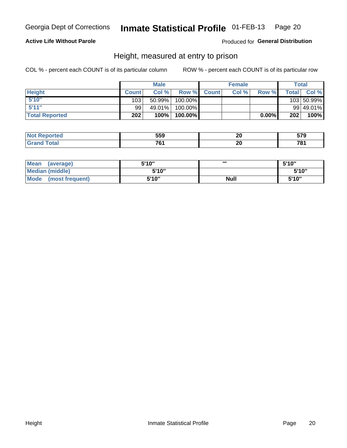#### Inmate Statistical Profile 01-FEB-13 Page 20

#### **Active Life Without Parole**

#### Produced for General Distribution

### Height, measured at entry to prison

COL % - percent each COUNT is of its particular column

|                       |              | <b>Male</b> |         |             | <b>Female</b> |       |              | Total      |
|-----------------------|--------------|-------------|---------|-------------|---------------|-------|--------------|------------|
| <b>Height</b>         | <b>Count</b> | Col%        |         | Row % Count | Col %         | Row % | <b>Total</b> | Col %      |
| 5'10''                | 103          | 50.99%      | 100.00% |             |               |       |              | 103 50.99% |
| 5'11''                | 99           | 49.01%      | 100.00% |             |               |       |              | 99 49.01%  |
| <b>Total Reported</b> | 202          | 100%        | 100.00% |             |               | 0.00% | 202          | 100%       |

| <b>Not</b><br>วrted<br>eno | 559 | חה<br>ZV<br>$\sim$ | ---<br>J 1 J |
|----------------------------|-----|--------------------|--------------|
| <b>Total</b>               | 704 | ה ה                | 704          |
| ' Grano                    |     | ZV                 | ט.           |

| <b>Mean</b><br>(average) | 5'10" | ,,,         | 5'10"  |
|--------------------------|-------|-------------|--------|
| Median (middle)          | 5'10" |             | 5'10'' |
| Mode<br>(most frequent)  | 5'10" | <b>Null</b> | 5'10"  |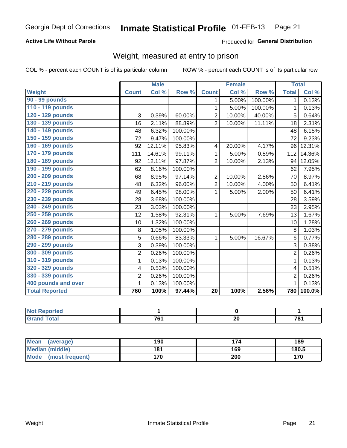#### Inmate Statistical Profile 01-FEB-13 Page 21

#### **Active Life Without Parole**

Produced for General Distribution

### Weight, measured at entry to prison

COL % - percent each COUNT is of its particular column

|                       |                | <b>Male</b> |         |                | <b>Female</b> |         | <b>Total</b>   |        |
|-----------------------|----------------|-------------|---------|----------------|---------------|---------|----------------|--------|
| <b>Weight</b>         | <b>Count</b>   | Col %       | Row %   | <b>Count</b>   | Col %         | Row %   | <b>Total</b>   | Col %  |
| 90 - 99 pounds        |                |             |         | 1              | 5.00%         | 100.00% | 1              | 0.13%  |
| 110 - 119 pounds      |                |             |         | 1              | 5.00%         | 100.00% | $\mathbf{1}$   | 0.13%  |
| 120 - 129 pounds      | 3              | 0.39%       | 60.00%  | $\overline{2}$ | 10.00%        | 40.00%  | 5              | 0.64%  |
| 130 - 139 pounds      | 16             | 2.11%       | 88.89%  | $\overline{2}$ | 10.00%        | 11.11%  | 18             | 2.31%  |
| 140 - 149 pounds      | 48             | 6.32%       | 100.00% |                |               |         | 48             | 6.15%  |
| 150 - 159 pounds      | 72             | 9.47%       | 100.00% |                |               |         | 72             | 9.23%  |
| 160 - 169 pounds      | 92             | 12.11%      | 95.83%  | 4              | 20.00%        | 4.17%   | 96             | 12.31% |
| 170 - 179 pounds      | 111            | 14.61%      | 99.11%  | 1              | 5.00%         | 0.89%   | 112            | 14.36% |
| 180 - 189 pounds      | 92             | 12.11%      | 97.87%  | $\overline{2}$ | 10.00%        | 2.13%   | 94             | 12.05% |
| 190 - 199 pounds      | 62             | 8.16%       | 100.00% |                |               |         | 62             | 7.95%  |
| 200 - 209 pounds      | 68             | 8.95%       | 97.14%  | $\overline{2}$ | 10.00%        | 2.86%   | 70             | 8.97%  |
| 210 - 219 pounds      | 48             | 6.32%       | 96.00%  | $\overline{2}$ | 10.00%        | 4.00%   | 50             | 6.41%  |
| 220 - 229 pounds      | 49             | 6.45%       | 98.00%  | 1              | 5.00%         | 2.00%   | 50             | 6.41%  |
| 230 - 239 pounds      | 28             | 3.68%       | 100.00% |                |               |         | 28             | 3.59%  |
| 240 - 249 pounds      | 23             | 3.03%       | 100.00% |                |               |         | 23             | 2.95%  |
| 250 - 259 pounds      | 12             | 1.58%       | 92.31%  | 1              | 5.00%         | 7.69%   | 13             | 1.67%  |
| 260 - 269 pounds      | 10             | 1.32%       | 100.00% |                |               |         | 10             | 1.28%  |
| 270 - 279 pounds      | 8              | 1.05%       | 100.00% |                |               |         | 8              | 1.03%  |
| 280 - 289 pounds      | 5              | 0.66%       | 83.33%  | 1              | 5.00%         | 16.67%  | 6              | 0.77%  |
| 290 - 299 pounds      | 3              | 0.39%       | 100.00% |                |               |         | 3              | 0.38%  |
| 300 - 309 pounds      | $\overline{2}$ | 0.26%       | 100.00% |                |               |         | 2              | 0.26%  |
| 310 - 319 pounds      | 1              | 0.13%       | 100.00% |                |               |         | 1              | 0.13%  |
| 320 - 329 pounds      | 4              | 0.53%       | 100.00% |                |               |         | 4              | 0.51%  |
| 330 - 339 pounds      | $\overline{2}$ | 0.26%       | 100.00% |                |               |         | $\overline{2}$ | 0.26%  |
| 400 pounds and over   | 1              | 0.13%       | 100.00% |                |               |         | 1              | 0.13%  |
| <b>Total Reported</b> | 760            | 100%        | 97.44%  | 20             | 100%          | 2.56%   | 780            | 100.0% |

| . Reported<br>NOT.<br>$\sim$ |                 |          |     |
|------------------------------|-----------------|----------|-----|
| <b>Total</b>                 | 70 <sub>1</sub> | <u>_</u> | 704 |

| <b>Mean</b><br>(average)       | 190 |     | 189   |
|--------------------------------|-----|-----|-------|
| <b>Median (middle)</b>         | 181 | 169 | 180.5 |
| <b>Mode</b><br>(most frequent) | 170 | 200 | 170   |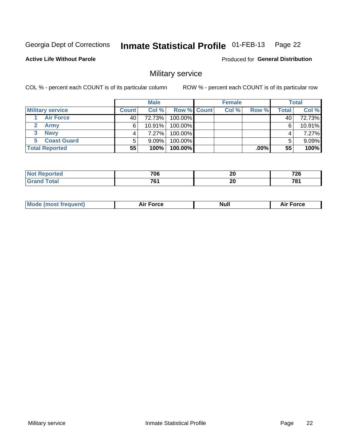#### Inmate Statistical Profile 01-FEB-13 Page 22

#### **Active Life Without Parole**

**Produced for General Distribution** 

### Military service

COL % - percent each COUNT is of its particular column

|                         |       | <b>Male</b> |                    | <b>Female</b> |       |       | <b>Total</b> |
|-------------------------|-------|-------------|--------------------|---------------|-------|-------|--------------|
| <b>Military service</b> | Count | Col%        | <b>Row % Count</b> | Col %         | Row % | Total | Col %        |
| <b>Air Force</b>        | 40    | 72.73%      | 100.00%            |               |       | 40    | 72.73%       |
| <b>Army</b>             | 6     | 10.91%      | 100.00%            |               |       | 6     | 10.91%       |
| <b>Navy</b><br>3        |       | $7.27\%$    | 100.00%            |               |       |       | 7.27%        |
| <b>Coast Guard</b>      | 5     | $9.09\%$    | 100.00%            |               |       |       | 9.09%        |
| <b>Total Reported</b>   | 55    | 100%        | 100.00%            |               | .00%  | 55    | 100%         |

|   | 706                | ״<br>Zu | –~^<br><u>.</u>      |
|---|--------------------|---------|----------------------|
| . | 704<br>. .<br>____ | ״<br>ZU | 70,<br>$\sim$ $\sim$ |

| Mode (most frequent) | <b>Force</b><br>Aır | <b>Null</b> | ∙orce<br>AI. |
|----------------------|---------------------|-------------|--------------|
|                      |                     |             |              |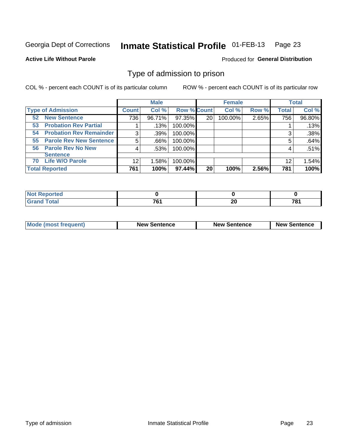#### Inmate Statistical Profile 01-FEB-13 Page 23

**Active Life Without Parole** 

**Produced for General Distribution** 

### Type of admission to prison

COL % - percent each COUNT is of its particular column

|                                      |              | <b>Male</b> |                    |    | <b>Female</b> |       |              | <b>Total</b> |
|--------------------------------------|--------------|-------------|--------------------|----|---------------|-------|--------------|--------------|
| <b>Type of Admission</b>             | <b>Count</b> | Col %       | <b>Row % Count</b> |    | Col %         | Row % | <b>Total</b> | Col %        |
| <b>New Sentence</b><br>52            | 736          | 96.71%      | 97.35%             | 20 | 100.00%       | 2.65% | 756          | 96.80%       |
| <b>Probation Rev Partial</b><br>53   |              | .13%        | 100.00%            |    |               |       |              | .13%         |
| <b>Probation Rev Remainder</b><br>54 | 3            | .39%        | 100.00%            |    |               |       | 3            | .38%         |
| <b>Parole Rev New Sentence</b><br>55 | 5            | .66%        | 100.00%            |    |               |       | 5            | .64%         |
| 56 Parole Rev No New                 | 4            | .53%        | 100.00%            |    |               |       | 4            | .51%         |
| <b>Sentence</b>                      |              |             |                    |    |               |       |              |              |
| <b>Life W/O Parole</b><br>70         | 12           | 1.58%       | 100.00%            |    |               |       | 12           | 1.54%        |
| <b>Total Reported</b>                | 761          | 100%        | 97.44%             | 20 | 100%          | 2.56% | 781          | 100%         |

| Reported<br><b>N</b> |               |    |     |
|----------------------|---------------|----|-----|
| <b>otal</b>          | $\rightarrow$ | ^' | 70  |
| $\mathbf{v}$ and     | u             | ∠  | ט ו |

| <b>Mode (most frequent)</b> | <b>New Sentence</b> | <b>New Sentence</b> | <b>New Sentence</b> |
|-----------------------------|---------------------|---------------------|---------------------|
|                             |                     |                     |                     |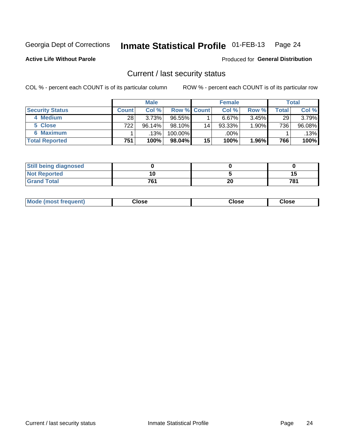## Inmate Statistical Profile 01-FEB-13 Page 24

**Active Life Without Parole** 

#### **Produced for General Distribution**

### Current / last security status

COL % - percent each COUNT is of its particular column

|                        |                  | <b>Male</b> |                    |    | <b>Female</b> |          |                    | <b>Total</b> |
|------------------------|------------------|-------------|--------------------|----|---------------|----------|--------------------|--------------|
| <b>Security Status</b> | <b>Count</b>     | Col %       | <b>Row % Count</b> |    | Col %         | Row %    | Total <sub>I</sub> | Col %        |
| 4 Medium               | 28               | 3.73%       | $96.55\%$          |    | 6.67%         | $3.45\%$ | 29                 | $3.79\%$     |
| 5 Close                | 722 <sub>1</sub> | $96.14\%$   | 98.10%             | 14 | 93.33%        | 1.90%    | 736                | $96.08\%$    |
| 6 Maximum              |                  | $.13\%$     | 100.00%            |    | .00%          |          |                    | .13%         |
| <b>Total Reported</b>  | 751              | 100%        | 98.04%             | 15 | 100%          | $1.96\%$ | 766                | 100%         |

| <b>Still being diagnosed</b> |     |    |     |
|------------------------------|-----|----|-----|
| <b>Not Reported</b>          |     |    |     |
| <b>Grand Total</b>           | 761 | 20 | 78′ |

| Mode (most frequent) | Close | Close | <b>Close</b> |
|----------------------|-------|-------|--------------|
|                      |       |       |              |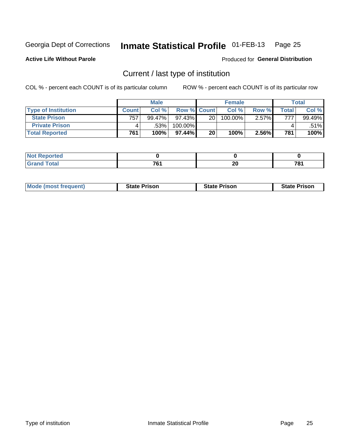#### Inmate Statistical Profile 01-FEB-13 Page 25

**Active Life Without Parole** 

Produced for General Distribution

### Current / last type of institution

COL % - percent each COUNT is of its particular column

|                            |              | <b>Male</b> |                    |                 | <b>Female</b> |       |                    | <b>Total</b> |
|----------------------------|--------------|-------------|--------------------|-----------------|---------------|-------|--------------------|--------------|
| <b>Type of Institution</b> | <b>Count</b> | Col %       | <b>Row % Count</b> |                 | Col %         | Row % | $\mathsf{Total}$ i | Col %        |
| <b>State Prison</b>        | 757          | 99.47%      | $97.43\%$          | 20 <sup>1</sup> | 100.00%       | 2.57% | 777.               | 99.49%       |
| <b>Private Prison</b>      |              | .53%        | 100.00%            |                 |               |       |                    | .51%         |
| <b>Total Reported</b>      | 761          | 100%        | $97.44\%$          | 20 <sub>1</sub> | 100%          | 2.56% | 781                | 100%         |

| τeα          |     |    |    |
|--------------|-----|----|----|
| <b>Total</b> | 704 | ״  | 70 |
| $-$          |     | Δu | o  |

| <b>Mode (most frequent)</b> | <b>State Prison</b> | <b>State Prison</b> | <b>State Prison</b> |
|-----------------------------|---------------------|---------------------|---------------------|
|                             |                     |                     |                     |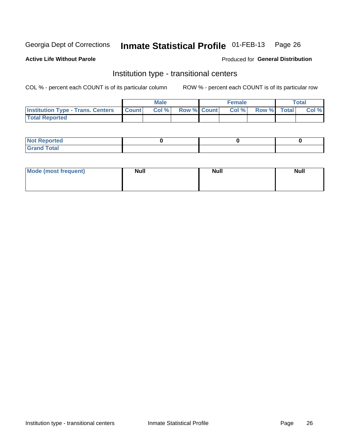#### Inmate Statistical Profile 01-FEB-13 Page 26

#### **Active Life Without Parole**

#### Produced for General Distribution

### Institution type - transitional centers

COL % - percent each COUNT is of its particular column

|                                                | Male  |                    | <b>Female</b> |                   | Total |
|------------------------------------------------|-------|--------------------|---------------|-------------------|-------|
| <b>Institution Type - Trans. Centers Count</b> | Col % | <b>Row % Count</b> |               | Col % Row % Total | Col % |
| <b>Total Reported</b>                          |       |                    |               |                   |       |

| <b>Reported</b><br><b>NOT</b><br>$\sim$            |  |  |
|----------------------------------------------------|--|--|
| $f$ $f \circ f \circ f$<br>$C = 1$<br><b>TULAI</b> |  |  |

| Mode (most frequent) | <b>Null</b> | <b>Null</b> | <b>Null</b> |
|----------------------|-------------|-------------|-------------|
|                      |             |             |             |
|                      |             |             |             |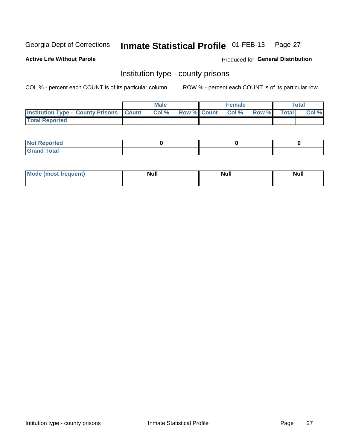#### Inmate Statistical Profile 01-FEB-13 Page 27

**Active Life Without Parole** 

**Produced for General Distribution** 

### Institution type - county prisons

COL % - percent each COUNT is of its particular column

|                                                    | <b>Male</b> |  | <b>Female</b>            |             | Total |
|----------------------------------------------------|-------------|--|--------------------------|-------------|-------|
| <b>Institution Type - County Prisons   Count  </b> | Col %       |  | <b>Row % Count Col %</b> | Row % Total | Col % |
| <b>Total Reported</b>                              |             |  |                          |             |       |

| <b>Not Reported</b>         |  |  |
|-----------------------------|--|--|
| <b>Total</b><br>-<br>______ |  |  |

| <b>Mode</b>      | <b>Null</b> | <b>Null</b> | <b>Null</b> |
|------------------|-------------|-------------|-------------|
| (most freauent). |             |             |             |
|                  |             |             |             |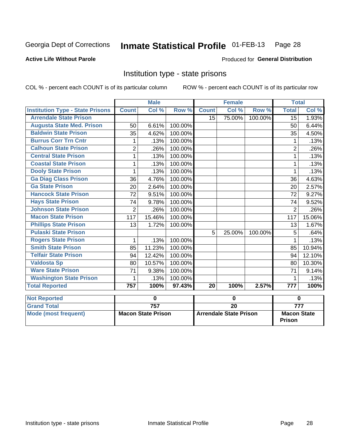## Inmate Statistical Profile 01-FEB-13 Page 28

#### **Active Life Without Parole**

#### Produced for General Distribution

#### Institution type - state prisons

COL % - percent each COUNT is of its particular column ROW % - percent each COUNT is of its particular row

|                                         |                | <b>Male</b>               |         |                 | <b>Female</b>                 |         | <b>Total</b>                        |                  |
|-----------------------------------------|----------------|---------------------------|---------|-----------------|-------------------------------|---------|-------------------------------------|------------------|
| <b>Institution Type - State Prisons</b> | <b>Count</b>   | Col %                     | Row %   | <b>Count</b>    | Col %                         | Row %   | <b>Total</b>                        | Col %            |
| <b>Arrendale State Prison</b>           |                |                           |         | 15              | 75.00%                        | 100.00% | $\overline{15}$                     | 1.93%            |
| <b>Augusta State Med. Prison</b>        | 50             | 6.61%                     | 100.00% |                 |                               |         | 50                                  | 6.44%            |
| <b>Baldwin State Prison</b>             | 35             | 4.62%                     | 100.00% |                 |                               |         | 35                                  | 4.50%            |
| <b>Burrus Corr Trn Cntr</b>             | 1              | .13%                      | 100.00% |                 |                               |         | 1                                   | .13%             |
| <b>Calhoun State Prison</b>             | $\overline{2}$ | .26%                      | 100.00% |                 |                               |         | $\overline{2}$                      | .26%             |
| <b>Central State Prison</b>             | 1              | .13%                      | 100.00% |                 |                               |         | 1                                   | .13%             |
| <b>Coastal State Prison</b>             | 1              | .13%                      | 100.00% |                 |                               |         | 1                                   | .13%             |
| <b>Dooly State Prison</b>               | 1              | .13%                      | 100.00% |                 |                               |         | 1                                   | .13%             |
| <b>Ga Diag Class Prison</b>             | 36             | 4.76%                     | 100.00% |                 |                               |         | 36                                  | 4.63%            |
| <b>Ga State Prison</b>                  | 20             | 2.64%                     | 100.00% |                 |                               |         | 20                                  | 2.57%            |
| <b>Hancock State Prison</b>             | 72             | 9.51%                     | 100.00% |                 |                               |         | 72                                  | 9.27%            |
| <b>Hays State Prison</b>                | 74             | 9.78%                     | 100.00% |                 |                               |         | 74                                  | 9.52%            |
| <b>Johnson State Prison</b>             | $\overline{2}$ | .26%                      | 100.00% |                 |                               |         | $\overline{2}$                      | .26%             |
| <b>Macon State Prison</b>               | 117            | 15.46%                    | 100.00% |                 |                               |         | 117                                 | 15.06%           |
| <b>Phillips State Prison</b>            | 13             | 1.72%                     | 100.00% |                 |                               |         | 13                                  | 1.67%            |
| <b>Pulaski State Prison</b>             |                |                           |         | 5               | 25.00%                        | 100.00% | 5                                   | .64%             |
| <b>Rogers State Prison</b>              | 1              | .13%                      | 100.00% |                 |                               |         | 1                                   | .13%             |
| <b>Smith State Prison</b>               | 85             | 11.23%                    | 100.00% |                 |                               |         | 85                                  | 10.94%           |
| <b>Telfair State Prison</b>             | 94             | 12.42%                    | 100.00% |                 |                               |         | 94                                  | 12.10%           |
| <b>Valdosta Sp</b>                      | 80             | 10.57%                    | 100.00% |                 |                               |         | 80                                  | 10.30%           |
| <b>Ware State Prison</b>                | 71             | 9.38%                     | 100.00% |                 |                               |         | 71                                  | 9.14%            |
| <b>Washington State Prison</b>          | 1              | .13%                      | 100.00% |                 |                               |         | 1                                   | .13%             |
| <b>Total Reported</b>                   | 757            | 100%                      | 97.43%  | 20              | 100%                          | 2.57%   | $\overline{777}$                    | 100%             |
| <b>Not Reported</b>                     |                | 0                         |         |                 | 0                             |         |                                     | 0                |
| <b>Grand Total</b>                      |                | 757                       |         | $\overline{20}$ |                               |         |                                     | $\overline{777}$ |
| <b>Mode (most frequent)</b>             |                | <b>Macon State Prison</b> |         |                 | <b>Arrendale State Prison</b> |         | <b>Macon State</b><br><b>Prison</b> |                  |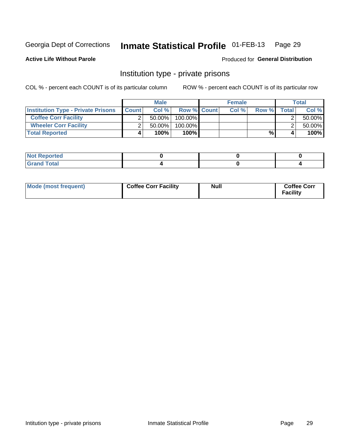## Inmate Statistical Profile 01-FEB-13 Page 29

**Active Life Without Parole** 

Produced for General Distribution

### Institution type - private prisons

COL % - percent each COUNT is of its particular column

|                                           |              | <b>Male</b> |                    | <b>Female</b> |       |       | Total  |
|-------------------------------------------|--------------|-------------|--------------------|---------------|-------|-------|--------|
| <b>Institution Type - Private Prisons</b> | <b>Count</b> | Col %       | <b>Row % Count</b> | Col %         | Row % | Total | Col %  |
| <b>Coffee Corr Facility</b>               |              | $50.00\%$   | $100.00\%$         |               |       |       | 50.00% |
| <b>Wheeler Corr Facility</b>              |              | $50.00\%$   | 100.00%            |               |       |       | 50.00% |
| <b>Total Reported</b>                     | 4            | 100%        | $100\%$            |               | %     |       | 100%   |

| <b>POLIED</b><br>1101110 |  |  |
|--------------------------|--|--|
|                          |  |  |

| Mode (most frequent) | <b>Coffee Corr Facility</b> | <b>Null</b> | <b>Coffee Corr</b><br><b>Facility</b> |
|----------------------|-----------------------------|-------------|---------------------------------------|
|----------------------|-----------------------------|-------------|---------------------------------------|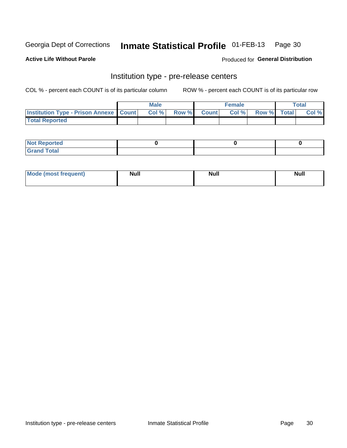## Inmate Statistical Profile 01-FEB-13 Page 30

**Active Life Without Parole** 

Produced for General Distribution

## Institution type - pre-release centers

COL % - percent each COUNT is of its particular column

|                                                   | <b>Male</b> |              |       | <b>Female</b> |                    | <b>Total</b> |
|---------------------------------------------------|-------------|--------------|-------|---------------|--------------------|--------------|
| <b>Institution Type - Prison Annexe   Count  </b> | Col %       | <b>Row %</b> | Count | Col %         | <b>Row %</b> Total | Col %        |
| <b>Total Reported</b>                             |             |              |       |               |                    |              |

| <b>Reported</b><br>I NOT |  |  |
|--------------------------|--|--|
| <b>Total</b><br>$C$ ren  |  |  |

| $^{\prime}$ Mo <sub>t</sub><br>frequent)<br>⊥(most | <b>Null</b> | Noll<br><b>vull</b> | <b>Null</b> |
|----------------------------------------------------|-------------|---------------------|-------------|
|                                                    |             |                     |             |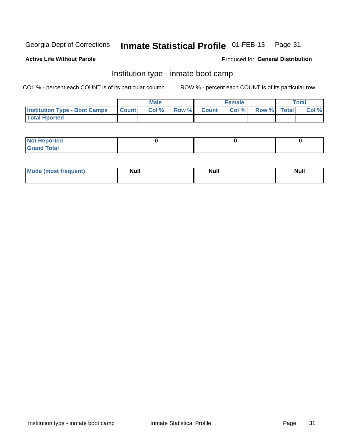#### Inmate Statistical Profile 01-FEB-13 Page 31

#### **Active Life Without Parole**

#### Produced for General Distribution

### Institution type - inmate boot camp

COL % - percent each COUNT is of its particular column

|                                            | <b>Male</b> |                    | <b>Female</b> |             | <b>Total</b> |
|--------------------------------------------|-------------|--------------------|---------------|-------------|--------------|
| <b>Institution Type - Boot Camps Count</b> | Col%        | <b>Row % Count</b> | Col%          | Row % Total | Col %        |
| <b>Total Rported</b>                       |             |                    |               |             |              |

| <b>Not Reported</b> |  |  |
|---------------------|--|--|
| <b>Total</b><br>Cro |  |  |

| <b>I Mode (most frequent)</b> | <b>Null</b> | <b>Null</b> | <b>Null</b> |
|-------------------------------|-------------|-------------|-------------|
|                               |             |             |             |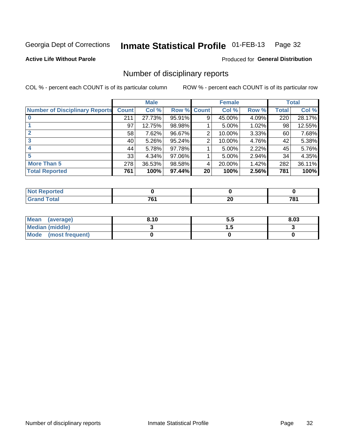#### Inmate Statistical Profile 01-FEB-13 Page 32

**Active Life Without Parole** 

#### **Produced for General Distribution**

### Number of disciplinary reports

COL % - percent each COUNT is of its particular column

|                                       |              | <b>Male</b> |             |                 | <b>Female</b> |          |       | <b>Total</b> |
|---------------------------------------|--------------|-------------|-------------|-----------------|---------------|----------|-------|--------------|
| <b>Number of Disciplinary Reports</b> | <b>Count</b> | Col %       | Row % Count |                 | Col %         | Row %    | Total | Col %        |
|                                       | 211          | 27.73%      | 95.91%      | 9               | 45.00%        | 4.09%    | 220   | 28.17%       |
|                                       | 97           | 12.75%      | 98.98%      |                 | 5.00%         | 1.02%    | 98    | 12.55%       |
| $\mathbf{2}$                          | 58           | 7.62%       | 96.67%      | 2               | 10.00%        | $3.33\%$ | 60    | 7.68%        |
| 3                                     | 40           | $5.26\%$    | 95.24%      | 2               | 10.00%        | 4.76%    | 42    | 5.38%        |
|                                       | 44           | 5.78%       | 97.78%      |                 | 5.00%         | 2.22%    | 45    | 5.76%        |
| 5                                     | 33           | 4.34%       | 97.06%      |                 | 5.00%         | 2.94%    | 34    | 4.35%        |
| <b>More Than 5</b>                    | 278          | 36.53%      | 98.58%      | 4               | 20.00%        | 1.42%    | 282   | 36.11%       |
| <b>Total Reported</b>                 | 761          | 100%        | 97.44%      | 20 <sup>°</sup> | 100%          | 2.56%    | 781   | 100%         |

| prted<br>NOT |                |     |     |
|--------------|----------------|-----|-----|
| Total        | $\overline{ }$ | ה ה | 70. |
|              | u              | ZV  | 1 O |

| Mean (average)       | 8.10 | ວ.ວ | 8.03 |
|----------------------|------|-----|------|
| Median (middle)      |      |     |      |
| Mode (most frequent) |      |     |      |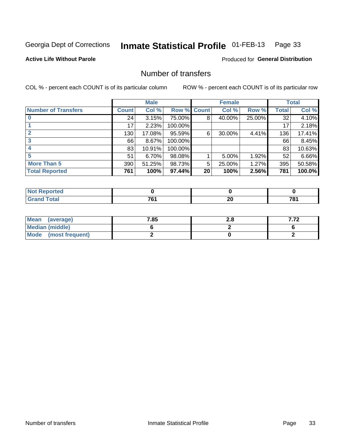#### Inmate Statistical Profile 01-FEB-13 Page 33

**Active Life Without Parole** 

**Produced for General Distribution** 

### Number of transfers

COL % - percent each COUNT is of its particular column

|                            |         | <b>Male</b> |         |                 | <b>Female</b> |        |              | <b>Total</b> |
|----------------------------|---------|-------------|---------|-----------------|---------------|--------|--------------|--------------|
| <b>Number of Transfers</b> | Count l | Col %       | Row %   | <b>Count</b>    | Col %         | Row %  | <b>Total</b> | Col %        |
|                            | 24      | 3.15%       | 75.00%  | 8               | 40.00%        | 25.00% | 32           | 4.10%        |
|                            | 17      | 2.23%       | 100.00% |                 |               |        | 17           | 2.18%        |
|                            | 130     | 17.08%      | 95.59%  | 6               | 30.00%        | 4.41%  | 136          | 17.41%       |
| 3                          | 66      | 8.67%       | 100.00% |                 |               |        | 66           | 8.45%        |
|                            | 83      | 10.91%      | 100.00% |                 |               |        | 83           | 10.63%       |
| 5                          | 51      | $6.70\%$    | 98.08%  |                 | 5.00%         | 1.92%  | 52           | 6.66%        |
| <b>More Than 5</b>         | 390     | 51.25%      | 98.73%  | 5               | 25.00%        | 1.27%  | 395          | 50.58%       |
| <b>Total Reported</b>      | 761     | 100%        | 97.44%  | 20 <sup>°</sup> | 100%          | 2.56%  | 781          | 100.0%       |

| prted<br>NOT |                |     |     |
|--------------|----------------|-----|-----|
| Total        | $\overline{ }$ | ה ה | 70. |
|              | u              | ZV  | 1 O |

| Mean (average)       | 7.85 | z.o | 770 |
|----------------------|------|-----|-----|
| Median (middle)      |      |     |     |
| Mode (most frequent) |      |     |     |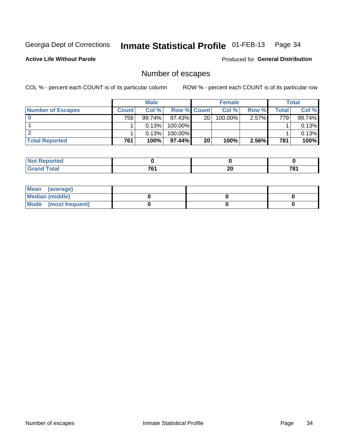#### Inmate Statistical Profile 01-FEB-13 Page 34

**Active Life Without Parole** 

**Produced for General Distribution** 

### Number of escapes

COL % - percent each COUNT is of its particular column

|                          |         | <b>Male</b> |                    |    | <b>Female</b> |          |       | <b>Total</b> |
|--------------------------|---------|-------------|--------------------|----|---------------|----------|-------|--------------|
| <b>Number of Escapes</b> | Count l | Col %       | <b>Row % Count</b> |    | Col %         | Row %    | Total | Col %        |
|                          | 759     | 99.74%      | $97.43\%$          | 20 | $100.00\%$    | $2.57\%$ | 779   | 99.74%       |
|                          |         | 0.13%       | 100.00%            |    |               |          |       | 0.13%        |
|                          |         | 0.13%       | $100.00\%$         |    |               |          |       | 0.13%        |
| <b>Total Reported</b>    | 761     | 100%        | $97.44\%$          | 20 | 100%          | 2.56%    | 781   | 100%         |

| <b>Not Reported</b> |                          |     |     |
|---------------------|--------------------------|-----|-----|
| <b>Total</b>        | $\overline{\phantom{a}}$ | ה ה | 781 |
| Grand               | ו ש                      | ZU  |     |

| Mean (average)       |  |  |
|----------------------|--|--|
| Median (middle)      |  |  |
| Mode (most frequent) |  |  |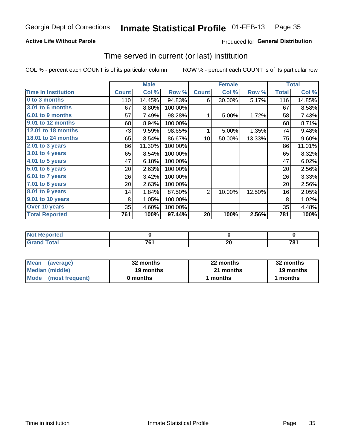#### Inmate Statistical Profile 01-FEB-13 Page 35

#### **Active Life Without Parole**

#### Produced for General Distribution

### Time served in current (or last) institution

COL % - percent each COUNT is of its particular column

|                            |              | <b>Male</b> |         |                 | <b>Female</b> |        |              | <b>Total</b> |
|----------------------------|--------------|-------------|---------|-----------------|---------------|--------|--------------|--------------|
| <b>Time In Institution</b> | <b>Count</b> | Col %       | Row %   | <b>Count</b>    | Col %         | Row %  | <b>Total</b> | Col %        |
| 0 to 3 months              | 110          | 14.45%      | 94.83%  | 6               | 30.00%        | 5.17%  | 116          | 14.85%       |
| <b>3.01 to 6 months</b>    | 67           | 8.80%       | 100.00% |                 |               |        | 67           | 8.58%        |
| 6.01 to 9 months           | 57           | 7.49%       | 98.28%  | 1               | 5.00%         | 1.72%  | 58           | 7.43%        |
| 9.01 to 12 months          | 68           | 8.94%       | 100.00% |                 |               |        | 68           | 8.71%        |
| 12.01 to 18 months         | 73           | 9.59%       | 98.65%  | 1               | 5.00%         | 1.35%  | 74           | 9.48%        |
| <b>18.01 to 24 months</b>  | 65           | 8.54%       | 86.67%  | 10 <sup>1</sup> | 50.00%        | 13.33% | 75           | 9.60%        |
| 2.01 to 3 years            | 86           | 11.30%      | 100.00% |                 |               |        | 86           | 11.01%       |
| 3.01 to 4 years            | 65           | 8.54%       | 100.00% |                 |               |        | 65           | 8.32%        |
| $4.01$ to 5 years          | 47           | 6.18%       | 100.00% |                 |               |        | 47           | 6.02%        |
| 5.01 to 6 years            | 20           | 2.63%       | 100.00% |                 |               |        | 20           | 2.56%        |
| 6.01 to 7 years            | 26           | 3.42%       | 100.00% |                 |               |        | 26           | 3.33%        |
| $7.01$ to 8 years          | 20           | 2.63%       | 100.00% |                 |               |        | 20           | 2.56%        |
| 8.01 to 9 years            | 14           | 1.84%       | 87.50%  | $\overline{2}$  | 10.00%        | 12.50% | 16           | 2.05%        |
| 9.01 to 10 years           | 8            | 1.05%       | 100.00% |                 |               |        | 8            | 1.02%        |
| Over 10 years              | 35           | 4.60%       | 100.00% |                 |               |        | 35           | 4.48%        |
| <b>Total Reported</b>      | 761          | 100%        | 97.44%  | 20              | 100%          | 2.56%  | 781          | 100%         |

| Reported<br><b>NOT</b> |                                |          |                              |
|------------------------|--------------------------------|----------|------------------------------|
| T <sub>of</sub>        | 704<br>$\cdot$ $\cdot$ $\cdot$ | ^^<br>ZU | 70.<br>0 <sup>/</sup><br>___ |

| <b>Mean</b><br>(average) | 32 months | 22 months | 32 months |
|--------------------------|-----------|-----------|-----------|
| Median (middle)          | 19 months | 21 months | 19 months |
| Mode (most frequent)     | 0 months  | 1 months  | 1 months  |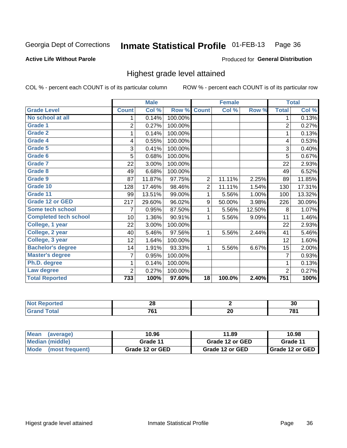#### Inmate Statistical Profile 01-FEB-13 Page 36

#### **Active Life Without Parole**

#### Produced for General Distribution

### Highest grade level attained

COL % - percent each COUNT is of its particular column

|                              |                | <b>Male</b> |         |                 | <b>Female</b> |        |                  | <b>Total</b> |
|------------------------------|----------------|-------------|---------|-----------------|---------------|--------|------------------|--------------|
| <b>Grade Level</b>           | <b>Count</b>   | Col %       | Row %   | <b>Count</b>    | Col %         | Row %  | <b>Total</b>     | Col %        |
| No school at all             | 1              | 0.14%       | 100.00% |                 |               |        | 1                | 0.13%        |
| <b>Grade 1</b>               | $\overline{c}$ | 0.27%       | 100.00% |                 |               |        | 2                | 0.27%        |
| <b>Grade 2</b>               | 1              | 0.14%       | 100.00% |                 |               |        | 1                | 0.13%        |
| Grade 4                      | 4              | 0.55%       | 100.00% |                 |               |        | 4                | 0.53%        |
| Grade 5                      | 3              | 0.41%       | 100.00% |                 |               |        | 3                | 0.40%        |
| Grade 6                      | 5              | 0.68%       | 100.00% |                 |               |        | 5                | 0.67%        |
| <b>Grade 7</b>               | 22             | 3.00%       | 100.00% |                 |               |        | 22               | 2.93%        |
| <b>Grade 8</b>               | 49             | 6.68%       | 100.00% |                 |               |        | 49               | 6.52%        |
| <b>Grade 9</b>               | 87             | 11.87%      | 97.75%  | 2               | 11.11%        | 2.25%  | 89               | 11.85%       |
| Grade 10                     | 128            | 17.46%      | 98.46%  | $\overline{2}$  | 11.11%        | 1.54%  | 130              | 17.31%       |
| Grade 11                     | 99             | 13.51%      | 99.00%  | 1               | 5.56%         | 1.00%  | 100              | 13.32%       |
| <b>Grade 12 or GED</b>       | 217            | 29.60%      | 96.02%  | 9               | 50.00%        | 3.98%  | 226              | 30.09%       |
| Some tech school             | 7              | 0.95%       | 87.50%  | 1               | 5.56%         | 12.50% | 8                | 1.07%        |
| <b>Completed tech school</b> | 10             | 1.36%       | 90.91%  | 1               | 5.56%         | 9.09%  | 11               | 1.46%        |
| College, 1 year              | 22             | 3.00%       | 100.00% |                 |               |        | 22               | 2.93%        |
| College, 2 year              | 40             | 5.46%       | 97.56%  | 1               | 5.56%         | 2.44%  | 41               | 5.46%        |
| College, 3 year              | 12             | 1.64%       | 100.00% |                 |               |        | 12               | 1.60%        |
| <b>Bachelor's degree</b>     | 14             | 1.91%       | 93.33%  | 1               | 5.56%         | 6.67%  | 15               | 2.00%        |
| <b>Master's degree</b>       | 7              | 0.95%       | 100.00% |                 |               |        | 7                | 0.93%        |
| Ph.D. degree                 | 1              | 0.14%       | 100.00% |                 |               |        | 1                | 0.13%        |
| Law degree                   | 2              | 0.27%       | 100.00% |                 |               |        | $\overline{2}$   | 0.27%        |
| <b>Total Reported</b>        | 733            | 100%        | 97.60%  | $\overline{18}$ | 100.0%        | 2.40%  | $\overline{751}$ | 100%         |

| $\blacksquare$ | - -<br>. .<br>ΔU |    | $\sim$<br>ึงบ |
|----------------|------------------|----|---------------|
|                | -^               | ^^ | 70            |
|                | υ                | ZV | u             |

| Mean<br>(average)    | 10.96           | 11.89           | 10.98                    |
|----------------------|-----------------|-----------------|--------------------------|
| Median (middle)      | Grade 11        | Grade 12 or GED | Grade 11                 |
| Mode (most frequent) | Grade 12 or GED | Grade 12 or GED | <b>I</b> Grade 12 or GED |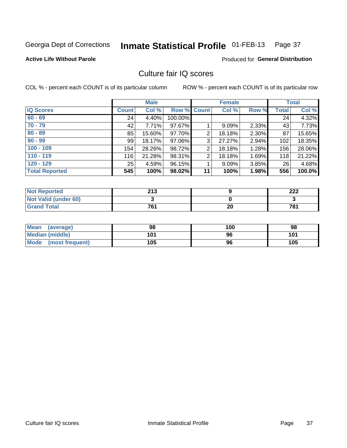### Inmate Statistical Profile 01-FEB-13 Page 37

**Active Life Without Parole** 

Produced for General Distribution

# Culture fair IQ scores

COL % - percent each COUNT is of its particular column

|                       |              | <b>Male</b> |             |    | <b>Female</b> |       |              | <b>Total</b> |
|-----------------------|--------------|-------------|-------------|----|---------------|-------|--------------|--------------|
| <b>IQ Scores</b>      | <b>Count</b> | Col %       | Row % Count |    | Col %         | Row % | <b>Total</b> | Col %        |
| $60 - 69$             | 24           | 4.40%       | 100.00%     |    |               |       | 24           | 4.32%        |
| $70 - 79$             | 42           | 7.71%       | 97.67%      |    | 9.09%         | 2.33% | 43           | 7.73%        |
| $80 - 89$             | 85           | 15.60%      | 97.70%      | 2  | 18.18%        | 2.30% | 87           | 15.65%       |
| $90 - 99$             | 99           | 18.17%      | 97.06%      | 3  | 27.27%        | 2.94% | 102          | 18.35%       |
| $100 - 109$           | 154          | 28.26%      | 98.72%      | 2  | 18.18%        | 1.28% | 156          | 28.06%       |
| $110 - 119$           | 116          | 21.28%      | 98.31%      | 2  | 18.18%        | 1.69% | 118          | 21.22%       |
| $120 - 129$           | 25           | 4.59%       | 96.15%      |    | 9.09%         | 3.85% | 26           | 4.68%        |
| <b>Total Reported</b> | 545          | 100%        | 98.02%      | 11 | 100%          | 1.98% | 556          | 100.0%       |

| <b>Not Reported</b>         | 213 |    | າາາ<br>ZZZ |
|-----------------------------|-----|----|------------|
| <b>Not Valid (under 60)</b> |     |    |            |
| <b>Grand Total</b>          | 761 | 20 | 781        |

| Mean (average)       | 98  | 100 | 98  |
|----------------------|-----|-----|-----|
| Median (middle)      | 101 | 96  | 101 |
| Mode (most frequent) | 105 | 96  | 105 |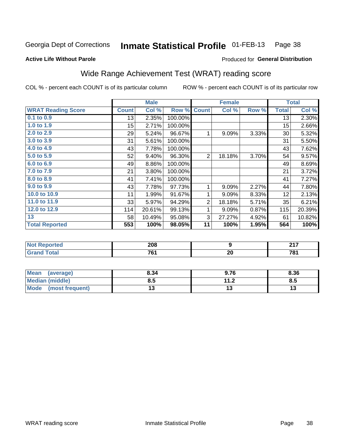### Inmate Statistical Profile 01-FEB-13 Page 38

### **Active Life Without Parole**

## Produced for General Distribution

# Wide Range Achievement Test (WRAT) reading score

COL % - percent each COUNT is of its particular column

|                           |              | <b>Male</b> |         |                | <b>Female</b> |       |              | <b>Total</b> |
|---------------------------|--------------|-------------|---------|----------------|---------------|-------|--------------|--------------|
| <b>WRAT Reading Score</b> | <b>Count</b> | Col %       | Row %   | <b>Count</b>   | Col %         | Row % | <b>Total</b> | Col %        |
| $0.1$ to $0.9$            | 13           | 2.35%       | 100.00% |                |               |       | 13           | 2.30%        |
| 1.0 to 1.9                | 15           | 2.71%       | 100.00% |                |               |       | 15           | 2.66%        |
| 2.0 to 2.9                | 29           | 5.24%       | 96.67%  | 1              | 9.09%         | 3.33% | 30           | 5.32%        |
| 3.0 to 3.9                | 31           | 5.61%       | 100.00% |                |               |       | 31           | 5.50%        |
| 4.0 to 4.9                | 43           | 7.78%       | 100.00% |                |               |       | 43           | 7.62%        |
| 5.0 to 5.9                | 52           | 9.40%       | 96.30%  | $\overline{2}$ | 18.18%        | 3.70% | 54           | 9.57%        |
| 6.0 to 6.9                | 49           | 8.86%       | 100.00% |                |               |       | 49           | 8.69%        |
| 7.0 to 7.9                | 21           | 3.80%       | 100.00% |                |               |       | 21           | 3.72%        |
| 8.0 to 8.9                | 41           | 7.41%       | 100.00% |                |               |       | 41           | 7.27%        |
| 9.0 to 9.9                | 43           | 7.78%       | 97.73%  | 1              | 9.09%         | 2.27% | 44           | 7.80%        |
| 10.0 to 10.9              | 11           | 1.99%       | 91.67%  | 1              | 9.09%         | 8.33% | 12           | 2.13%        |
| 11.0 to 11.9              | 33           | 5.97%       | 94.29%  | $\overline{2}$ | 18.18%        | 5.71% | 35           | 6.21%        |
| 12.0 to 12.9              | 114          | 20.61%      | 99.13%  | 1              | 9.09%         | 0.87% | 115          | 20.39%       |
| 13                        | 58           | 10.49%      | 95.08%  | 3              | 27.27%        | 4.92% | 61           | 10.82%       |
| <b>Total Reported</b>     | 553          | 100%        | 98.05%  | 11             | 100%          | 1.95% | 564          | 100%         |

| <b>Not Reported</b> | 208 |     | 247<br>. |
|---------------------|-----|-----|----------|
| <b>Total</b>        | 704 | nr. | 7۵۰      |
| Grand               |     | ZU  | 1 O I    |

| <b>Mean</b><br>(average)       | 8.34 | 9.76                | 8.36 |
|--------------------------------|------|---------------------|------|
| Median (middle)                | ช. ა | 112<br>. . <u>.</u> | Ծ.J  |
| <b>Mode</b><br>(most frequent) |      |                     | יי   |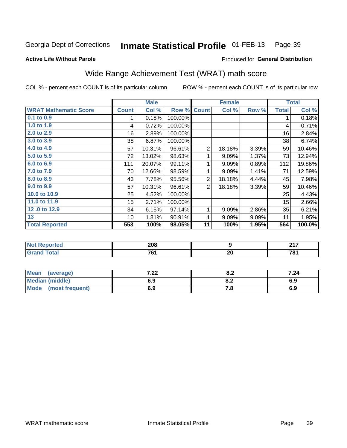### Inmate Statistical Profile 01-FEB-13 Page 39

### **Active Life Without Parole**

## Produced for General Distribution

# Wide Range Achievement Test (WRAT) math score

COL % - percent each COUNT is of its particular column

|                              |              | <b>Male</b> |         |                | <b>Female</b>    |       |              | <b>Total</b>         |
|------------------------------|--------------|-------------|---------|----------------|------------------|-------|--------------|----------------------|
| <b>WRAT Mathematic Score</b> | <b>Count</b> | Col %       | Row %   | <b>Count</b>   | Col %            | Row % | <b>Total</b> | Col %                |
| 0.1 to 0.9                   |              | 0.18%       | 100.00% |                |                  |       | 1            | 0.18%                |
| 1.0 to 1.9                   | 4            | 0.72%       | 100.00% |                |                  |       | 4            | 0.71%                |
| 2.0 to 2.9                   | 16           | 2.89%       | 100.00% |                |                  |       | 16           | 2.84%                |
| 3.0 to 3.9                   | 38           | 6.87%       | 100.00% |                |                  |       | 38           | 6.74%                |
| 4.0 to 4.9                   | 57           | 10.31%      | 96.61%  | $\overline{2}$ | 18.18%           | 3.39% | 59           | 10.46%               |
| 5.0 t0 5.9                   | 72           | 13.02%      | 98.63%  |                | 9.09%            | 1.37% | 73           | 12.94%               |
| 6.0 to 6.9                   | 111          | 20.07%      | 99.11%  | 1              | 9.09%            | 0.89% | 112          | 19.86%               |
| 7.0 to 7.9                   | 70           | 12.66%      | 98.59%  | 1              | 9.09%            | 1.41% | 71           | 12.59%               |
| 8.0 to 8.9                   | 43           | 7.78%       | 95.56%  | $\overline{2}$ | 18.18%           | 4.44% | 45           | 7.98%                |
| 9.0 to 9.9                   | 57           | 10.31%      | 96.61%  | $\overline{2}$ | 18.18%           | 3.39% | 59           | 10.46%               |
| 10.0 to 10.9                 | 25           | 4.52%       | 100.00% |                |                  |       | 25           | 4.43%                |
| 11.0 to 11.9                 | 15           | 2.71%       | 100.00% |                |                  |       | 15           | 2.66%                |
| 12.0 to 12.9                 | 34           | 6.15%       | 97.14%  | 1              | 9.09%            | 2.86% | 35           | 6.21%                |
| 13                           | 10           | 1.81%       | 90.91%  | 1              | 9.09%            | 9.09% | 11           | 1.95%                |
| <b>Total Reported</b>        | 553          | 100%        | 98.05%  | 11             | 100%             | 1.95% | 564          | $\overline{100.0\%}$ |
|                              |              |             |         |                |                  |       |              |                      |
| <b>Not Reported</b>          |              | 208         |         |                | $\boldsymbol{9}$ |       |              | 217                  |
| <b>Grand Total</b>           |              | 761         |         |                | 20               |       |              | 781                  |

| Mean (average)         | ר ר<br>$-22$ | 0.Z  | 7.24 |
|------------------------|--------------|------|------|
| <b>Median (middle)</b> | 6.9          | 0.Z  | 6.9  |
| Mode (most frequent)   | 6.9          | ۰. . | 6.9  |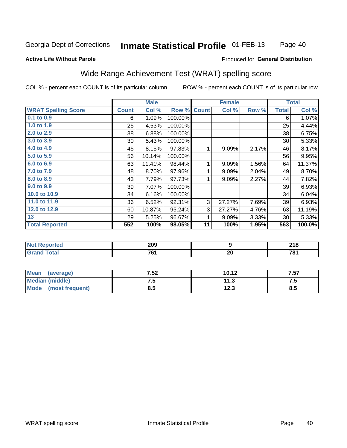### Inmate Statistical Profile 01-FEB-13 Page 40

### **Active Life Without Parole**

## Produced for General Distribution

# Wide Range Achievement Test (WRAT) spelling score

COL % - percent each COUNT is of its particular column

ROW % - percent each COUNT is of its particular row

 $\overline{20}$ 

|                            |              | <b>Male</b> |         |              | <b>Female</b>    |       |              | <b>Total</b> |
|----------------------------|--------------|-------------|---------|--------------|------------------|-------|--------------|--------------|
| <b>WRAT Spelling Score</b> | <b>Count</b> | Col %       | Row %   | <b>Count</b> | Col %            | Row % | <b>Total</b> | Col %        |
| 0.1 to 0.9                 | 6            | 1.09%       | 100.00% |              |                  |       | 6            | 1.07%        |
| 1.0 to 1.9                 | 25           | 4.53%       | 100.00% |              |                  |       | 25           | 4.44%        |
| 2.0 to 2.9                 | 38           | 6.88%       | 100.00% |              |                  |       | 38           | 6.75%        |
| 3.0 to 3.9                 | 30           | 5.43%       | 100.00% |              |                  |       | 30           | 5.33%        |
| 4.0 to 4.9                 | 45           | 8.15%       | 97.83%  | 1            | 9.09%            | 2.17% | 46           | 8.17%        |
| 5.0 to 5.9                 | 56           | 10.14%      | 100.00% |              |                  |       | 56           | 9.95%        |
| 6.0 to 6.9                 | 63           | 11.41%      | 98.44%  | 1            | 9.09%            | 1.56% | 64           | 11.37%       |
| 7.0 to 7.9                 | 48           | 8.70%       | 97.96%  | 1            | 9.09%            | 2.04% | 49           | 8.70%        |
| 8.0 to 8.9                 | 43           | 7.79%       | 97.73%  | 1            | 9.09%            | 2.27% | 44           | 7.82%        |
| 9.0 to 9.9                 | 39           | 7.07%       | 100.00% |              |                  |       | 39           | 6.93%        |
| 10.0 to 10.9               | 34           | 6.16%       | 100.00% |              |                  |       | 34           | 6.04%        |
| 11.0 to $11.9$             | 36           | 6.52%       | 92.31%  | 3            | 27.27%           | 7.69% | 39           | 6.93%        |
| 12.0 to 12.9               | 60           | 10.87%      | 95.24%  | 3            | 27.27%           | 4.76% | 63           | 11.19%       |
| 13                         | 29           | 5.25%       | 96.67%  | 1            | 9.09%            | 3.33% | 30           | 5.33%        |
| <b>Total Reported</b>      | 552          | 100%        | 98.05%  | 11           | 100%             | 1.95% | 563          | 100.0%       |
|                            |              |             |         |              |                  |       |              |              |
| <b>Not Reported</b>        |              | 209         |         |              | $\boldsymbol{9}$ |       |              | 218          |

| <b>Mean</b><br>(average) | 7.52 | 10.12         | 7.57 |
|--------------------------|------|---------------|------|
| <b>Median (middle)</b>   |      | 11 S<br>.     | ن. ا |
| Mode<br>(most frequent)  | o.J  | 122<br>د. ∠ ا | 8.5  |

 $761$ 

**Grand Total** 

 $781$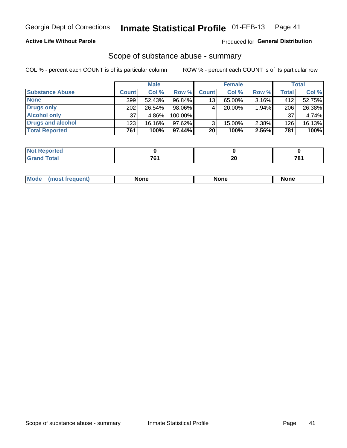## **Active Life Without Parole**

## Produced for General Distribution

## Scope of substance abuse - summary

COL % - percent each COUNT is of its particular column

|                        |              | <b>Male</b> |         |                 | <b>Female</b> |          |              | <b>Total</b> |
|------------------------|--------------|-------------|---------|-----------------|---------------|----------|--------------|--------------|
| <b>Substance Abuse</b> | <b>Count</b> | Col %       | Row %   | <b>Count</b>    | Col %         | Row %    | <b>Total</b> | Col %        |
| <b>None</b>            | 399          | 52.43%      | 96.84%  | 13 <sub>1</sub> | $65.00\%$     | $3.16\%$ | 412          | 52.75%       |
| <b>Drugs only</b>      | 202          | 26.54%      | 98.06%  |                 | $20.00\%$     | 1.94%    | 206          | 26.38%       |
| <b>Alcohol only</b>    | 37           | 4.86%       | 100.00% |                 |               |          | 37           | 4.74%        |
| Drugs and alcohol      | 123          | 16.16%      | 97.62%  |                 | $15.00\%$     | 2.38%    | 126          | 16.13%       |
| <b>Total Reported</b>  | 761          | 100%        | 97.44%  | 20              | 100%          | 2.56%    | 781          | 100%         |

| <b>Not</b><br>eported<br>    |    |          |                          |
|------------------------------|----|----------|--------------------------|
| <b>Total</b><br><b>Grand</b> | -- | ^^<br>ΔV | $\overline{\phantom{a}}$ |

| <b>Mod</b><br>'one<br>None<br><b>None</b> |
|-------------------------------------------|
|-------------------------------------------|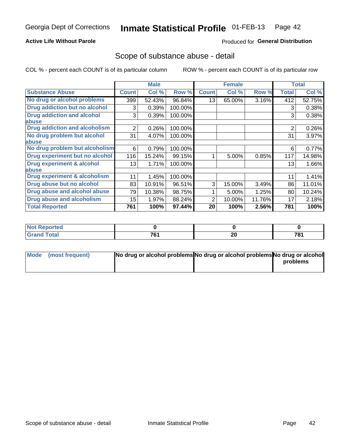## **Active Life Without Parole**

## **Produced for General Distribution**

## Scope of substance abuse - detail

COL % - percent each COUNT is of its particular column

|                                         |                | <b>Male</b> |         |              | <b>Female</b> |        |              | <b>Total</b> |
|-----------------------------------------|----------------|-------------|---------|--------------|---------------|--------|--------------|--------------|
| <b>Substance Abuse</b>                  | <b>Count</b>   | Col %       | Row %   | <b>Count</b> | Col %         | Row %  | <b>Total</b> | Col %        |
| No drug or alcohol problems             | 399            | 52.43%      | 96.84%  | 13           | 65.00%        | 3.16%  | 412          | 52.75%       |
| Drug addiction but no alcohol           | 3              | 0.39%       | 100.00% |              |               |        | 3            | 0.38%        |
| <b>Drug addiction and alcohol</b>       | 3              | 0.39%       | 100.00% |              |               |        | 3            | 0.38%        |
| abuse                                   |                |             |         |              |               |        |              |              |
| <b>Drug addiction and alcoholism</b>    | $\overline{2}$ | 0.26%       | 100.00% |              |               |        | 2            | 0.26%        |
| No drug problem but alcohol             | 31             | 4.07%       | 100.00% |              |               |        | 31           | 3.97%        |
| abuse                                   |                |             |         |              |               |        |              |              |
| No drug problem but alcoholism          | 6              | 0.79%       | 100.00% |              |               |        | 6            | 0.77%        |
| Drug experiment but no alcohol          | 116            | 15.24%      | 99.15%  |              | 5.00%         | 0.85%  | 117          | 14.98%       |
| <b>Drug experiment &amp; alcohol</b>    | 13             | 1.71%       | 100.00% |              |               |        | 13           | 1.66%        |
| abuse                                   |                |             |         |              |               |        |              |              |
| <b>Drug experiment &amp; alcoholism</b> | 11             | 1.45%       | 100.00% |              |               |        | 11           | 1.41%        |
| Drug abuse but no alcohol               | 83             | 10.91%      | 96.51%  | 3            | 15.00%        | 3.49%  | 86           | 11.01%       |
| Drug abuse and alcohol abuse            | 79             | 10.38%      | 98.75%  |              | 5.00%         | 1.25%  | 80           | 10.24%       |
| <b>Drug abuse and alcoholism</b>        | 15             | 1.97%       | 88.24%  | 2            | 10.00%        | 11.76% | 17           | 2.18%        |
| <b>Total Reported</b>                   | 761            | 100%        | 97.44%  | 20           | 100%          | 2.56%  | 781          | 100%         |

| portea<br>. IN A       |                           |         |               |
|------------------------|---------------------------|---------|---------------|
| $\sim$ $\sim$<br>_____ | <b>704</b><br>'υ.<br>____ | ົ<br>ZU | 781<br>$\sim$ |

| Mode (most frequent) | No drug or alcohol problems No drug or alcohol problems No drug or alcohol |          |
|----------------------|----------------------------------------------------------------------------|----------|
|                      |                                                                            | problems |
|                      |                                                                            |          |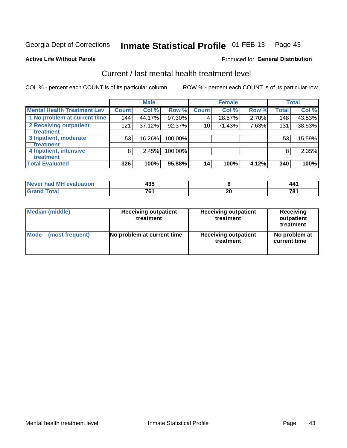### Inmate Statistical Profile 01-FEB-13 Page 43

### **Active Life Without Parole**

## **Produced for General Distribution**

# Current / last mental health treatment level

COL % - percent each COUNT is of its particular column

|                                    |              | <b>Male</b> |         |                 | <b>Female</b> |       |              | <b>Total</b> |
|------------------------------------|--------------|-------------|---------|-----------------|---------------|-------|--------------|--------------|
| <b>Mental Health Treatment Lev</b> | <b>Count</b> | Col %       | Row %   | <b>Count</b>    | Col %         | Row % | <b>Total</b> | Col %        |
| 1 No problem at current time       | 144          | 44.17%      | 97.30%  | 4               | 28.57%        | 2.70% | 148          | 43.53%       |
| 2 Receiving outpatient             | 121          | 37.12%      | 92.37%  | 10 <sub>1</sub> | 71.43%        | 7.63% | 131          | 38.53%       |
| <b>Treatment</b>                   |              |             |         |                 |               |       |              |              |
| 3 Inpatient, moderate              | 53           | 16.26%      | 100.00% |                 |               |       | 53           | 15.59%       |
| <b>Treatment</b>                   |              |             |         |                 |               |       |              |              |
| 4 Inpatient, intensive             | 8            | 2.45%       | 100.00% |                 |               |       | 8            | 2.35%        |
| Treatment                          |              |             |         |                 |               |       |              |              |
| <b>Total Evaluated</b>             | 326          | 100%        | 95.88%  | 14 <sub>1</sub> | 100%          | 4.12% | 340          | 100%         |

| Never had MH evaluation | 435 |    | 441        |
|-------------------------|-----|----|------------|
| Total                   | 761 | ∽— | 70.<br>1 O |

| <b>Median (middle)</b> | <b>Receiving outpatient</b><br>treatment | <b>Receiving outpatient</b><br>treatment | <b>Receiving</b><br>outpatient<br>treatment |  |  |
|------------------------|------------------------------------------|------------------------------------------|---------------------------------------------|--|--|
| <b>Mode</b>            | No problem at current time               | <b>Receiving outpatient</b>              | No problem at                               |  |  |
| (most frequent)        |                                          | treatment                                | current time                                |  |  |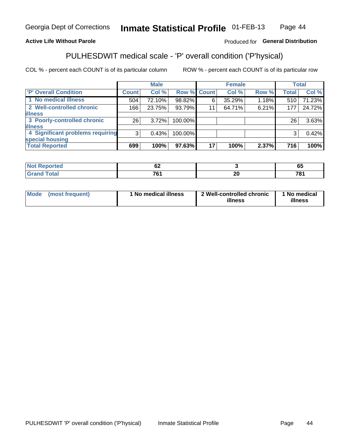#### Inmate Statistical Profile 01-FEB-13 Page 44

## **Active Life Without Parole**

## Produced for General Distribution

# PULHESDWIT medical scale - 'P' overall condition ('P'hysical)

COL % - percent each COUNT is of its particular column

|                                  |                | <b>Male</b> |                    |    | <b>Female</b> |       |                 | <b>Total</b> |
|----------------------------------|----------------|-------------|--------------------|----|---------------|-------|-----------------|--------------|
| 'P' Overall Condition            | Count l        | Col %       | <b>Row % Count</b> |    | Col %         | Row % | <b>Total</b>    | Col %        |
| 1 No medical illness             | 504            | 72.10%      | 98.82%             | 6  | 35.29%        | 1.18% | 510             | 71.23%       |
| 2 Well-controlled chronic        | 166            | 23.75%      | 93.79%             | 11 | 64.71%        | 6.21% | 177             | 24.72%       |
| <b>illness</b>                   |                |             |                    |    |               |       |                 |              |
| 3 Poorly-controlled chronic      | 26             | 3.72%       | 100.00%            |    |               |       | 26 <sub>1</sub> | 3.63%        |
| <b>illness</b>                   |                |             |                    |    |               |       |                 |              |
| 4 Significant problems requiring | 3 <sup>1</sup> | 0.43%       | 100.00%            |    |               |       | 3               | 0.42%        |
| special housing                  |                |             |                    |    |               |       |                 |              |
| <b>Total Reported</b>            | 699            | 100%        | 97.63%             | 17 | 100%          | 2.37% | 716             | 100%         |

| . .<br>∽ |                                 | - -<br>vu |
|----------|---------------------------------|-----------|
| 704      | - -<br>$\overline{\phantom{0}}$ | 704       |

| <b>Mode</b> | (most frequent) | 1 No medical illness | 2 Well-controlled chronic<br>illness | 1 No medical<br>illness |
|-------------|-----------------|----------------------|--------------------------------------|-------------------------|
|-------------|-----------------|----------------------|--------------------------------------|-------------------------|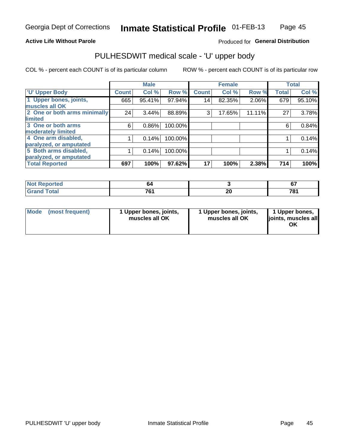## **Active Life Without Parole**

## Produced for General Distribution

# PULHESDWIT medical scale - 'U' upper body

COL % - percent each COUNT is of its particular column

|                              |              | <b>Male</b> |         |              | <b>Female</b> |        |              | <b>Total</b> |
|------------------------------|--------------|-------------|---------|--------------|---------------|--------|--------------|--------------|
| <b>U' Upper Body</b>         | <b>Count</b> | Col %       | Row %   | <b>Count</b> | Col %         | Row %  | <b>Total</b> | Col %        |
| 1 Upper bones, joints,       | 665          | 95.41%      | 97.94%  | 14           | 82.35%        | 2.06%  | 679          | 95.10%       |
| muscles all OK               |              |             |         |              |               |        |              |              |
| 2 One or both arms minimally | 24           | 3.44%       | 88.89%  | 3            | 17.65%        | 11.11% | 27           | 3.78%        |
| limited                      |              |             |         |              |               |        |              |              |
| 3 One or both arms           | 6            | $0.86\%$    | 100.00% |              |               |        | 6            | 0.84%        |
| <b>moderately limited</b>    |              |             |         |              |               |        |              |              |
| 4 One arm disabled,          |              | 0.14%       | 100.00% |              |               |        |              | 0.14%        |
| paralyzed, or amputated      |              |             |         |              |               |        |              |              |
| 5 Both arms disabled,        |              | 0.14%       | 100.00% |              |               |        |              | 0.14%        |
| paralyzed, or amputated      |              |             |         |              |               |        |              |              |
| <b>Total Reported</b>        | 697          | 100%        | 97.62%  | 17           | 100%          | 2.38%  | 714          | 100%         |

| <b>Not Reported</b> |     |    | $\sim$<br>v. |
|---------------------|-----|----|--------------|
| <b>Grand Total</b>  | 704 | ົ  | 70.          |
|                     | ו ט | ∠∪ | 1 U          |

| Mode (most frequent) | 1 Upper bones, joints,<br>muscles all OK | 1 Upper bones, joints,<br>muscles all OK | 1 Upper bones,<br>joints, muscles all<br>ΟK |
|----------------------|------------------------------------------|------------------------------------------|---------------------------------------------|
|----------------------|------------------------------------------|------------------------------------------|---------------------------------------------|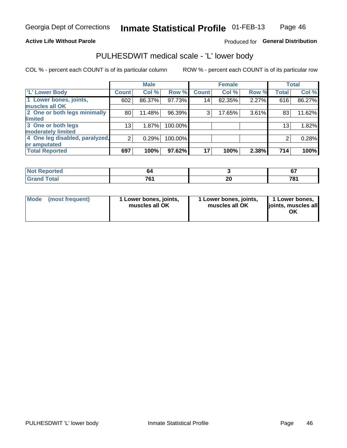## **Active Life Without Parole**

## Produced for General Distribution

# PULHESDWIT medical scale - 'L' lower body

COL % - percent each COUNT is of its particular column

|                                |                 | <b>Male</b> |         |              | <b>Female</b> |       |                 | <b>Total</b> |
|--------------------------------|-----------------|-------------|---------|--------------|---------------|-------|-----------------|--------------|
| 'L' Lower Body                 | <b>Count</b>    | Col %       | Row %   | <b>Count</b> | Col %         | Row % | <b>Total</b>    | Col %        |
| 1 Lower bones, joints,         | 602             | 86.37%      | 97.73%  | 14           | 82.35%        | 2.27% | 616             | 86.27%       |
| muscles all OK                 |                 |             |         |              |               |       |                 |              |
| 2 One or both legs minimally   | 80              | 11.48%      | 96.39%  | 3            | 17.65%        | 3.61% | 83              | 11.62%       |
| limited                        |                 |             |         |              |               |       |                 |              |
| 3 One or both legs             | 13 <sub>1</sub> | 1.87%       | 100.00% |              |               |       | 13 <sub>1</sub> | 1.82%        |
| moderately limited             |                 |             |         |              |               |       |                 |              |
| 4 One leg disabled, paralyzed, | 2               | 0.29%       | 100.00% |              |               |       | 2               | 0.28%        |
| or amputated                   |                 |             |         |              |               |       |                 |              |
| <b>Total Reported</b>          | 697             | 100%        | 97.62%  | 17           | 100%          | 2.38% | 714             | 100%         |

| <b>Not Reported</b>        | nΖ                       |    | $\sim$    |
|----------------------------|--------------------------|----|-----------|
| <b>Grand Total</b><br>Grar | $\overline{\phantom{a}}$ | Æν | 704<br>ο. |

| Mode | (most frequent) | 1 Lower bones, joints,<br>muscles all OK | 1 Lower bones, joints,<br>muscles all OK | 1 Lower bones,<br>ljoints, muscles all<br>OK |
|------|-----------------|------------------------------------------|------------------------------------------|----------------------------------------------|
|------|-----------------|------------------------------------------|------------------------------------------|----------------------------------------------|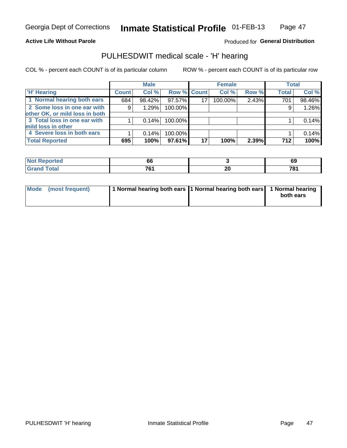### **Active Life Without Parole**

## Produced for General Distribution

# PULHESDWIT medical scale - 'H' hearing

COL % - percent each COUNT is of its particular column

|                                |              | <b>Male</b> |             |    | <b>Female</b> |       | <b>Total</b> |        |
|--------------------------------|--------------|-------------|-------------|----|---------------|-------|--------------|--------|
| <b>H' Hearing</b>              | <b>Count</b> | Col %       | Row % Count |    | Col %         | Row % | <b>Total</b> | Col %  |
| 1 Normal hearing both ears     | 684          | 98.42%      | 97.57%      |    | 100.00%       | 2.43% | 701          | 98.46% |
| 2 Some loss in one ear with    | 9            | 1.29%       | 100.00%     |    |               |       | 9            | 1.26%  |
| other OK, or mild loss in both |              |             |             |    |               |       |              |        |
| 3 Total loss in one ear with   |              | 0.14%       | 100.00%     |    |               |       |              | 0.14%  |
| mild loss in other             |              |             |             |    |               |       |              |        |
| 4 Severe loss in both ears     |              | 0.14%       | 100.00%     |    |               |       |              | 0.14%  |
| <b>Total Reported</b>          | 695          | 100%        | 97.61%      | 17 | 100%          | 2.39% | 712          | 100%   |

|                             | oc                   |        | ໐ະ            |
|-----------------------------|----------------------|--------|---------------|
| $\sim$ $\sim$ $\sim$ $\sim$ | $\rightarrow$        | …      | 781           |
|                             | $\sim$ $\sim$ $\sim$ | $\sim$ | $\sim$ $\sim$ |

|  | Mode (most frequent) | 1 Normal hearing both ears 1 Normal hearing both ears 1 Normal hearing |  | both ears |
|--|----------------------|------------------------------------------------------------------------|--|-----------|
|--|----------------------|------------------------------------------------------------------------|--|-----------|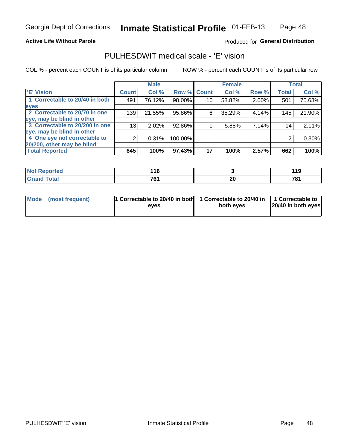## **Active Life Without Parole**

## Produced for General Distribution

## PULHESDWIT medical scale - 'E' vision

COL % - percent each COUNT is of its particular column

|                                |              | <b>Male</b> |             |    | <b>Female</b> |       |              | <b>Total</b> |
|--------------------------------|--------------|-------------|-------------|----|---------------|-------|--------------|--------------|
| <b>E' Vision</b>               | <b>Count</b> | Col %       | Row % Count |    | Col %         | Row % | <b>Total</b> | Col %        |
| 1 Correctable to 20/40 in both | 491          | 76.12%      | 98.00%      | 10 | 58.82%        | 2.00% | 501          | 75.68%       |
| eyes                           |              |             |             |    |               |       |              |              |
| 2 Correctable to 20/70 in one  | 139          | 21.55%      | 95.86%      | 6  | 35.29%        | 4.14% | 145          | 21.90%       |
| eye, may be blind in other     |              |             |             |    |               |       |              |              |
| 3 Correctable to 20/200 in one | 13           | 2.02%       | 92.86%      |    | 5.88%         | 7.14% | 14           | 2.11%        |
| eye, may be blind in other     |              |             |             |    |               |       |              |              |
| 4 One eye not correctable to   |              | 0.31%       | 100.00%     |    |               |       |              | 0.30%        |
| 20/200, other may be blind     |              |             |             |    |               |       |              |              |
| <b>Total Reported</b>          | 645          | 100%        | 97.43%      | 17 | 100%          | 2.57% | 662          | 100%         |

| <b>Not Reported</b> | . I v      |                 | 11 O<br>. |
|---------------------|------------|-----------------|-----------|
| Total               | 761<br>ויט | ົ<br>Zu<br>____ | 781       |

| Mode (most frequent) | 1 Correctable to 20/40 in both<br>eves | 1 Correctable to 20/40 in   1 Correctable to<br>both eyes | 20/40 in both eyes |
|----------------------|----------------------------------------|-----------------------------------------------------------|--------------------|
|                      |                                        |                                                           |                    |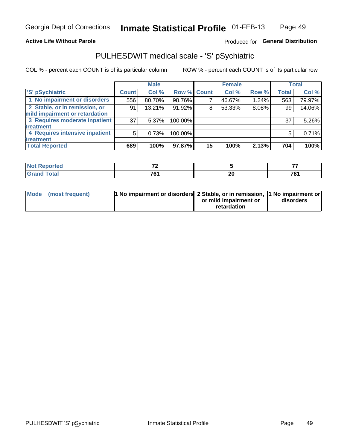## **Active Life Without Parole**

## Produced for General Distribution

# PULHESDWIT medical scale - 'S' pSychiatric

COL % - percent each COUNT is of its particular column

|                                |              | <b>Male</b> |             |    | <b>Female</b> |       |              | <b>Total</b> |
|--------------------------------|--------------|-------------|-------------|----|---------------|-------|--------------|--------------|
| 'S' pSychiatric                | <b>Count</b> | Col %       | Row % Count |    | Col %         | Row % | <b>Total</b> | Col %        |
| 1 No impairment or disorders   | 556          | 80.70%      | 98.76%      |    | 46.67%        | 1.24% | 563          | 79.97%       |
| 2 Stable, or in remission, or  | 91           | 13.21%      | 91.92%      | 8  | 53.33%        | 8.08% | 99           | 14.06%       |
| mild impairment or retardation |              |             |             |    |               |       |              |              |
| 3 Requires moderate inpatient  | 37           | $5.37\%$    | 100.00%     |    |               |       | 37           | 5.26%        |
| <b>treatment</b>               |              |             |             |    |               |       |              |              |
| 4 Requires intensive inpatient | 5            | 0.73%       | 100.00%     |    |               |       | 5            | 0.71%        |
| <b>treatment</b>               |              |             |             |    |               |       |              |              |
| <b>Total Reported</b>          | 689          | 100%        | 97.87%      | 15 | 100%          | 2.13% | 704          | 100%         |

| 11 L I O | $\sim$ |        | --  |
|----------|--------|--------|-----|
|          | 704    | ^^     | 704 |
|          |        | Zu     | u   |
|          | $\sim$ | $\sim$ | $-$ |

| Mode (most frequent) | <sup>1</sup> No impairment or disorders 2 Stable, or in remission, <sup>1</sup> No impairment or |                       |           |
|----------------------|--------------------------------------------------------------------------------------------------|-----------------------|-----------|
|                      |                                                                                                  | or mild impairment or | disorders |
|                      |                                                                                                  | retardation           |           |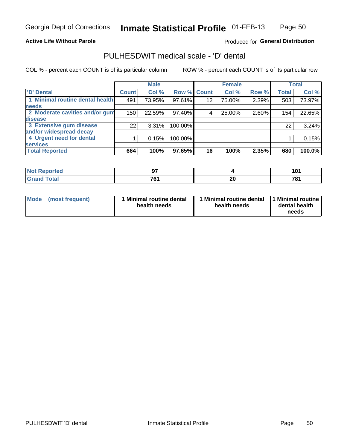## **Active Life Without Parole**

## Produced for General Distribution

# PULHESDWIT medical scale - 'D' dental

COL % - percent each COUNT is of its particular column

|                                 |                 | <b>Male</b> |             |    | <b>Female</b> |       |              | <b>Total</b> |
|---------------------------------|-----------------|-------------|-------------|----|---------------|-------|--------------|--------------|
| 'D' Dental                      | <b>Count</b>    | Col %       | Row % Count |    | Col %         | Row % | <b>Total</b> | Col %        |
| 1 Minimal routine dental health | 491             | 73.95%      | 97.61%      | 12 | 75.00%        | 2.39% | 503          | 73.97%       |
| <b>needs</b>                    |                 |             |             |    |               |       |              |              |
| 2 Moderate cavities and/or gum  | 150             | 22.59%      | 97.40%      | 4  | 25.00%        | 2.60% | 154          | 22.65%       |
| disease                         |                 |             |             |    |               |       |              |              |
| 3 Extensive gum disease         | 22 <sub>1</sub> | 3.31%       | 100.00%     |    |               |       | 22           | 3.24%        |
| and/or widespread decay         |                 |             |             |    |               |       |              |              |
| 4 Urgent need for dental        |                 | 0.15%       | 100.00%     |    |               |       |              | 0.15%        |
| <b>services</b>                 |                 |             |             |    |               |       |              |              |
| <b>Total Reported</b>           | 664             | 100%        | 97.65%      | 16 | 100%          | 2.35% | 680          | 100.0%       |

| <b>Not Reported</b> | ^7  |                |     |
|---------------------|-----|----------------|-----|
| <b>Total</b>        | 761 | nr<br>ΔU<br>__ | 704 |

| <b>Mode</b> | (most frequent) | <b>Minimal routine dental</b><br>health needs | 1 Minimal routine dental<br>health needs | <b>11 Minimal routine I</b><br>dental health<br>needs |
|-------------|-----------------|-----------------------------------------------|------------------------------------------|-------------------------------------------------------|
|-------------|-----------------|-----------------------------------------------|------------------------------------------|-------------------------------------------------------|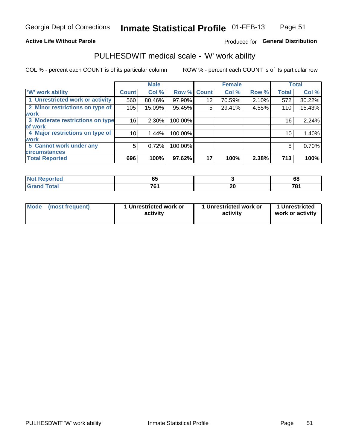## **Active Life Without Parole**

## Produced for General Distribution

# PULHESDWIT medical scale - 'W' work ability

COL % - percent each COUNT is of its particular column

|                                 |              | <b>Male</b> |         |             | <b>Female</b> |       |              | <b>Total</b> |
|---------------------------------|--------------|-------------|---------|-------------|---------------|-------|--------------|--------------|
| <b>W' work ability</b>          | <b>Count</b> | Col %       |         | Row % Count | Col %         | Row % | <b>Total</b> | Col %        |
| 1 Unrestricted work or activity | 560          | 80.46%      | 97.90%  | 12          | 70.59%        | 2.10% | 572          | 80.22%       |
| 2 Minor restrictions on type of | 105          | 15.09%      | 95.45%  | 5           | 29.41%        | 4.55% | 110          | 15.43%       |
| <b>work</b>                     |              |             |         |             |               |       |              |              |
| 3 Moderate restrictions on type | 16           | $2.30\%$    | 100.00% |             |               |       | 16           | 2.24%        |
| of work                         |              |             |         |             |               |       |              |              |
| 4 Major restrictions on type of | 10           | 1.44%       | 100.00% |             |               |       | 10           | 1.40%        |
| <b>work</b>                     |              |             |         |             |               |       |              |              |
| 5 Cannot work under any         | 5            | 0.72%       | 100.00% |             |               |       | 5            | 0.70%        |
| <b>circumstances</b>            |              |             |         |             |               |       |              |              |
| <b>Total Reported</b>           | 696          | 100%        | 97.62%  | 17          | 100%          | 2.38% | 713          | 100%         |

| <b>Not Reported</b> | --<br>∪₩ |    | 68  |
|---------------------|----------|----|-----|
| <b>Grand Total</b>  | 704      | nr | 704 |
|                     | ו ש      | Δu | .   |

| Mode            | 1 Unrestricted work or | 1 Unrestricted work or | 1 Unrestricted   |
|-----------------|------------------------|------------------------|------------------|
| (most frequent) | activity               | activity               | work or activity |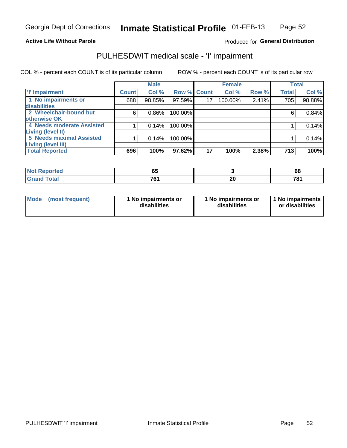### **Active Life Without Parole**

## Produced for General Distribution

# PULHESDWIT medical scale - 'I' impairment

|                           |              | <b>Male</b> |         |             | <b>Female</b> |       |              | <b>Total</b> |
|---------------------------|--------------|-------------|---------|-------------|---------------|-------|--------------|--------------|
| <b>T' Impairment</b>      | <b>Count</b> | Col %       |         | Row % Count | Col %         | Row % | <b>Total</b> | Col %        |
| 1 No impairments or       | 688          | 98.85%      | 97.59%  | 17          | 100.00%       | 2.41% | 705          | 98.88%       |
| disabilities              |              |             |         |             |               |       |              |              |
| 2 Wheelchair-bound but    | 6            | 0.86%       | 100.00% |             |               |       | 6            | 0.84%        |
| otherwise OK              |              |             |         |             |               |       |              |              |
| 4 Needs moderate Assisted |              | 0.14%       | 100.00% |             |               |       |              | 0.14%        |
| <b>Living (level II)</b>  |              |             |         |             |               |       |              |              |
| 5 Needs maximal Assisted  |              | 0.14%       | 100.00% |             |               |       |              | 0.14%        |
| Living (level III)        |              |             |         |             |               |       |              |              |
| <b>Total Reported</b>     | 696          | 100%        | 97.62%  | 17          | 100%          | 2.38% | 713          | 100%         |

| orted       | - -<br>তত |    | <br>oo   |
|-------------|-----------|----|----------|
| <b>otal</b> | →^<br>v   | ZV | 70.<br>v |

| Mode | (most frequent) | 1 No impairments or<br>disabilities | 1 No impairments or<br>disabilities | 1 No impairments  <br>or disabilities |
|------|-----------------|-------------------------------------|-------------------------------------|---------------------------------------|
|------|-----------------|-------------------------------------|-------------------------------------|---------------------------------------|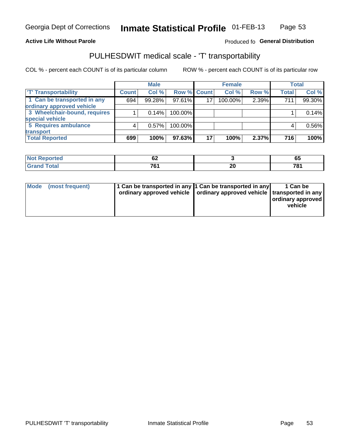## **Active Life Without Parole**

## Produced fo General Distribution

# PULHESDWIT medical scale - 'T' transportability

COL % - percent each COUNT is of its particular column

|                              |              | <b>Male</b> |             |    | <b>Female</b> |       |              | <b>Total</b> |
|------------------------------|--------------|-------------|-------------|----|---------------|-------|--------------|--------------|
| <b>T' Transportability</b>   | <b>Count</b> | Col %       | Row % Count |    | Col %         | Row % | <b>Total</b> | Col %        |
| 1 Can be transported in any  | 694          | 99.28%      | $97.61\%$   | 17 | 100.00%       | 2.39% | 711          | 99.30%       |
| ordinary approved vehicle    |              |             |             |    |               |       |              |              |
| 3 Wheelchair-bound, requires |              | 0.14%       | 100.00%     |    |               |       |              | 0.14%        |
| special vehicle              |              |             |             |    |               |       |              |              |
| 5 Requires ambulance         |              | 0.57%       | 100.00%     |    |               |       |              | 0.56%        |
| transport                    |              |             |             |    |               |       |              |              |
| <b>Total Reported</b>        | 699          | 100%        | 97.63%      | 17 | 100%          | 2.37% | 716          | 100%         |

| Reported    | $\overline{\phantom{a}}$<br><u>UŁ</u><br>$\sim$ |              | --<br>ບບ             |
|-------------|-------------------------------------------------|--------------|----------------------|
| <b>otal</b> | 704<br>. ש                                      | <br>ZV<br>__ | 70 <sub>4</sub><br>υ |

| Mode (most frequent) | 1 Can be transported in any 1 Can be transported in any | ordinary approved vehicle   ordinary approved vehicle   transported in any | 1 Can be<br>ordinary approved<br>vehicle |
|----------------------|---------------------------------------------------------|----------------------------------------------------------------------------|------------------------------------------|
|                      |                                                         |                                                                            |                                          |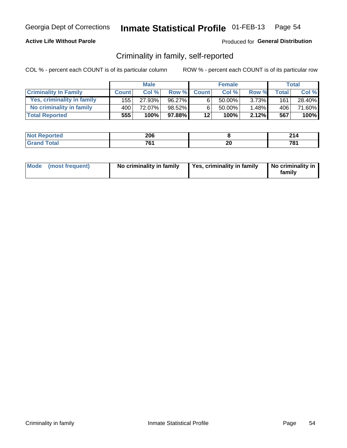## **Active Life Without Parole**

## Produced for General Distribution

## Criminality in family, self-reported

COL % - percent each COUNT is of its particular column

|                              |              | <b>Male</b> |        |              | <b>Female</b> |          |       | Total  |
|------------------------------|--------------|-------------|--------|--------------|---------------|----------|-------|--------|
| <b>Criminality In Family</b> | <b>Count</b> | Col%        | Row %  | <b>Count</b> | Col%          | Row %    | Total | Col %  |
| Yes, criminality in family   | 155 l        | 27.93%      | 96.27% | 6            | 50.00%        | $3.73\%$ | 161   | 28.40% |
| No criminality in family     | 400          | 72.07%      | 98.52% | 6            | $50.00\%$     | 1.48%    | 406   | 71.60% |
| <b>Total Reported</b>        | 555          | 100%        | 97.88% | 12           | 100%          | 2.12%    | 567   | 100%   |

| <b>Not Reported</b> | 206 |    | ົ          |
|---------------------|-----|----|------------|
| "otal<br>Gran       | 70. | Zu | 70.<br>. v |

|  | Mode (most frequent) | No criminality in family | Yes, criminality in family | No criminality in<br>family |
|--|----------------------|--------------------------|----------------------------|-----------------------------|
|--|----------------------|--------------------------|----------------------------|-----------------------------|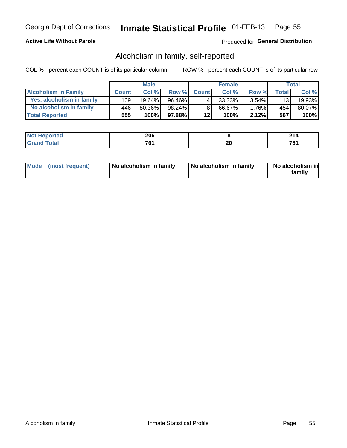## **Active Life Without Parole**

## Produced for General Distribution

## Alcoholism in family, self-reported

COL % - percent each COUNT is of its particular column

|                             |              | <b>Male</b> |        |              | <b>Female</b> |          |              | Total  |
|-----------------------------|--------------|-------------|--------|--------------|---------------|----------|--------------|--------|
| <b>Alcoholism In Family</b> | <b>Count</b> | Col %       | Row %  | <b>Count</b> | Col %         | Row %    | <b>Total</b> | Col %  |
| Yes, alcoholism in family   | 109          | $19.64\%$   | 96.46% | 4            | $33.33\%$     | $3.54\%$ | 113          | 19.93% |
| No alcoholism in family     | 446          | 80.36%      | 98.24% | 8            | 66.67%        | 1.76%    | 454          | 80.07% |
| <b>Total Reported</b>       | 555          | 100%        | 97.88% | 12           | 100%          | 2.12%    | 567          | 100%   |

| <b>Not Reported</b> | 206 |    | ົ          |
|---------------------|-----|----|------------|
| "otal<br>Gran       | 70. | Zu | 70.<br>. v |

|  | Mode (most frequent) | No alcoholism in family | No alcoholism in family | No alcoholism in<br>family |
|--|----------------------|-------------------------|-------------------------|----------------------------|
|--|----------------------|-------------------------|-------------------------|----------------------------|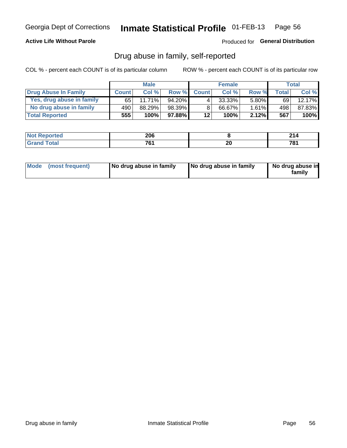## **Active Life Without Parole**

## Produced for General Distribution

## Drug abuse in family, self-reported

COL % - percent each COUNT is of its particular column

|                           |              | <b>Male</b> |        |                 | <b>Female</b> |          |       | Total     |
|---------------------------|--------------|-------------|--------|-----------------|---------------|----------|-------|-----------|
| Drug Abuse In Family      | <b>Count</b> | Col%        | Row %  | <b>Count</b>    | Col%          | Row %    | Total | Col %     |
| Yes, drug abuse in family | 65 l         | 11.71%      | 94.20% | 4               | $33.33\%$     | $5.80\%$ | 69    | $12.17\%$ |
| No drug abuse in family   | 490          | 88.29%      | 98.39% | 8               | 66.67%        | 1.61%    | 498   | 87.83%    |
| <b>Total Reported</b>     | 555!         | 100%        | 97.88% | 12 <sub>1</sub> | 100%          | 2.12%    | 567   | $100\%$   |

| <b>Not Reported</b> | 206 |    | ົ          |
|---------------------|-----|----|------------|
| "otal<br>Gran       | 70. | Zu | 70.<br>. v |

|  | Mode (most frequent) | No drug abuse in family | No drug abuse in family | No drug abuse in<br>family |
|--|----------------------|-------------------------|-------------------------|----------------------------|
|--|----------------------|-------------------------|-------------------------|----------------------------|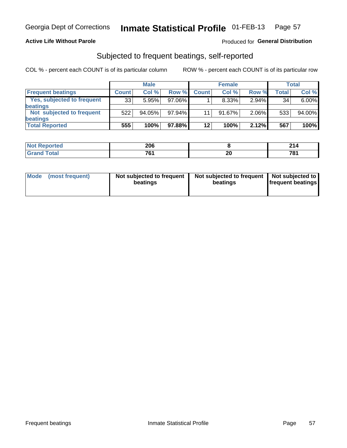## **Active Life Without Parole**

## **Produced for General Distribution**

## Subjected to frequent beatings, self-reported

COL % - percent each COUNT is of its particular column

|                            |              | <b>Male</b> |           |              | <b>Female</b> |       |       | Total    |
|----------------------------|--------------|-------------|-----------|--------------|---------------|-------|-------|----------|
| <b>Frequent beatings</b>   | <b>Count</b> | Col %       | Row %     | <b>Count</b> | Col %         | Row % | Total | Col %    |
| Yes, subjected to frequent | 33           | 5.95%       | 97.06%    |              | 8.33%         | 2.94% | 34    | $6.00\%$ |
| <b>beatings</b>            |              |             |           |              |               |       |       |          |
| Not subjected to frequent  | 522          | 94.05%      | $97.94\%$ | 11           | 91.67%        | 2.06% | 533   | 94.00%   |
| <b>beatings</b>            |              |             |           |              |               |       |       |          |
| <b>Total Reported</b>      | 555          | 100%        | 97.88%    | $12 \,$      | 100%          | 2.12% | 567   | 100%     |

| <b>Not Reported</b> | 206 |    | 24/<br>214 |
|---------------------|-----|----|------------|
| <b>Total</b>        | 761 | 20 | 781        |

| Mode (most frequent) | Not subjected to frequent<br>beatings | Not subjected to frequent<br>beatings | Not subjected to<br><b>frequent beatings</b> |
|----------------------|---------------------------------------|---------------------------------------|----------------------------------------------|
|                      |                                       |                                       |                                              |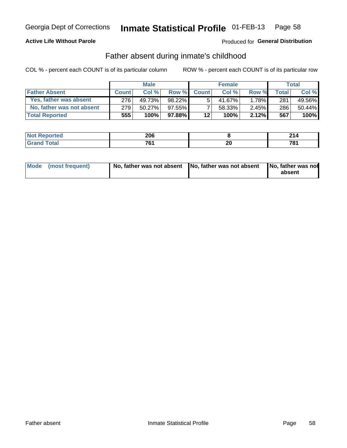## **Active Life Without Parole**

## **Produced for General Distribution**

## Father absent during inmate's childhood

COL % - percent each COUNT is of its particular column

|                           |              | <b>Male</b> |              |                 | <b>Female</b> |          |       | Total   |
|---------------------------|--------------|-------------|--------------|-----------------|---------------|----------|-------|---------|
| <b>Father Absent</b>      | <b>Count</b> | Col%        | <b>Row %</b> | <b>Count</b>    | Col %         | Row %    | Total | Col %   |
| Yes, father was absent    | 276          | 49.73%      | 98.22%       | 5               | 41.67%        | $1.78\%$ | 281   | 49.56%  |
| No, father was not absent | 279          | $50.27\%$   | $97.55\%$    |                 | 58.33%        | $2.45\%$ | 286   | 50.44%  |
| <b>Total Reported</b>     | 555!         | 100%        | $97.88\%$    | 12 <sub>1</sub> | 100%          | 2.12%    | 567   | $100\%$ |

| <b>Not Reported</b>           | 206 |               | -94<br>214 |
|-------------------------------|-----|---------------|------------|
| <b>c</b> otal<br><b>Grano</b> | 704 | ״<br>ZU<br>__ | 781        |

|  | Mode (most frequent) | No, father was not absent No, father was not absent |  | No, father was not<br>absent |
|--|----------------------|-----------------------------------------------------|--|------------------------------|
|--|----------------------|-----------------------------------------------------|--|------------------------------|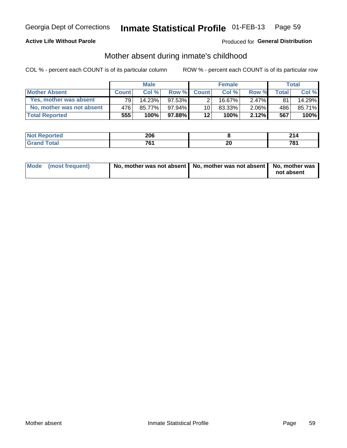## **Active Life Without Parole**

## **Produced for General Distribution**

## Mother absent during inmate's childhood

COL % - percent each COUNT is of its particular column

|                           |              | <b>Male</b> |           |                 | <b>Female</b> |          |       | Total   |
|---------------------------|--------------|-------------|-----------|-----------------|---------------|----------|-------|---------|
| <b>Mother Absent</b>      | <b>Count</b> | Col%        | Row %     | <b>Count</b>    | Col%          | Row %    | Total | Col %   |
| Yes, mother was absent    | 791          | 14.23%      | 97.53%    | 2 <sub>1</sub>  | 16.67%        | $2.47\%$ | 81    | 14.29%  |
| No, mother was not absent | 476          | 85.77%      | 97.94%    | 10 <sup>1</sup> | 83.33%        | $2.06\%$ | 486   | 85.71%  |
| <b>Total Reported</b>     | 555          | $100\%$     | $97.88\%$ | $12 \,$         | 100%          | 2.12%    | 567   | $100\%$ |

| <b>Not Reported</b> | 206 |    | ົ          |
|---------------------|-----|----|------------|
| "otal<br>Gran       | 70. | Zu | 70.<br>. v |

| Mode (most frequent) | No, mother was not absent   No, mother was not absent   No, mother was | not absent |
|----------------------|------------------------------------------------------------------------|------------|
|                      |                                                                        |            |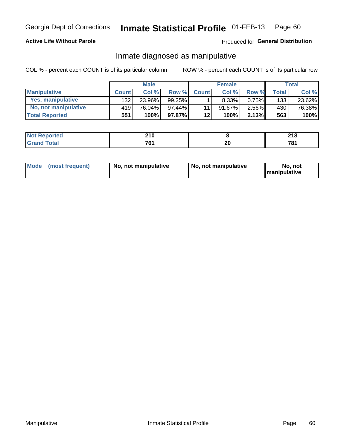## **Active Life Without Parole**

## Produced for General Distribution

## Inmate diagnosed as manipulative

COL % - percent each COUNT is of its particular column

|                          |              | <b>Male</b> |           |                 | <b>Female</b> |       |              | Total  |
|--------------------------|--------------|-------------|-----------|-----------------|---------------|-------|--------------|--------|
| <b>Manipulative</b>      | <b>Count</b> | Col %       | Row %     | <b>Count</b>    | Col %         | Row % | <b>Total</b> | Col %  |
| <b>Yes, manipulative</b> | 132          | 23.96%      | $99.25\%$ |                 | 8.33%         | 0.75% | 133          | 23.62% |
| No, not manipulative     | 419          | 76.04%      | $97.44\%$ | 11 <sub>1</sub> | 91.67%        | 2.56% | 430          | 76.38% |
| <b>Total Reported</b>    | 551          | 100%        | $97.87\%$ | 12              | 100%          | 2.13% | 563          | 100%   |

| <b>Not Reported</b> | <b>210</b><br>∸ I V |    | ິລາ ເ<br>ZIO. |
|---------------------|---------------------|----|---------------|
| <b>c</b> otal       | 70 <sub>1</sub>     | ^' | 704           |
| Gran                | v i                 | ∠∪ |               |

|  | Mode (most frequent) | No, not manipulative | No, not manipulative | No. not<br><b>I</b> manipulative |
|--|----------------------|----------------------|----------------------|----------------------------------|
|--|----------------------|----------------------|----------------------|----------------------------------|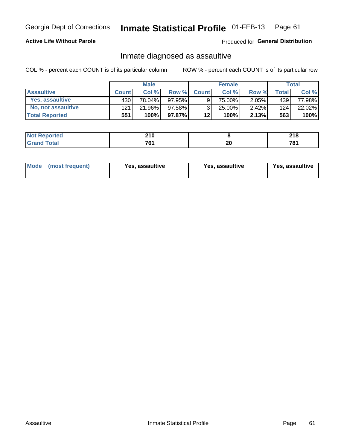### Inmate Statistical Profile 01-FEB-13 Page 61

## **Active Life Without Parole**

Produced for General Distribution

## Inmate diagnosed as assaultive

COL % - percent each COUNT is of its particular column

|                       |              | <b>Male</b> |           |              | <b>Female</b> |          |       | Total  |
|-----------------------|--------------|-------------|-----------|--------------|---------------|----------|-------|--------|
| <b>Assaultive</b>     | <b>Count</b> | Col%        | Row %     | <b>Count</b> | Col %         | Row %    | Total | Col %  |
| Yes, assaultive       | 430          | 78.04%      | 97.95%    |              | 75.00%        | 2.05%    | 439   | 77.98% |
| No, not assaultive    | 121          | 21.96%      | $97.58\%$ | 2.           | 25.00%        | $2.42\%$ | 124   | 22.02% |
| <b>Total Reported</b> | 551          | 100%        | 97.87%    | 12           | 100%          | 2.13%    | 563   | 100%   |

| <b>Not Reported</b>        | <b>040</b><br><b>LIV</b> |    | 240<br>ZIV. |
|----------------------------|--------------------------|----|-------------|
| <b>ota</b><br>Gran<br>____ | 7 <sub>c</sub><br>$  -$  | ΔU | 70.<br>ъ.   |

| <b>Mode</b><br>(most frequent) | <b>Yes, assaultive</b> | Yes, assaultive | <b>Yes, assaultive</b> |
|--------------------------------|------------------------|-----------------|------------------------|
|--------------------------------|------------------------|-----------------|------------------------|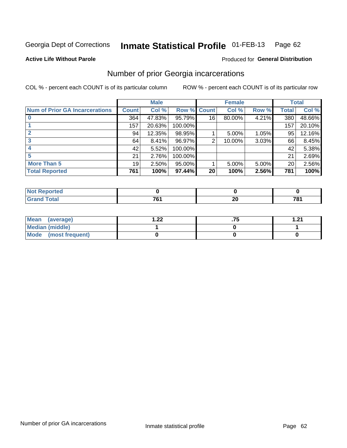#### Inmate Statistical Profile 01-FEB-13 Page 62

### **Active Life Without Parole**

### Produced for General Distribution

## Number of prior Georgia incarcerations

COL % - percent each COUNT is of its particular column

|                                       |              | <b>Male</b> |             | <b>Female</b>   |        |          | <b>Total</b> |        |
|---------------------------------------|--------------|-------------|-------------|-----------------|--------|----------|--------------|--------|
| <b>Num of Prior GA Incarcerations</b> | <b>Count</b> | Col %       | Row % Count |                 | Col %  | Row %    | Total        | Col %  |
|                                       | 364          | 47.83%      | 95.79%      | 16              | 80.00% | 4.21%    | 380          | 48.66% |
|                                       | 157          | 20.63%      | 100.00%     |                 |        |          | 157          | 20.10% |
|                                       | 94           | 12.35%      | 98.95%      |                 | 5.00%  | 1.05%    | 95           | 12.16% |
| 3                                     | 64           | 8.41%       | 96.97%      | 2               | 10.00% | 3.03%    | 66           | 8.45%  |
|                                       | 42           | 5.52%       | 100.00%     |                 |        |          | 42           | 5.38%  |
|                                       | 21           | 2.76%       | 100.00%     |                 |        |          | 21           | 2.69%  |
| <b>More Than 5</b>                    | 19           | 2.50%       | 95.00%      |                 | 5.00%  | $5.00\%$ | 20           | 2.56%  |
| <b>Total Reported</b>                 | 761          | 100%        | 97.44%      | 20 <sup>1</sup> | 100%   | 2.56%    | 781          | 100%   |

| Reported<br>NA                   |                |         |     |
|----------------------------------|----------------|---------|-----|
| <b>Total</b><br>$\mathsf{v}$ and | $\overline{ }$ | n,<br>∸ | 781 |

| Mean (average)       | ົດດ<br>I . <i>ll</i> | 1 71 |
|----------------------|----------------------|------|
| Median (middle)      |                      |      |
| Mode (most frequent) |                      |      |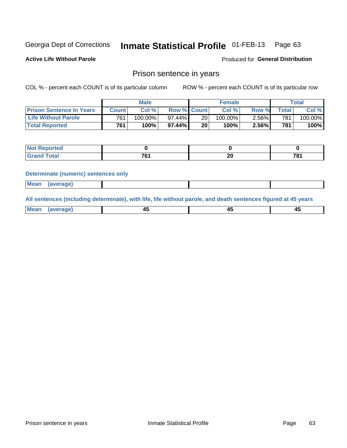#### **Inmate Statistical Profile 01-FEB-13** Page 63

**Active Life Without Parole** 

Produced for General Distribution

## Prison sentence in years

COL % - percent each COUNT is of its particular column

ROW % - percent each COUNT is of its particular row

|                                 | <b>Male</b> |            |                    | <b>Female</b>   |            |       | Total            |         |
|---------------------------------|-------------|------------|--------------------|-----------------|------------|-------|------------------|---------|
| <b>Prison Sentence In Years</b> | Count l     | Col %      | <b>Row % Count</b> |                 | Col %      | Row % | $\tau$ otal      | Col %   |
| <b>Life Without Parole</b>      | 761         | $100.00\%$ | $97.44\%$          | 20 <sub>1</sub> | $100.00\%$ | 2.56% | 781 <sub>1</sub> | 100.00% |
| <b>Total Reported</b>           | 761         | 100%       | $97.44\%$          | 20              | 100%       | 2.56% | 781.             | 100%    |

| Not Reported |                   |          |     |
|--------------|-------------------|----------|-----|
| <b>otal</b>  | $\mathbf{a}$<br>v | ^^<br>-- | 704 |

### **Determinate (numeric) sentences only**

| <b>Mean</b><br><i>(average)</i> |  |
|---------------------------------|--|
|---------------------------------|--|

All sentences (including determinate), with life, life without parole, and death sentences figured at 45 years

| l Mea<br>апе<br>. | -⊷ |  |
|-------------------|----|--|
|                   |    |  |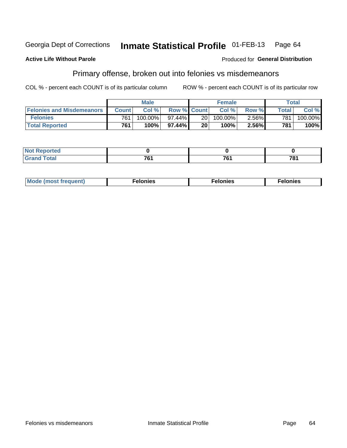#### Inmate Statistical Profile 01-FEB-13 Georgia Dept of Corrections Page 64

### **Active Life Without Parole**

### Produced for General Distribution

# Primary offense, broken out into felonies vs misdemeanors

COL % - percent each COUNT is of its particular column

|                                  | <b>Male</b>  |         |                    | <b>Female</b> |         |          | Total |         |
|----------------------------------|--------------|---------|--------------------|---------------|---------|----------|-------|---------|
| <b>Felonies and Misdemeanors</b> | <b>Count</b> | Col%    | <b>Row % Count</b> |               | Col%    | Row %    | Total | Col %   |
| <b>Felonies</b>                  | 761          | 100.00% | 97.44%             | 20 I          | 100.00% | $2.56\%$ | 781   | 100.00% |
| <b>Total Reported</b>            | 761          | 100%    | 97.44%             | 20            | 100%    | 2.56%    | 781   | 100%    |

| <b>Not Reported</b> |             |     |     |
|---------------------|-------------|-----|-----|
| <b>Grand Total</b>  | -~<br>. U I | 704 | 781 |

| <b>Mode</b><br>frequent)<br>nies<br>≧ (most tr.<br>. | onies<br>. | lonies<br>ею<br>____ |
|------------------------------------------------------|------------|----------------------|
|------------------------------------------------------|------------|----------------------|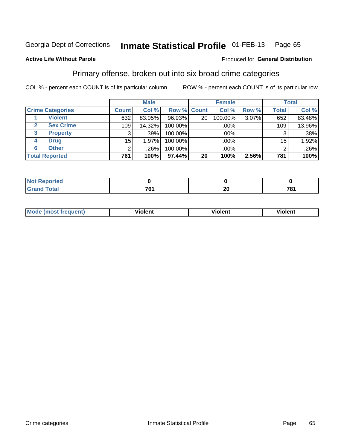#### Inmate Statistical Profile 01-FEB-13 Page 65

## **Active Life Without Parole**

### Produced for General Distribution

## Primary offense, broken out into six broad crime categories

COL % - percent each COUNT is of its particular column

|                         |              | <b>Male</b> |         |                    | <b>Female</b> |       |              | <b>Total</b> |
|-------------------------|--------------|-------------|---------|--------------------|---------------|-------|--------------|--------------|
| <b>Crime Categories</b> | <b>Count</b> | Col %       |         | <b>Row % Count</b> | Col %         | Row % | <b>Total</b> | Col %        |
| <b>Violent</b>          | 632          | 83.05%      | 96.93%  | 20                 | 100.00%       | 3.07% | 652          | 83.48%       |
| <b>Sex Crime</b>        | 109          | 14.32%      | 100.00% |                    | .00%          |       | 109          | 13.96%       |
| 3<br><b>Property</b>    | 3            | .39%        | 100.00% |                    | .00%          |       |              | .38%         |
| <b>Drug</b><br>4        | 15           | 1.97%       | 100.00% |                    | .00%          |       | 15           | 1.92%        |
| <b>Other</b><br>6       | 2            | .26%        | 100.00% |                    | .00%          |       |              | .26%         |
| <b>Total Reported</b>   | 761          | 100%        | 97.44%  | 20                 | 100%          | 2.56% | 781          | 100%         |

| <b>Not Reported</b> |     |                          |      |  |  |
|---------------------|-----|--------------------------|------|--|--|
| <b>Total</b>        | 704 | $\overline{\phantom{a}}$ | 704  |  |  |
|                     | י ש | ∠⊌                       | 70 I |  |  |

| M | . | 40 O |
|---|---|------|
|   |   |      |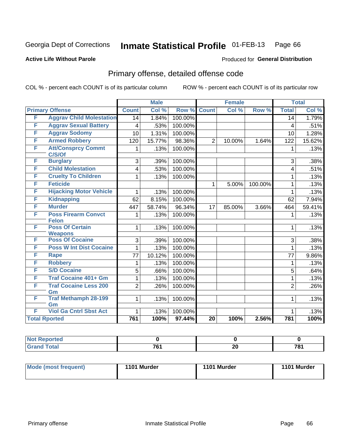### Inmate Statistical Profile 01-FEB-13 Page 66

## **Active Life Without Parole**

### Produced for General Distribution

# Primary offense, detailed offense code

COL % - percent each COUNT is of its particular column

|                                               |                | <b>Male</b> |         |                 | <b>Female</b> |         |                 | <b>Total</b> |  |
|-----------------------------------------------|----------------|-------------|---------|-----------------|---------------|---------|-----------------|--------------|--|
| <b>Primary Offense</b>                        | <b>Count</b>   | Col %       | Row %   | <b>Count</b>    | Col %         | Row %   | <b>Total</b>    | Col %        |  |
| F<br><b>Aggrav Child Molestation</b>          | 14             | 1.84%       | 100.00% |                 |               |         | $\overline{14}$ | 1.79%        |  |
| F<br><b>Aggrav Sexual Battery</b>             | 4              | .53%        | 100.00% |                 |               |         | $\overline{4}$  | .51%         |  |
| <b>Aggrav Sodomy</b><br>F                     | 10             | 1.31%       | 100.00% |                 |               |         | 10              | 1.28%        |  |
| <b>Armed Robbery</b><br>F                     | 120            | 15.77%      | 98.36%  | $\overline{2}$  | 10.00%        | 1.64%   | 122             | 15.62%       |  |
| <b>Att/Consprcy Commt</b><br>F<br>C/S/Of      | 1              | .13%        | 100.00% |                 |               |         | 1               | .13%         |  |
| F<br><b>Burglary</b>                          | 3              | .39%        | 100.00% |                 |               |         | 3               | .38%         |  |
| F<br><b>Child Molestation</b>                 | 4              | .53%        | 100.00% |                 |               |         | 4               | .51%         |  |
| F<br><b>Cruelty To Children</b>               | 1              | .13%        | 100.00% |                 |               |         | 1               | .13%         |  |
| <b>Feticide</b><br>F                          |                |             |         | $\mathbf{1}$    | 5.00%         | 100.00% | 1               | .13%         |  |
| F<br><b>Hijacking Motor Vehicle</b>           | 1              | .13%        | 100.00% |                 |               |         | 1               | .13%         |  |
| <b>Kidnapping</b><br>F                        | 62             | 8.15%       | 100.00% |                 |               |         | 62              | 7.94%        |  |
| F<br><b>Murder</b>                            | 447            | 58.74%      | 96.34%  | 17              | 85.00%        | 3.66%   | 464             | 59.41%       |  |
| <b>Poss Firearm Convct</b><br>F               | 1              | .13%        | 100.00% |                 |               |         | 1               | .13%         |  |
| <b>Felon</b>                                  |                |             |         |                 |               |         |                 |              |  |
| <b>Poss Of Certain</b><br>F<br><b>Weapons</b> | $\mathbf{1}$   | .13%        | 100.00% |                 |               |         | 1               | .13%         |  |
| <b>Poss Of Cocaine</b><br>F                   | 3              | .39%        | 100.00% |                 |               |         | 3               | .38%         |  |
| <b>Poss W Int Dist Cocaine</b><br>F           | $\mathbf{1}$   | .13%        | 100.00% |                 |               |         | 1               | .13%         |  |
| F<br><b>Rape</b>                              | 77             | 10.12%      | 100.00% |                 |               |         | 77              | $9.86\%$     |  |
| F<br><b>Robbery</b>                           | 1              | .13%        | 100.00% |                 |               |         | 1               | .13%         |  |
| F<br><b>S/D Cocaine</b>                       | 5              | .66%        | 100.00% |                 |               |         | 5               | .64%         |  |
| F<br><b>Traf Cocaine 401+ Gm</b>              | 1              | .13%        | 100.00% |                 |               |         | 1               | .13%         |  |
| F<br><b>Traf Cocaine Less 200</b>             | $\overline{2}$ | .26%        | 100.00% |                 |               |         | $\overline{2}$  | .26%         |  |
| Gm                                            |                |             |         |                 |               |         |                 |              |  |
| <b>Traf Methamph 28-199</b><br>F<br>Gm        | 1              | .13%        | 100.00% |                 |               |         | 1               | .13%         |  |
| F<br><b>Viol Ga Cntrl Sbst Act</b>            | 1              | .13%        | 100.00% |                 |               |         | 1               | .13%         |  |
| <b>Total Rported</b>                          | 761            | 100%        | 97.44%  | $\overline{20}$ | 100%          | 2.56%   | 781             | 100%         |  |

| - - - - - -<br>porteg<br><b>INF</b> |                 |         |                  |
|-------------------------------------|-----------------|---------|------------------|
| $\sim$<br>$\sim$                    | 704<br><br>____ | ົ<br>ZU | 70.<br>u<br>____ |

| <b>Mode (most frequent)</b> | 1101 Murder | 1101 Murder | 1101 Murder |
|-----------------------------|-------------|-------------|-------------|
|                             |             |             |             |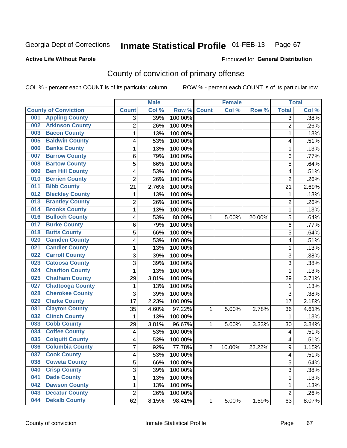### **Active Life Without Parole**

### Produced for **General Distribution**

# County of conviction of primary offense

|                                |                | <b>Male</b> |                  |                | <b>Female</b> |        |                | <b>Total</b> |
|--------------------------------|----------------|-------------|------------------|----------------|---------------|--------|----------------|--------------|
| <b>County of Conviction</b>    | <b>Count</b>   | Col %       | Row <sup>%</sup> | <b>Count</b>   | Col %         | Row %  | <b>Total</b>   | Col %        |
| <b>Appling County</b><br>001   | 3              | .39%        | 100.00%          |                |               |        | 3              | .38%         |
| <b>Atkinson County</b><br>002  | $\overline{2}$ | .26%        | 100.00%          |                |               |        | $\overline{2}$ | .26%         |
| <b>Bacon County</b><br>003     | 1              | .13%        | 100.00%          |                |               |        | 1              | .13%         |
| <b>Baldwin County</b><br>005   | 4              | .53%        | 100.00%          |                |               |        | 4              | .51%         |
| <b>Banks County</b><br>006     | 1              | .13%        | 100.00%          |                |               |        | $\mathbf{1}$   | .13%         |
| <b>Barrow County</b><br>007    | 6              | .79%        | 100.00%          |                |               |        | 6              | .77%         |
| <b>Bartow County</b><br>008    | 5              | .66%        | 100.00%          |                |               |        | 5              | .64%         |
| <b>Ben Hill County</b><br>009  | 4              | .53%        | 100.00%          |                |               |        | 4              | .51%         |
| <b>Berrien County</b><br>010   | $\overline{2}$ | .26%        | 100.00%          |                |               |        | $\overline{2}$ | .26%         |
| <b>Bibb County</b><br>011      | 21             | 2.76%       | 100.00%          |                |               |        | 21             | 2.69%        |
| <b>Bleckley County</b><br>012  | 1              | .13%        | 100.00%          |                |               |        | 1              | .13%         |
| <b>Brantley County</b><br>013  | $\overline{2}$ | .26%        | 100.00%          |                |               |        | $\overline{2}$ | .26%         |
| <b>Brooks County</b><br>014    | 1              | .13%        | 100.00%          |                |               |        | $\mathbf{1}$   | .13%         |
| <b>Bulloch County</b><br>016   | 4              | .53%        | 80.00%           | 1              | 5.00%         | 20.00% | 5              | .64%         |
| <b>Burke County</b><br>017     | 6              | .79%        | 100.00%          |                |               |        | 6              | .77%         |
| <b>Butts County</b><br>018     | 5              | .66%        | 100.00%          |                |               |        | 5              | .64%         |
| <b>Camden County</b><br>020    | 4              | .53%        | 100.00%          |                |               |        | 4              | .51%         |
| <b>Candler County</b><br>021   | 1              | .13%        | 100.00%          |                |               |        | 1              | .13%         |
| <b>Carroll County</b><br>022   | 3              | .39%        | 100.00%          |                |               |        | 3              | .38%         |
| <b>Catoosa County</b><br>023   | 3              | .39%        | 100.00%          |                |               |        | $\overline{3}$ | .38%         |
| <b>Charlton County</b><br>024  | 1              | .13%        | 100.00%          |                |               |        | 1              | .13%         |
| <b>Chatham County</b><br>025   | 29             | 3.81%       | 100.00%          |                |               |        | 29             | 3.71%        |
| <b>Chattooga County</b><br>027 | 1              | .13%        | 100.00%          |                |               |        | 1              | .13%         |
| <b>Cherokee County</b><br>028  | 3              | .39%        | 100.00%          |                |               |        | 3              | .38%         |
| <b>Clarke County</b><br>029    | 17             | 2.23%       | 100.00%          |                |               |        | 17             | 2.18%        |
| <b>Clayton County</b><br>031   | 35             | 4.60%       | 97.22%           | 1              | 5.00%         | 2.78%  | 36             | 4.61%        |
| <b>Clinch County</b><br>032    | 1              | .13%        | 100.00%          |                |               |        | 1              | .13%         |
| <b>Cobb County</b><br>033      | 29             | 3.81%       | 96.67%           | 1              | 5.00%         | 3.33%  | 30             | 3.84%        |
| <b>Coffee County</b><br>034    | 4              | .53%        | 100.00%          |                |               |        | 4              | .51%         |
| <b>Colquitt County</b><br>035  | 4              | .53%        | 100.00%          |                |               |        | 4              | .51%         |
| <b>Columbia County</b><br>036  | 7              | .92%        | 77.78%           | $\overline{2}$ | 10.00%        | 22.22% | 9              | 1.15%        |
| 037<br><b>Cook County</b>      | 4              | .53%        | 100.00%          |                |               |        | 4              | .51%         |
| <b>Coweta County</b><br>038    | 5              | .66%        | 100.00%          |                |               |        | 5              | .64%         |
| 040<br><b>Crisp County</b>     | 3              | .39%        | 100.00%          |                |               |        | 3              | .38%         |
| <b>Dade County</b><br>041      | 1              | .13%        | 100.00%          |                |               |        | $\mathbf{1}$   | .13%         |
| <b>Dawson County</b><br>042    | 1              | .13%        | 100.00%          |                |               |        | 1              | .13%         |
| <b>Decatur County</b><br>043   | $\overline{2}$ | .26%        | 100.00%          |                |               |        | $\overline{2}$ | .26%         |
| <b>Dekalb County</b><br>044    | 62             | 8.15%       | 98.41%           | 1              | 5.00%         | 1.59%  | 63             | 8.07%        |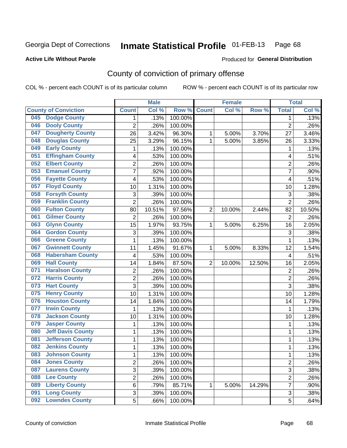## **Active Life Without Parole**

## Produced for **General Distribution**

# County of conviction of primary offense

|     |                             |                | <b>Male</b> |         |                | <b>Female</b> |        |                | <b>Total</b> |
|-----|-----------------------------|----------------|-------------|---------|----------------|---------------|--------|----------------|--------------|
|     | <b>County of Conviction</b> | <b>Count</b>   | Col %       | Row %   | <b>Count</b>   | Col %         | Row %  | <b>Total</b>   | Col %        |
| 045 | <b>Dodge County</b>         | 1              | .13%        | 100.00% |                |               |        | 1              | .13%         |
| 046 | <b>Dooly County</b>         | $\overline{2}$ | .26%        | 100.00% |                |               |        | $\overline{2}$ | .26%         |
| 047 | <b>Dougherty County</b>     | 26             | 3.42%       | 96.30%  | 1              | 5.00%         | 3.70%  | 27             | 3.46%        |
| 048 | <b>Douglas County</b>       | 25             | 3.29%       | 96.15%  | 1              | 5.00%         | 3.85%  | 26             | 3.33%        |
| 049 | <b>Early County</b>         | 1              | .13%        | 100.00% |                |               |        | 1              | .13%         |
| 051 | <b>Effingham County</b>     | 4              | .53%        | 100.00% |                |               |        | 4              | .51%         |
| 052 | <b>Elbert County</b>        | $\overline{2}$ | .26%        | 100.00% |                |               |        | $\overline{2}$ | .26%         |
| 053 | <b>Emanuel County</b>       | 7              | .92%        | 100.00% |                |               |        | 7              | .90%         |
| 056 | <b>Fayette County</b>       | 4              | .53%        | 100.00% |                |               |        | 4              | .51%         |
| 057 | <b>Floyd County</b>         | 10             | 1.31%       | 100.00% |                |               |        | 10             | 1.28%        |
| 058 | <b>Forsyth County</b>       | 3              | .39%        | 100.00% |                |               |        | 3              | .38%         |
| 059 | <b>Franklin County</b>      | $\overline{2}$ | .26%        | 100.00% |                |               |        | $\overline{2}$ | .26%         |
| 060 | <b>Fulton County</b>        | 80             | 10.51%      | 97.56%  | $\overline{2}$ | 10.00%        | 2.44%  | 82             | 10.50%       |
| 061 | <b>Gilmer County</b>        | $\overline{2}$ | .26%        | 100.00% |                |               |        | $\overline{2}$ | .26%         |
| 063 | <b>Glynn County</b>         | 15             | 1.97%       | 93.75%  | 1              | 5.00%         | 6.25%  | 16             | 2.05%        |
| 064 | <b>Gordon County</b>        | 3              | .39%        | 100.00% |                |               |        | 3              | .38%         |
| 066 | <b>Greene County</b>        | 1              | .13%        | 100.00% |                |               |        | 1              | .13%         |
| 067 | <b>Gwinnett County</b>      | 11             | 1.45%       | 91.67%  | 1              | 5.00%         | 8.33%  | 12             | 1.54%        |
| 068 | <b>Habersham County</b>     | 4              | .53%        | 100.00% |                |               |        | 4              | .51%         |
| 069 | <b>Hall County</b>          | 14             | 1.84%       | 87.50%  | $\overline{2}$ | 10.00%        | 12.50% | 16             | 2.05%        |
| 071 | <b>Haralson County</b>      | $\overline{2}$ | .26%        | 100.00% |                |               |        | $\overline{2}$ | .26%         |
| 072 | <b>Harris County</b>        | $\overline{2}$ | .26%        | 100.00% |                |               |        | $\overline{2}$ | .26%         |
| 073 | <b>Hart County</b>          | $\overline{3}$ | .39%        | 100.00% |                |               |        | $\overline{3}$ | .38%         |
| 075 | <b>Henry County</b>         | 10             | 1.31%       | 100.00% |                |               |        | 10             | 1.28%        |
| 076 | <b>Houston County</b>       | 14             | 1.84%       | 100.00% |                |               |        | 14             | 1.79%        |
| 077 | <b>Irwin County</b>         | 1              | .13%        | 100.00% |                |               |        | 1              | .13%         |
| 078 | <b>Jackson County</b>       | 10             | 1.31%       | 100.00% |                |               |        | 10             | 1.28%        |
| 079 | <b>Jasper County</b>        | 1              | .13%        | 100.00% |                |               |        | 1              | .13%         |
| 080 | <b>Jeff Davis County</b>    | 1              | .13%        | 100.00% |                |               |        | 1              | .13%         |
| 081 | <b>Jefferson County</b>     | 1              | .13%        | 100.00% |                |               |        | 1              | .13%         |
| 082 | <b>Jenkins County</b>       | 1              | .13%        | 100.00% |                |               |        | 1              | .13%         |
| 083 | <b>Johnson County</b>       | 1              | .13%        | 100.00% |                |               |        | 1              | .13%         |
| 084 | <b>Jones County</b>         | $\overline{2}$ | .26%        | 100.00% |                |               |        | $\overline{2}$ | .26%         |
| 087 | <b>Laurens County</b>       | 3              | .39%        | 100.00% |                |               |        | $\overline{3}$ | .38%         |
| 088 | <b>Lee County</b>           | $\overline{2}$ | .26%        | 100.00% |                |               |        | $\overline{2}$ | .26%         |
| 089 | <b>Liberty County</b>       | 6              | .79%        | 85.71%  | 1              | 5.00%         | 14.29% | 7              | .90%         |
| 091 | <b>Long County</b>          | 3              | .39%        | 100.00% |                |               |        | 3              | .38%         |
| 092 | <b>Lowndes County</b>       | $\overline{5}$ | .66%        | 100.00% |                |               |        | 5              | .64%         |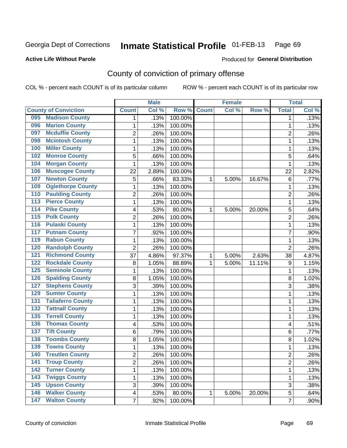## **Active Life Without Parole**

### Produced for **General Distribution**

# County of conviction of primary offense

|                                            |                | <b>Male</b> |         |              | <b>Female</b> |        |                         | <b>Total</b> |
|--------------------------------------------|----------------|-------------|---------|--------------|---------------|--------|-------------------------|--------------|
| <b>County of Conviction</b>                | <b>Count</b>   | Col %       | Row %   | <b>Count</b> | Col %         | Row %  | <b>Total</b>            | Col %        |
| <b>Madison County</b><br>095               | 1              | .13%        | 100.00% |              |               |        | 1                       | .13%         |
| <b>Marion County</b><br>096                | 1              | .13%        | 100.00% |              |               |        | 1                       | .13%         |
| <b>Mcduffie County</b><br>097              | $\overline{2}$ | .26%        | 100.00% |              |               |        | $\overline{2}$          | .26%         |
| <b>Mcintosh County</b><br>098              | 1              | .13%        | 100.00% |              |               |        | 1                       | .13%         |
| <b>Miller County</b><br>100                | 1              | .13%        | 100.00% |              |               |        | $\mathbf 1$             | .13%         |
| <b>Monroe County</b><br>102                | 5              | .66%        | 100.00% |              |               |        | 5                       | .64%         |
| <b>Morgan County</b><br>104                | 1              | .13%        | 100.00% |              |               |        | 1                       | .13%         |
| <b>Muscogee County</b><br>106              | 22             | 2.89%       | 100.00% |              |               |        | 22                      | 2.82%        |
| <b>Newton County</b><br>107                | 5              | .66%        | 83.33%  | 1            | 5.00%         | 16.67% | 6                       | .77%         |
| <b>Oglethorpe County</b><br>109            | 1              | .13%        | 100.00% |              |               |        | 1                       | .13%         |
| <b>Paulding County</b><br>110              | $\overline{c}$ | .26%        | 100.00% |              |               |        | $\overline{2}$          | .26%         |
| <b>Pierce County</b><br>$\overline{113}$   | 1              | .13%        | 100.00% |              |               |        | 1                       | .13%         |
| <b>Pike County</b><br>$\overline{114}$     | 4              | .53%        | 80.00%  | 1            | 5.00%         | 20.00% | 5                       | .64%         |
| <b>Polk County</b><br>115                  | $\overline{2}$ | .26%        | 100.00% |              |               |        | $\overline{2}$          | .26%         |
| <b>Pulaski County</b><br>$\overline{116}$  | 1              | .13%        | 100.00% |              |               |        | $\mathbf 1$             | .13%         |
| <b>Putnam County</b><br>$\overline{117}$   | 7              | .92%        | 100.00% |              |               |        | $\overline{7}$          | .90%         |
| <b>Rabun County</b><br>119                 | 1              | .13%        | 100.00% |              |               |        | $\mathbf 1$             | .13%         |
| <b>Randolph County</b><br>120              | $\overline{2}$ | .26%        | 100.00% |              |               |        | $\overline{2}$          | .26%         |
| <b>Richmond County</b><br>121              | 37             | 4.86%       | 97.37%  | 1            | 5.00%         | 2.63%  | 38                      | 4.87%        |
| <b>Rockdale County</b><br>122              | 8              | 1.05%       | 88.89%  | 1            | 5.00%         | 11.11% | 9                       | 1.15%        |
| <b>Seminole County</b><br>125              | 1              | .13%        | 100.00% |              |               |        | $\mathbf 1$             | .13%         |
| <b>Spalding County</b><br>126              | 8              | 1.05%       | 100.00% |              |               |        | 8                       | 1.02%        |
| <b>Stephens County</b><br>127              | 3              | .39%        | 100.00% |              |               |        | 3                       | .38%         |
| <b>Sumter County</b><br>129                | 1              | .13%        | 100.00% |              |               |        | 1                       | .13%         |
| <b>Taliaferro County</b><br>131            | 1              | .13%        | 100.00% |              |               |        | $\mathbf 1$             | .13%         |
| <b>Tattnall County</b><br>$\overline{132}$ | 1              | .13%        | 100.00% |              |               |        | 1                       | .13%         |
| <b>Terrell County</b><br>135               | 1              | .13%        | 100.00% |              |               |        | $\mathbf{1}$            | .13%         |
| <b>Thomas County</b><br>136                | 4              | .53%        | 100.00% |              |               |        | 4                       | .51%         |
| <b>Tift County</b><br>137                  | 6              | .79%        | 100.00% |              |               |        | 6                       | .77%         |
| <b>Toombs County</b><br>138                | 8              | 1.05%       | 100.00% |              |               |        | 8                       | 1.02%        |
| <b>Towns County</b><br>139                 | 1              | .13%        | 100.00% |              |               |        | 1                       | .13%         |
| 140<br><b>Treutlen County</b>              | 2              | .26%        | 100.00% |              |               |        | $\overline{\mathbf{c}}$ | .26%         |
| <b>Troup County</b><br>141                 | 2              | .26%        | 100.00% |              |               |        | $\overline{2}$          | .26%         |
| <b>Turner County</b><br>$\overline{142}$   | 1              | .13%        | 100.00% |              |               |        | $\mathbf{1}$            | .13%         |
| <b>Twiggs County</b><br>143                | 1              | .13%        | 100.00% |              |               |        | $\mathbf 1$             | .13%         |
| <b>Upson County</b><br>$\overline{145}$    | 3              | .39%        | 100.00% |              |               |        | 3                       | .38%         |
| <b>Walker County</b><br>$\overline{146}$   | 4              | .53%        | 80.00%  | 1            | 5.00%         | 20.00% | 5                       | .64%         |
| <b>Walton County</b><br>147                | $\overline{7}$ | .92%        | 100.00% |              |               |        | $\overline{7}$          | .90%         |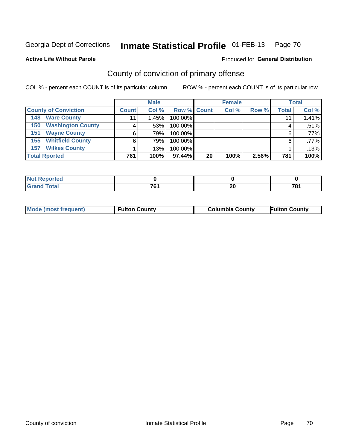**Active Life Without Parole** 

### Produced for **General Distribution**

# County of conviction of primary offense

|                                 |              | <b>Male</b> |             |    | <b>Female</b> |       |              | <b>Total</b> |  |
|---------------------------------|--------------|-------------|-------------|----|---------------|-------|--------------|--------------|--|
| <b>County of Conviction</b>     | <b>Count</b> | Col %       | Row % Count |    | Col %         | Row % | <b>Total</b> | Col %        |  |
| <b>Ware County</b><br>148       |              | 1.45%       | 100.00%     |    |               |       | 11           | 1.41%        |  |
| <b>Washington County</b><br>150 |              | $.53\%$     | 100.00%     |    |               |       | 4            | .51%         |  |
| <b>Wayne County</b><br>151      | 6            | .79%        | 100.00%     |    |               |       | 6            | .77%         |  |
| <b>Whitfield County</b><br>155  | 6            | $.79\%$     | 100.00%     |    |               |       | 6            | .77%         |  |
| <b>Wilkes County</b><br>157     |              | .13%        | 100.00%     |    |               |       |              | .13%         |  |
| <b>Total Rported</b>            | 761          | 100%        | $97.44\%$   | 20 | 100%          | 2.56% | 781          | 100%         |  |

| onter       |     |    |     |
|-------------|-----|----|-----|
| <b>otal</b> | 7c' | ኅሰ | 704 |
| $\sim$      | u   | Δu |     |

| <b>Mode (most frequent)</b><br><b>Fulton County</b> | <b>Columbia County</b> | <b>Fulton County</b> |
|-----------------------------------------------------|------------------------|----------------------|
|-----------------------------------------------------|------------------------|----------------------|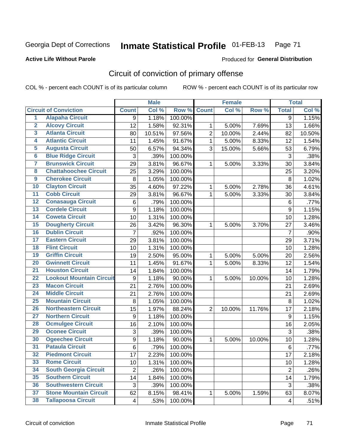## **Active Life Without Parole**

### Produced for **General Distribution**

# Circuit of conviction of primary offense

|                         |                                 |                | <b>Male</b> |         |                | <b>Female</b> |        |                | <b>Total</b> |
|-------------------------|---------------------------------|----------------|-------------|---------|----------------|---------------|--------|----------------|--------------|
|                         | <b>Circuit of Conviction</b>    | <b>Count</b>   | Col %       | Row %   | <b>Count</b>   | Col %         | Row %  | <b>Total</b>   | Col %        |
| $\overline{1}$          | <b>Alapaha Circuit</b>          | 9              | 1.18%       | 100.00% |                |               |        | 9              | 1.15%        |
| $\overline{2}$          | <b>Alcovy Circuit</b>           | 12             | 1.58%       | 92.31%  | 1              | 5.00%         | 7.69%  | 13             | 1.66%        |
| $\overline{\mathbf{3}}$ | <b>Atlanta Circuit</b>          | 80             | 10.51%      | 97.56%  | $\overline{2}$ | 10.00%        | 2.44%  | 82             | 10.50%       |
| 4                       | <b>Atlantic Circuit</b>         | 11             | 1.45%       | 91.67%  | 1              | 5.00%         | 8.33%  | 12             | 1.54%        |
| 5                       | <b>Augusta Circuit</b>          | 50             | 6.57%       | 94.34%  | 3              | 15.00%        | 5.66%  | 53             | 6.79%        |
| $6\phantom{a}$          | <b>Blue Ridge Circuit</b>       | 3              | .39%        | 100.00% |                |               |        | 3              | .38%         |
| 7                       | <b>Brunswick Circuit</b>        | 29             | 3.81%       | 96.67%  | 1              | 5.00%         | 3.33%  | 30             | 3.84%        |
| 8                       | <b>Chattahoochee Circuit</b>    | 25             | 3.29%       | 100.00% |                |               |        | 25             | 3.20%        |
| $\overline{9}$          | <b>Cherokee Circuit</b>         | 8              | 1.05%       | 100.00% |                |               |        | 8              | 1.02%        |
| 10                      | <b>Clayton Circuit</b>          | 35             | 4.60%       | 97.22%  | 1              | 5.00%         | 2.78%  | 36             | 4.61%        |
| $\overline{11}$         | <b>Cobb Circuit</b>             | 29             | 3.81%       | 96.67%  | $\mathbf{1}$   | 5.00%         | 3.33%  | 30             | 3.84%        |
| $\overline{12}$         | <b>Conasauga Circuit</b>        | 6              | .79%        | 100.00% |                |               |        | $\,6$          | .77%         |
| $\overline{13}$         | <b>Cordele Circuit</b>          | 9              | 1.18%       | 100.00% |                |               |        | 9              | 1.15%        |
| 14                      | <b>Coweta Circuit</b>           | 10             | 1.31%       | 100.00% |                |               |        | 10             | 1.28%        |
| 15                      | <b>Dougherty Circuit</b>        | 26             | 3.42%       | 96.30%  | 1              | 5.00%         | 3.70%  | 27             | 3.46%        |
| 16                      | <b>Dublin Circuit</b>           | 7              | .92%        | 100.00% |                |               |        | $\overline{7}$ | .90%         |
| 17                      | <b>Eastern Circuit</b>          | 29             | 3.81%       | 100.00% |                |               |        | 29             | 3.71%        |
| 18                      | <b>Flint Circuit</b>            | 10             | 1.31%       | 100.00% |                |               |        | 10             | 1.28%        |
| 19                      | <b>Griffin Circuit</b>          | 19             | 2.50%       | 95.00%  | 1              | 5.00%         | 5.00%  | 20             | 2.56%        |
| $\overline{20}$         | <b>Gwinnett Circuit</b>         | 11             | 1.45%       | 91.67%  | 1              | 5.00%         | 8.33%  | 12             | 1.54%        |
| $\overline{21}$         | <b>Houston Circuit</b>          | 14             | 1.84%       | 100.00% |                |               |        | 14             | 1.79%        |
| $\overline{22}$         | <b>Lookout Mountain Circuit</b> | 9              | 1.18%       | 90.00%  | $\mathbf 1$    | 5.00%         | 10.00% | 10             | 1.28%        |
| 23                      | <b>Macon Circuit</b>            | 21             | 2.76%       | 100.00% |                |               |        | 21             | 2.69%        |
| $\overline{24}$         | <b>Middle Circuit</b>           | 21             | 2.76%       | 100.00% |                |               |        | 21             | 2.69%        |
| $\overline{25}$         | <b>Mountain Circuit</b>         | 8              | 1.05%       | 100.00% |                |               |        | 8              | 1.02%        |
| 26                      | <b>Northeastern Circuit</b>     | 15             | 1.97%       | 88.24%  | $\overline{2}$ | 10.00%        | 11.76% | 17             | 2.18%        |
| $\overline{27}$         | <b>Northern Circuit</b>         | 9              | 1.18%       | 100.00% |                |               |        | 9              | 1.15%        |
| 28                      | <b>Ocmulgee Circuit</b>         | 16             | 2.10%       | 100.00% |                |               |        | 16             | 2.05%        |
| 29                      | <b>Oconee Circuit</b>           | 3              | .39%        | 100.00% |                |               |        | 3              | .38%         |
| 30                      | <b>Ogeechee Circuit</b>         | 9              | 1.18%       | 90.00%  | $\mathbf 1$    | 5.00%         | 10.00% | 10             | 1.28%        |
| $\overline{31}$         | <b>Pataula Circuit</b>          | 6              | .79%        | 100.00% |                |               |        | 6              | .77%         |
| 32                      | <b>Piedmont Circuit</b>         | 17             | 2.23%       | 100.00% |                |               |        | 17             | 2.18%        |
| 33                      | <b>Rome Circuit</b>             | 10             | 1.31%       | 100.00% |                |               |        | 10             | 1.28%        |
| 34                      | <b>South Georgia Circuit</b>    | $\overline{2}$ | .26%        | 100.00% |                |               |        | $\overline{2}$ | .26%         |
| 35                      | <b>Southern Circuit</b>         | 14             | 1.84%       | 100.00% |                |               |        | 14             | 1.79%        |
| 36                      | <b>Southwestern Circuit</b>     | 3              | .39%        | 100.00% |                |               |        | 3              | .38%         |
| 37                      | <b>Stone Mountain Circuit</b>   | 62             | 8.15%       | 98.41%  | 1              | 5.00%         | 1.59%  | 63             | 8.07%        |
| 38                      | <b>Tallapoosa Circuit</b>       | 4              | .53%        | 100.00% |                |               |        | 4              | .51%         |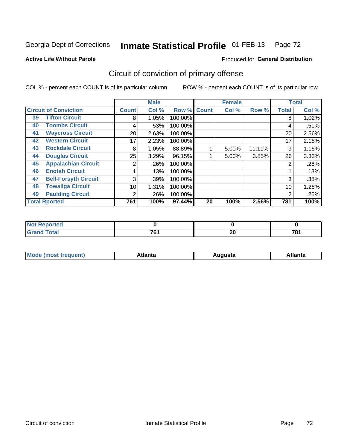Produced for **General Distribution**

### **Active Life Without Parole**

# Circuit of conviction of primary offense

|    |                              |              | <b>Male</b> |         |              | <b>Female</b> |        |              | <b>Total</b> |
|----|------------------------------|--------------|-------------|---------|--------------|---------------|--------|--------------|--------------|
|    | <b>Circuit of Conviction</b> | <b>Count</b> | Col %       | Row %   | <b>Count</b> | Col %         | Row %  | <b>Total</b> | Col %        |
| 39 | <b>Tifton Circuit</b>        | 8            | 1.05%       | 100.00% |              |               |        | 8            | 1.02%        |
| 40 | <b>Toombs Circuit</b>        | 4            | .53%        | 100.00% |              |               |        | 4            | .51%         |
| 41 | <b>Waycross Circuit</b>      | 20           | 2.63%       | 100.00% |              |               |        | 20           | 2.56%        |
| 42 | <b>Western Circuit</b>       | 17           | 2.23%       | 100.00% |              |               |        | 17           | 2.18%        |
| 43 | <b>Rockdale Circuit</b>      | 8            | 1.05%       | 88.89%  |              | 5.00%         | 11.11% | 9            | 1.15%        |
| 44 | <b>Douglas Circuit</b>       | 25           | 3.29%       | 96.15%  |              | 5.00%         | 3.85%  | 26           | 3.33%        |
| 45 | <b>Appalachian Circuit</b>   | 2            | .26%        | 100.00% |              |               |        | 2            | .26%         |
| 46 | <b>Enotah Circuit</b>        |              | .13%        | 100.00% |              |               |        |              | .13%         |
| 47 | <b>Bell-Forsyth Circuit</b>  | 3            | .39%        | 100.00% |              |               |        | 3            | .38%         |
| 48 | <b>Towaliga Circuit</b>      | 10           | 1.31%       | 100.00% |              |               |        | 10           | 1.28%        |
| 49 | <b>Paulding Circuit</b>      | 2            | .26%        | 100.00% |              |               |        | 2            | .26%         |
|    | <b>Total Rported</b>         | 761          | 100%        | 97.44%  | 20           | 100%          | 2.56%  | 781          | 100%         |

| eportea     |     |     |     |
|-------------|-----|-----|-----|
| <b>otal</b> | 704 | n r | 704 |
| $\sim$      |     | ZU  | О   |

| М<br>. In n tr<br>.<br>.<br>wanta<br>Πū<br>31.<br>$\sim$ $\sim$ $\sim$ |
|------------------------------------------------------------------------|
|------------------------------------------------------------------------|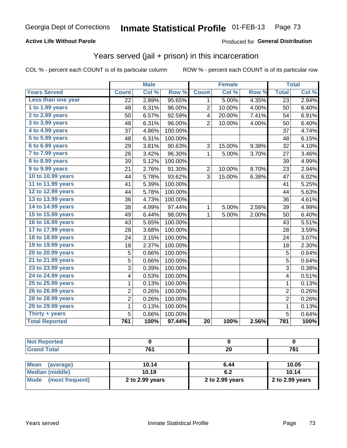### **Active Life Without Parole**

#### Produced for **General Distribution**

## Years served (jail + prison) in this incarceration

|                       |                 | <b>Male</b> |         |                 | <b>Female</b> |       |                 | <b>Total</b> |
|-----------------------|-----------------|-------------|---------|-----------------|---------------|-------|-----------------|--------------|
| <b>Years Served</b>   | <b>Count</b>    | Col %       | Row %   | <b>Count</b>    | Col%          | Row % | <b>Total</b>    | Col%         |
| Less than one year    | $\overline{22}$ | 2.89%       | 95.65%  | 1               | 5.00%         | 4.35% | $\overline{23}$ | 2.94%        |
| 1 to 1.99 years       | 48              | 6.31%       | 96.00%  | $\overline{c}$  | 10.00%        | 4.00% | 50              | 6.40%        |
| 2 to 2.99 years       | 50              | 6.57%       | 92.59%  | 4               | 20.00%        | 7.41% | 54              | 6.91%        |
| 3 to 3.99 years       | 48              | 6.31%       | 96.00%  | $\overline{2}$  | 10.00%        | 4.00% | 50              | 6.40%        |
| 4 to 4.99 years       | 37              | 4.86%       | 100.00% |                 |               |       | 37              | 4.74%        |
| 5 to 5.99 years       | 48              | 6.31%       | 100.00% |                 |               |       | 48              | 6.15%        |
| 6 to 6.99 years       | 29              | 3.81%       | 90.63%  | 3               | 15.00%        | 9.38% | 32              | 4.10%        |
| 7 to 7.99 years       | 26              | 3.42%       | 96.30%  | 1               | 5.00%         | 3.70% | 27              | 3.46%        |
| 8 to 8.99 years       | 39              | 5.12%       | 100.00% |                 |               |       | 39              | 4.99%        |
| 9 to 9.99 years       | 21              | 2.76%       | 91.30%  | 2               | 10.00%        | 8.70% | 23              | 2.94%        |
| 10 to 10.99 years     | 44              | 5.78%       | 93.62%  | 3               | 15.00%        | 6.38% | 47              | 6.02%        |
| 11 to 11.99 years     | 41              | 5.39%       | 100.00% |                 |               |       | 41              | 5.25%        |
| 12 to 12.99 years     | 44              | 5.78%       | 100.00% |                 |               |       | 44              | 5.63%        |
| 13 to 13.99 years     | 36              | 4.73%       | 100.00% |                 |               |       | 36              | 4.61%        |
| 14 to 14.99 years     | 38              | 4.99%       | 97.44%  | 1               | 5.00%         | 2.56% | 39              | 4.99%        |
| 15 to 15.99 years     | 49              | 6.44%       | 98.00%  | 1               | 5.00%         | 2.00% | 50              | 6.40%        |
| 16 to 16.99 years     | 43              | 5.65%       | 100.00% |                 |               |       | 43              | 5.51%        |
| 17 to 17.99 years     | 28              | 3.68%       | 100.00% |                 |               |       | 28              | 3.59%        |
| 18 to 18.99 years     | 24              | 3.15%       | 100.00% |                 |               |       | 24              | 3.07%        |
| 19 to 19.99 years     | 18              | 2.37%       | 100.00% |                 |               |       | 18              | 2.30%        |
| 20 to 20.99 years     | 5               | 0.66%       | 100.00% |                 |               |       | 5               | 0.64%        |
| 21 to 21.99 years     | 5               | 0.66%       | 100.00% |                 |               |       | $\overline{5}$  | 0.64%        |
| 23 to 23.99 years     | $\overline{3}$  | 0.39%       | 100.00% |                 |               |       | $\overline{3}$  | 0.38%        |
| 24 to 24.99 years     | 4               | 0.53%       | 100.00% |                 |               |       | 4               | 0.51%        |
| 25 to 25.99 years     | $\mathbf 1$     | 0.13%       | 100.00% |                 |               |       | $\mathbf{1}$    | 0.13%        |
| 26 to 26.99 years     | $\overline{c}$  | 0.26%       | 100.00% |                 |               |       | $\overline{2}$  | 0.26%        |
| 28 to 28.99 years     | $\overline{2}$  | 0.26%       | 100.00% |                 |               |       | $\overline{2}$  | 0.26%        |
| 29 to 29.99 years     | $\mathbf 1$     | 0.13%       | 100.00% |                 |               |       | $\mathbf 1$     | 0.13%        |
| Thirty + years        | 5               | 0.66%       | 100.00% |                 |               |       | $\overline{5}$  | 0.64%        |
| <b>Total Reported</b> | 761             | 100%        | 97.44%  | $\overline{20}$ | 100%          | 2.56% | 781             | 100%         |

| N <sub>of</sub><br><b>Reported</b> |            |           |            |
|------------------------------------|------------|-----------|------------|
| <b>Grand Total</b>                 | 704<br>וסי | ne.<br>ZU | 704<br>1 O |
|                                    |            |           |            |

| <b>Mean</b><br>(average) | 10.14           | 6.44            | 10.05           |
|--------------------------|-----------------|-----------------|-----------------|
| Median (middle)          | 10.19           |                 | 10.14           |
| Mode (most frequent)     | 2 to 2.99 years | 2 to 2.99 years | 2 to 2.99 years |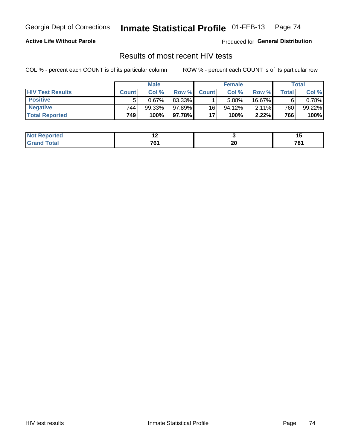#### **Active Life Without Parole**

Produced for **General Distribution**

## Results of most recent HIV tests

|                         | <b>Male</b>  |           |        | <b>Female</b> |           |        | Total |        |
|-------------------------|--------------|-----------|--------|---------------|-----------|--------|-------|--------|
| <b>HIV Test Results</b> | <b>Count</b> | Col%      | Row %I | <b>Count</b>  | Col %     | Row %  | Total | Col %  |
| <b>Positive</b>         |              | 0.67%     | 83.33% |               | 5.88%     | 16.67% |       | 0.78%  |
| <b>Negative</b>         | 744          | $99.33\%$ | 97.89% | 16            | $94.12\%$ | 2.11%  | 760   | 99.22% |
| <b>Total Reported</b>   | 749          | 100%      | 97.78% | 17            | 100%      | 2.22%  | 766   | 100%   |

| <b>Not Reported</b> | . .            |    | . .    |
|---------------------|----------------|----|--------|
| <b>otal</b>         | $\overline{ }$ | nr | 70'    |
|                     | ____           | ΔU | $\sim$ |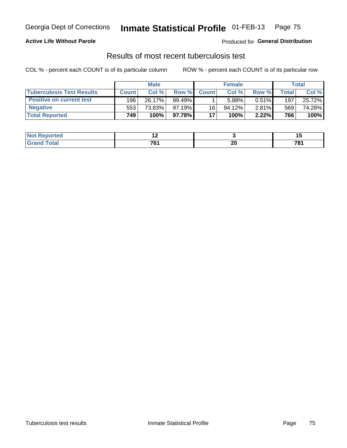### **Active Life Without Parole**

Produced for **General Distribution**

## Results of most recent tuberculosis test

|                                  | <b>Male</b>  |        |           | <b>Female</b> |           |          | Total |        |
|----------------------------------|--------------|--------|-----------|---------------|-----------|----------|-------|--------|
| <b>Tuberculosis Test Results</b> | <b>Count</b> | Col%   | Row %     | <b>Count</b>  | Col %     | Row %I   | Total | Col %  |
| <b>Positive on current test</b>  | 196          | 26.17% | $99.49\%$ |               | 5.88%     | $0.51\%$ | 197   | 25.72% |
| <b>Negative</b>                  | 553          | 73.83% | $97.19\%$ | 16            | $94.12\%$ | $2.81\%$ | 569   | 74.28% |
| <b>Total Reported</b>            | 749          | 100%   | 97.78%I   | 17            | 100%      | 2.22%    | 766   | 100%   |

| <b>Not Reported</b> | . .  |    |        |
|---------------------|------|----|--------|
| <b>Total</b>        | 70.  | or | 70.    |
|                     | ____ | ZU | $\sim$ |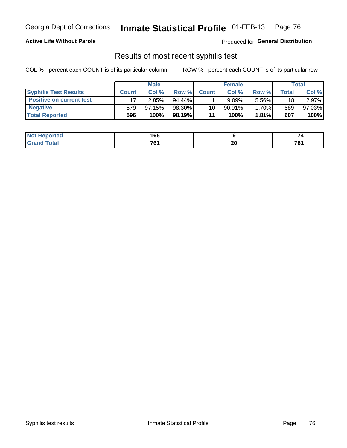### **Active Life Without Parole**

Produced for **General Distribution**

## Results of most recent syphilis test

|                                 | <b>Male</b>  |           |           | <b>Female</b> |           |          | Total        |        |
|---------------------------------|--------------|-----------|-----------|---------------|-----------|----------|--------------|--------|
| <b>Syphilis Test Results</b>    | <b>Count</b> | Col%      | Row %     | <b>Count</b>  | Col %     | Row %    | <b>Total</b> | Col %  |
| <b>Positive on current test</b> |              | 2.85%     | $94.44\%$ |               | 9.09%     | 5.56%    | 18           | 2.97%  |
| <b>Negative</b>                 | 579          | $97.15\%$ | 98.30%    | 10            | $90.91\%$ | 1.70%    | 589          | 97.03% |
| <b>Total Reported</b>           | 596          | 100%      | 98.19%    | 11            | 100%      | $1.81\%$ | 607          | 100%   |

| <b>Not Reported</b> | 165                  |           | .<br>. |
|---------------------|----------------------|-----------|--------|
| <b>Total</b>        | 761<br>$\sim$ $\sim$ | nr.<br>ZU | 781    |